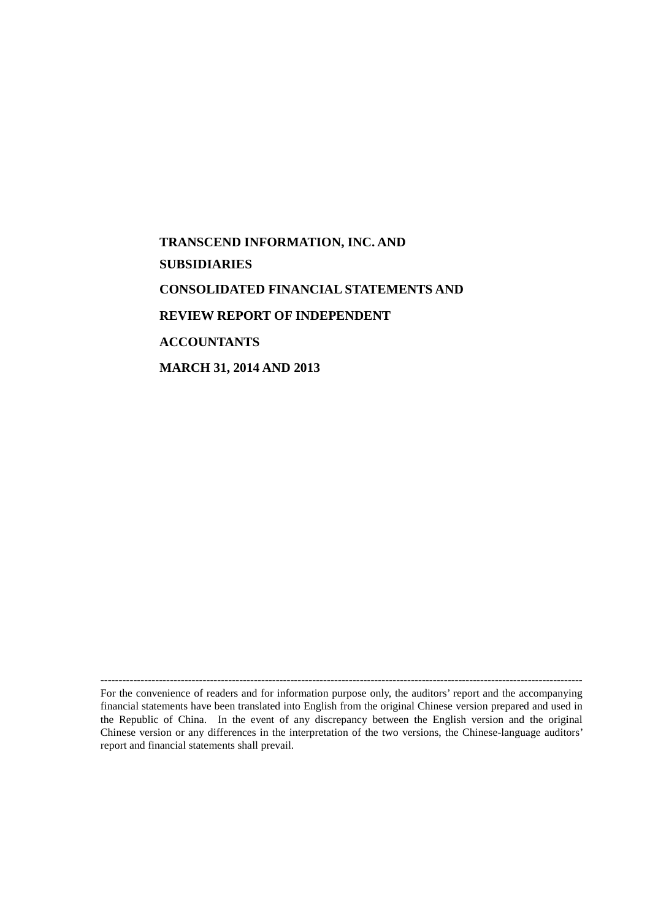# **TRANSCEND INFORMATION, INC. AND SUBSIDIARIES CONSOLIDATED FINANCIAL STATEMENTS AND REVIEW REPORT OF INDEPENDENT ACCOUNTANTS MARCH 31, 2014 AND 2013**

------------------------------------------------------------------------------------------------------------------------------------ For the convenience of readers and for information purpose only, the auditors' report and the accompanying financial statements have been translated into English from the original Chinese version prepared and used in the Republic of China. In the event of any discrepancy between the English version and the original Chinese version or any differences in the interpretation of the two versions, the Chinese-language auditors' report and financial statements shall prevail.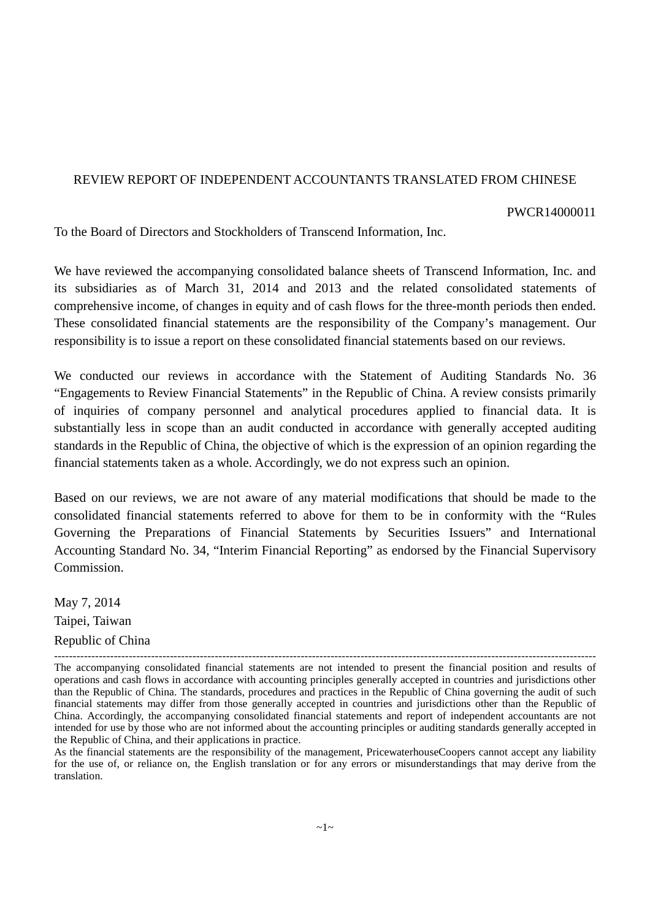### REVIEW REPORT OF INDEPENDENT ACCOUNTANTS TRANSLATED FROM CHINESE

#### PWCR14000011

To the Board of Directors and Stockholders of Transcend Information, Inc.

We have reviewed the accompanying consolidated balance sheets of Transcend Information, Inc. and its subsidiaries as of March 31, 2014 and 2013 and the related consolidated statements of comprehensive income, of changes in equity and of cash flows for the three-month periods then ended. These consolidated financial statements are the responsibility of the Company's management. Our responsibility is to issue a report on these consolidated financial statements based on our reviews.

We conducted our reviews in accordance with the Statement of Auditing Standards No. 36 "Engagements to Review Financial Statements" in the Republic of China. A review consists primarily of inquiries of company personnel and analytical procedures applied to financial data. It is substantially less in scope than an audit conducted in accordance with generally accepted auditing standards in the Republic of China, the objective of which is the expression of an opinion regarding the financial statements taken as a whole. Accordingly, we do not express such an opinion.

Based on our reviews, we are not aware of any material modifications that should be made to the consolidated financial statements referred to above for them to be in conformity with the "Rules Governing the Preparations of Financial Statements by Securities Issuers" and International Accounting Standard No. 34, "Interim Financial Reporting" as endorsed by the Financial Supervisory Commission.

May 7, 2014 Taipei, Taiwan Republic of China

<sup>-------------------------------------------------------------------------------------------------------------------------------------------------</sup> The accompanying consolidated financial statements are not intended to present the financial position and results of operations and cash flows in accordance with accounting principles generally accepted in countries and jurisdictions other than the Republic of China. The standards, procedures and practices in the Republic of China governing the audit of such financial statements may differ from those generally accepted in countries and jurisdictions other than the Republic of China. Accordingly, the accompanying consolidated financial statements and report of independent accountants are not intended for use by those who are not informed about the accounting principles or auditing standards generally accepted in the Republic of China, and their applications in practice.

As the financial statements are the responsibility of the management, PricewaterhouseCoopers cannot accept any liability for the use of, or reliance on, the English translation or for any errors or misunderstandings that may derive from the translation.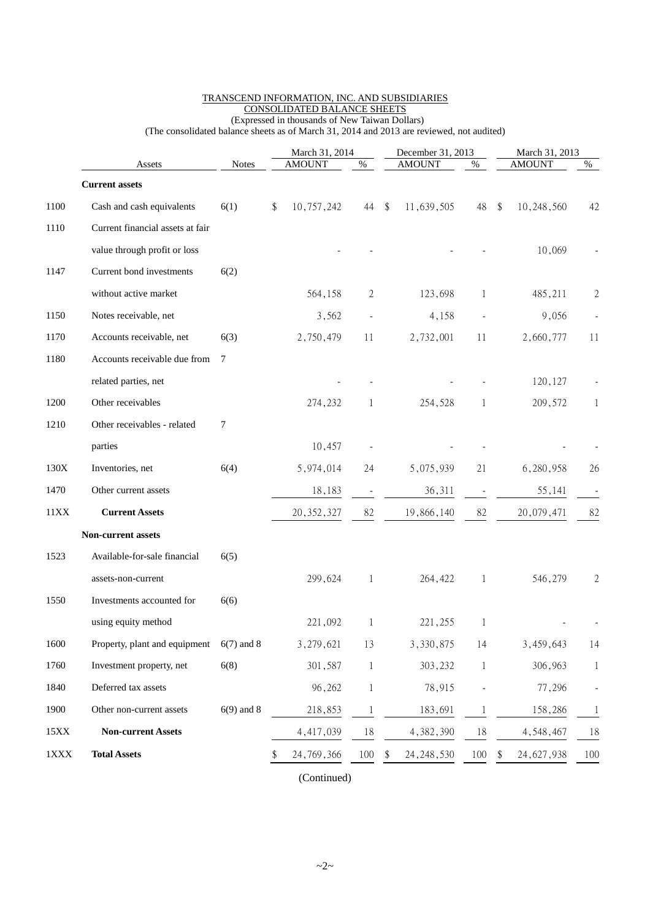|             | Assets                                             | <b>Notes</b> |    | March 31, 2014<br><b>AMOUNT</b><br>$\%$ |                          |    | December 31, 2013<br><b>AMOUNT</b> | $\%$         | March 31, 2013<br><b>AMOUNT</b> | $\%$         |
|-------------|----------------------------------------------------|--------------|----|-----------------------------------------|--------------------------|----|------------------------------------|--------------|---------------------------------|--------------|
|             |                                                    |              |    |                                         |                          |    |                                    |              |                                 |              |
| 1100        | <b>Current assets</b><br>Cash and cash equivalents | 6(1)         | \$ | 10,757,242                              | 44                       |    | 11,639,505                         | 48           | \$<br>10,248,560                | 42           |
|             | Current financial assets at fair                   |              |    |                                         |                          | \$ |                                    |              |                                 |              |
| 1110        |                                                    |              |    |                                         |                          |    |                                    |              |                                 |              |
|             | value through profit or loss                       |              |    |                                         |                          |    |                                    |              | 10,069                          |              |
| 1147        | Current bond investments                           | 6(2)         |    |                                         |                          |    |                                    |              |                                 |              |
|             | without active market                              |              |    | 564,158                                 | 2                        |    | 123,698                            | 1            | 485,211                         | $\mathbf{2}$ |
| 1150        | Notes receivable, net                              |              |    | 3,562                                   |                          |    | 4,158                              |              | 9,056                           |              |
| 1170        | Accounts receivable, net                           | 6(3)         |    | 2,750,479                               | 11                       |    | 2,732,001                          | 11           | 2,660,777                       | 11           |
| 1180        | Accounts receivable due from                       | 7            |    |                                         |                          |    |                                    |              |                                 |              |
|             | related parties, net                               |              |    |                                         |                          |    |                                    |              | 120, 127                        |              |
| 1200        | Other receivables                                  |              |    | 274,232                                 | 1                        |    | 254,528                            | 1            | 209,572                         | 1            |
| 1210        | Other receivables - related                        | 7            |    |                                         |                          |    |                                    |              |                                 |              |
|             | parties                                            |              |    | 10,457                                  |                          |    |                                    |              |                                 |              |
| 130X        | Inventories, net                                   | 6(4)         |    | 5,974,014                               | 24                       |    | 5,075,939                          | 21           | 6,280,958                       | 26           |
| 1470        | Other current assets                               |              |    | 18,183                                  | $\overline{\phantom{a}}$ |    | 36,311                             |              | 55,141                          |              |
| 11XX        | <b>Current Assets</b>                              |              |    | 20, 352, 327                            | 82                       |    | 19,866,140                         | 82           | 20,079,471                      | 82           |
|             | Non-current assets                                 |              |    |                                         |                          |    |                                    |              |                                 |              |
| 1523        | Available-for-sale financial                       | 6(5)         |    |                                         |                          |    |                                    |              |                                 |              |
|             | assets-non-current                                 |              |    | 299,624                                 | 1                        |    | 264,422                            | 1            | 546,279                         | 2            |
| 1550        | Investments accounted for                          | 6(6)         |    |                                         |                          |    |                                    |              |                                 |              |
|             | using equity method                                |              |    | 221,092                                 |                          |    | 221,255                            |              |                                 |              |
| 1600        | Property, plant and equipment                      | $6(7)$ and 8 |    | 3,279,621                               | 13                       |    | 3,330,875                          | 14           | 3,459,643                       | 14           |
| 1760        | Investment property, net                           | 6(8)         |    | 301,587                                 | 1                        |    | 303,232                            | $\mathbf{1}$ | 306,963                         | $\mathbf{1}$ |
| 1840        | Deferred tax assets                                |              |    | 96,262                                  | 1                        |    | 78,915                             |              | 77,296                          |              |
| 1900        | Other non-current assets                           | $6(9)$ and 8 |    | 218,853                                 |                          |    | 183,691                            | 1            | 158,286                         | $\mathbf{1}$ |
| 15XX        | <b>Non-current Assets</b>                          |              |    | 4,417,039                               | 18                       |    | 4,382,390                          | 18           | 4,548,467                       | 18           |
| $1\rm{XXX}$ | <b>Total Assets</b>                                |              |    | 24,769,366                              | 100                      |    | 24, 248, 530                       | 100          | \$<br>24,627,938                | 100          |
|             |                                                    |              |    |                                         |                          |    |                                    |              |                                 |              |

#### TRANSCEND INFORMATION, INC. AND SUBSIDIARIES CONSOLIDATED BALANCE SHEETS (Expressed in thousands of New Taiwan Dollars)

(The consolidated balance sheets as of March 31, 2014 and 2013 are reviewed, not audited)

(Continued)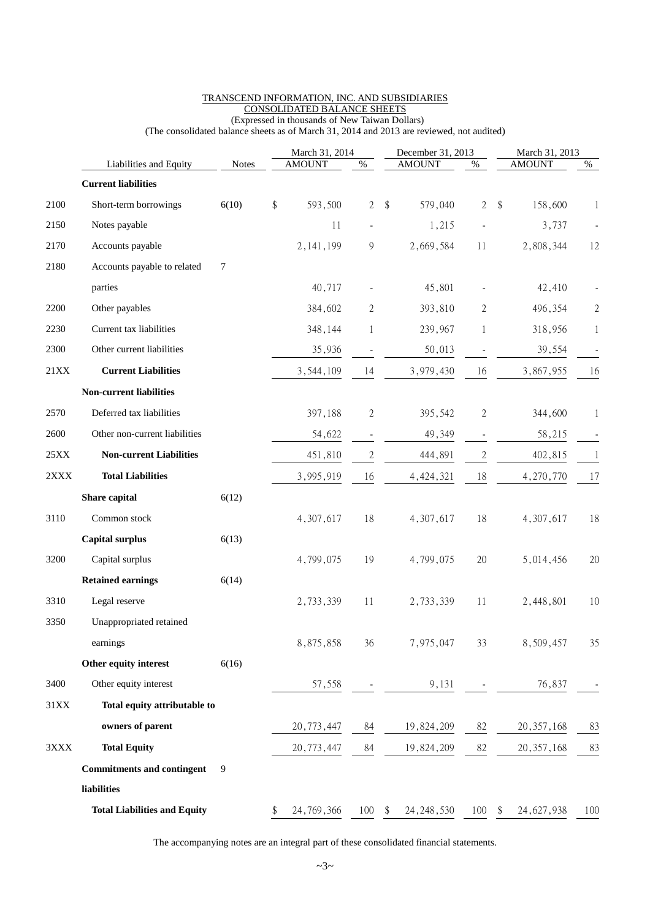|             |                                     |                  | March 31, 2014 |               |                          |                         | December 31, 2013 | March 31, 2013 |    |               |                |
|-------------|-------------------------------------|------------------|----------------|---------------|--------------------------|-------------------------|-------------------|----------------|----|---------------|----------------|
|             | Liabilities and Equity              | <b>Notes</b>     |                | <b>AMOUNT</b> | $\%$                     |                         | <b>AMOUNT</b>     | $\%$           |    | <b>AMOUNT</b> | $\%$           |
|             | <b>Current liabilities</b>          |                  |                |               |                          |                         |                   |                |    |               |                |
| 2100        | Short-term borrowings               | 6(10)            | \$             | 593,500       | $\mathbf{2}$             | $\sqrt[6]{\frac{1}{2}}$ | 579,040           | $\overline{2}$ | \$ | 158,600       | 1              |
| 2150        | Notes payable                       |                  |                | 11            |                          |                         | 1,215             |                |    | 3,737         |                |
| 2170        | Accounts payable                    |                  |                | 2, 141, 199   | 9                        |                         | 2,669,584         | 11             |    | 2,808,344     | 12             |
| 2180        | Accounts payable to related         | $\boldsymbol{7}$ |                |               |                          |                         |                   |                |    |               |                |
|             | parties                             |                  |                | 40,717        |                          |                         | 45,801            |                |    | 42,410        |                |
| 2200        | Other payables                      |                  |                | 384,602       | 2                        |                         | 393,810           | $\sqrt{2}$     |    | 496,354       | $\overline{c}$ |
| 2230        | Current tax liabilities             |                  |                | 348,144       | 1                        |                         | 239,967           | 1              |    | 318,956       | 1              |
| 2300        | Other current liabilities           |                  |                | 35,936        |                          |                         | 50,013            |                |    | 39,554        |                |
| <b>21XX</b> | <b>Current Liabilities</b>          |                  |                | 3,544,109     | 14                       |                         | 3,979,430         | 16             |    | 3,867,955     | 16             |
|             | <b>Non-current liabilities</b>      |                  |                |               |                          |                         |                   |                |    |               |                |
| 2570        | Deferred tax liabilities            |                  |                | 397,188       | $\mathbf{2}$             |                         | 395,542           | $\sqrt{2}$     |    | 344,600       | 1              |
| 2600        | Other non-current liabilities       |                  |                | 54,622        | $\overline{\phantom{m}}$ |                         | 49,349            |                |    | 58,215        |                |
| 25XX        | <b>Non-current Liabilities</b>      |                  |                | 451,810       | $\overline{c}$           |                         | 444,891           | $\mathbf{2}$   |    | 402,815       | 1              |
| 2XXX        | <b>Total Liabilities</b>            |                  |                | 3,995,919     | 16                       |                         | 4, 424, 321       | $18\,$         |    | 4,270,770     | 17             |
|             | Share capital                       | 6(12)            |                |               |                          |                         |                   |                |    |               |                |
| 3110        | Common stock                        |                  |                | 4,307,617     | 18                       |                         | 4,307,617         | 18             |    | 4,307,617     | 18             |
|             | <b>Capital surplus</b>              | 6(13)            |                |               |                          |                         |                   |                |    |               |                |
| 3200        | Capital surplus                     |                  |                | 4,799,075     | 19                       |                         | 4,799,075         | 20             |    | 5,014,456     | 20             |
|             | <b>Retained earnings</b>            | 6(14)            |                |               |                          |                         |                   |                |    |               |                |
| 3310        | Legal reserve                       |                  |                | 2,733,339     | 11                       |                         | 2,733,339         | 11             |    | 2,448,801     | 10             |
| 3350        | Unappropriated retained             |                  |                |               |                          |                         |                   |                |    |               |                |
|             | earnings                            |                  |                | 8,875,858     | 36                       |                         | 7,975,047         | 33             |    | 8,509,457     | 35             |
|             | Other equity interest               | 6(16)            |                |               |                          |                         |                   |                |    |               |                |
| 3400        | Other equity interest               |                  |                | 57,558        |                          |                         | 9,131             |                |    | 76,837        |                |
| $31XX$      | Total equity attributable to        |                  |                |               |                          |                         |                   |                |    |               |                |
|             | owners of parent                    |                  |                | 20,773,447    | 84                       |                         | 19,824,209        | 82             |    | 20, 357, 168  | 83             |
| 3XXX        | <b>Total Equity</b>                 |                  |                | 20, 773, 447  | 84                       |                         | 19,824,209        | 82             |    | 20, 357, 168  | 83             |
|             | <b>Commitments and contingent</b>   | 9                |                |               |                          |                         |                   |                |    |               |                |
|             | liabilities                         |                  |                |               |                          |                         |                   |                |    |               |                |
|             | <b>Total Liabilities and Equity</b> |                  | \$             | 24, 769, 366  | $100 - $$                |                         | 24, 248, 530      | 100            | \$ | 24, 627, 938  | 100            |

#### TRANSCEND INFORMATION, INC. AND SUBSIDIARIES CONSOLIDATED BALANCE SHEETS (Expressed in thousands of New Taiwan Dollars)

(The consolidated balance sheets as of March 31, 2014 and 2013 are reviewed, not audited)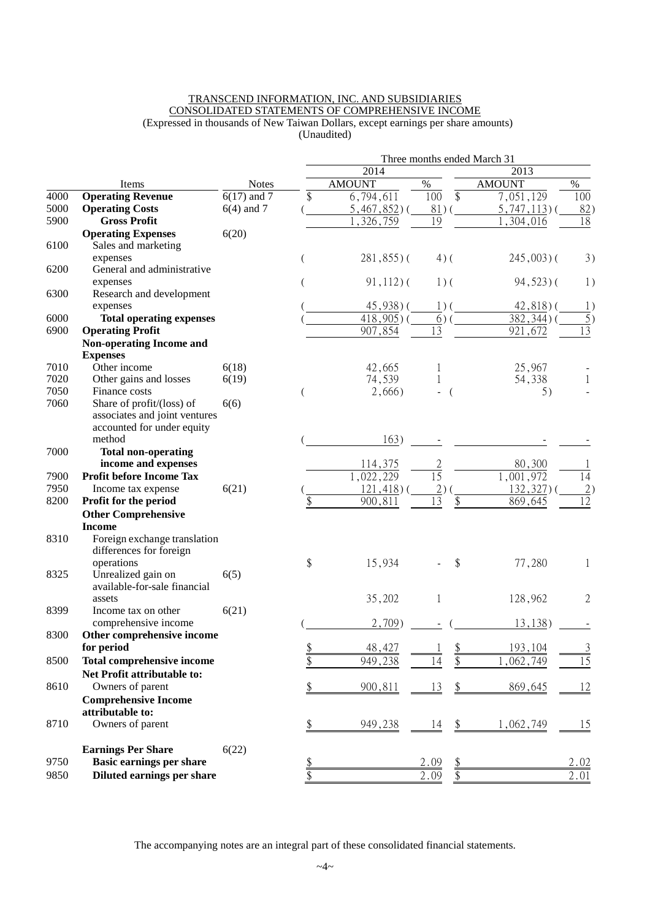#### TRANSCEND INFORMATION, INC. AND SUBSIDIARIES CONSOLIDATED STATEMENTS OF COMPREHENSIVE INCOME (Expressed in thousands of New Taiwan Dollars, except earnings per share amounts) (Unaudited)

|      |                                                             |               | Three months ended March 31 |                          |                        |                          |                  |  |  |  |  |  |
|------|-------------------------------------------------------------|---------------|-----------------------------|--------------------------|------------------------|--------------------------|------------------|--|--|--|--|--|
|      |                                                             |               |                             | 2014                     |                        | 2013                     |                  |  |  |  |  |  |
|      | Items                                                       | <b>Notes</b>  |                             | <b>AMOUNT</b>            | $\%$                   | <b>AMOUNT</b>            | $\%$             |  |  |  |  |  |
| 4000 | <b>Operating Revenue</b>                                    | $6(17)$ and 7 | \$                          | 6,794,611                | $\overline{\$}$<br>100 | 7,051,129                | 100              |  |  |  |  |  |
| 5000 | <b>Operating Costs</b>                                      | $6(4)$ and 7  |                             | $5,467,852$ )            | 81)                    | $5,747,113$ ) (          | 82)              |  |  |  |  |  |
| 5900 | <b>Gross Profit</b>                                         |               |                             | $\overline{1,}$ 326, 759 | 19                     | ,304,016                 | 18               |  |  |  |  |  |
|      | <b>Operating Expenses</b>                                   | 6(20)         |                             |                          |                        |                          |                  |  |  |  |  |  |
| 6100 | Sales and marketing                                         |               |                             |                          |                        |                          |                  |  |  |  |  |  |
| 6200 | expenses<br>General and administrative                      |               |                             | $281,855$ ) (            | $4)$ (                 | $245,003$ ) (            | 3)               |  |  |  |  |  |
|      | expenses                                                    |               |                             | $91,112$ ) (             | $1)$ (                 | $94,523$ ) (             | 1)               |  |  |  |  |  |
| 6300 | Research and development                                    |               |                             |                          |                        |                          |                  |  |  |  |  |  |
|      | expenses                                                    |               |                             | $45,938$ ) (             | $1)$ (                 | $42,818$ ) (             | 1)               |  |  |  |  |  |
| 6000 | <b>Total operating expenses</b>                             |               |                             | $418,905$ )              | 6)                     | $\overline{382,344}$ ) ( | $\overline{5})$  |  |  |  |  |  |
| 6900 | <b>Operating Profit</b>                                     |               |                             | 907,854                  | $\overline{13}$        | 921,672                  | 13               |  |  |  |  |  |
|      | <b>Non-operating Income and</b>                             |               |                             |                          |                        |                          |                  |  |  |  |  |  |
|      | <b>Expenses</b>                                             |               |                             |                          |                        |                          |                  |  |  |  |  |  |
| 7010 | Other income                                                | 6(18)         |                             | 42,665                   |                        | 25,967                   |                  |  |  |  |  |  |
| 7020 | Other gains and losses                                      | 6(19)         |                             | 74,539                   | $\mathbf 1$            | 54,338                   | $\mathbf{1}$     |  |  |  |  |  |
| 7050 | Finance costs                                               |               |                             | 2,666)                   | $\left($               | 5)                       |                  |  |  |  |  |  |
| 7060 | Share of profit/(loss) of                                   | 6(6)          |                             |                          |                        |                          |                  |  |  |  |  |  |
|      | associates and joint ventures<br>accounted for under equity |               |                             |                          |                        |                          |                  |  |  |  |  |  |
|      | method                                                      |               |                             | 163)                     |                        |                          |                  |  |  |  |  |  |
| 7000 | <b>Total non-operating</b>                                  |               |                             |                          |                        |                          |                  |  |  |  |  |  |
|      | income and expenses                                         |               |                             | 114,375                  | $\overline{c}$         | 80,300                   |                  |  |  |  |  |  |
| 7900 | <b>Profit before Income Tax</b>                             |               |                             | 1,022,229                | $\overline{15}$        | 1,001,972                | 14               |  |  |  |  |  |
| 7950 | Income tax expense                                          | 6(21)         |                             | 121,418                  | $\overline{2}$ )       | 132,327                  | $\left(2\right)$ |  |  |  |  |  |
| 8200 | Profit for the period                                       |               |                             | 900,811                  | \$<br>13               | 869,645                  | $\overline{12}$  |  |  |  |  |  |
|      | <b>Other Comprehensive</b>                                  |               |                             |                          |                        |                          |                  |  |  |  |  |  |
|      | <b>Income</b>                                               |               |                             |                          |                        |                          |                  |  |  |  |  |  |
| 8310 | Foreign exchange translation                                |               |                             |                          |                        |                          |                  |  |  |  |  |  |
|      | differences for foreign                                     |               |                             |                          |                        |                          |                  |  |  |  |  |  |
| 8325 | operations<br>Unrealized gain on                            |               | \$                          | 15,934                   | \$                     | 77,280                   | 1                |  |  |  |  |  |
|      | available-for-sale financial                                | 6(5)          |                             |                          |                        |                          |                  |  |  |  |  |  |
|      | assets                                                      |               |                             | 35,202                   | 1                      | 128,962                  | $\overline{2}$   |  |  |  |  |  |
| 8399 | Income tax on other                                         | 6(21)         |                             |                          |                        |                          |                  |  |  |  |  |  |
|      | comprehensive income                                        |               |                             | 2,709)                   |                        | 13,138)                  |                  |  |  |  |  |  |
| 8300 | Other comprehensive income                                  |               |                             |                          |                        |                          |                  |  |  |  |  |  |
|      | for period                                                  |               | $rac{1}{2}$                 | 48,427                   |                        | 193,104                  | $\frac{3}{5}$    |  |  |  |  |  |
| 8500 | <b>Total comprehensive income</b>                           |               |                             | 949,238                  | \$<br>\$<br>14         | ,062,749                 | $\overline{15}$  |  |  |  |  |  |
|      | Net Profit attributable to:                                 |               |                             |                          |                        |                          |                  |  |  |  |  |  |
| 8610 | Owners of parent                                            |               |                             | 900,811                  | 13<br>\$               | 869,645                  | 12               |  |  |  |  |  |
|      | <b>Comprehensive Income</b>                                 |               |                             |                          |                        |                          |                  |  |  |  |  |  |
|      | attributable to:                                            |               |                             |                          |                        |                          |                  |  |  |  |  |  |
| 8710 | Owners of parent                                            |               | \$                          | 949,238                  | $\frac{1}{2}$<br>14    | 1,062,749                | 15               |  |  |  |  |  |
|      | <b>Earnings Per Share</b>                                   | 6(22)         |                             |                          |                        |                          |                  |  |  |  |  |  |
| 9750 | Basic earnings per share                                    |               | <u>\$</u>                   |                          | 2.09                   |                          | 2.02             |  |  |  |  |  |
| 9850 | Diluted earnings per share                                  |               | \$                          |                          | \$<br>2.09             |                          | 2.01             |  |  |  |  |  |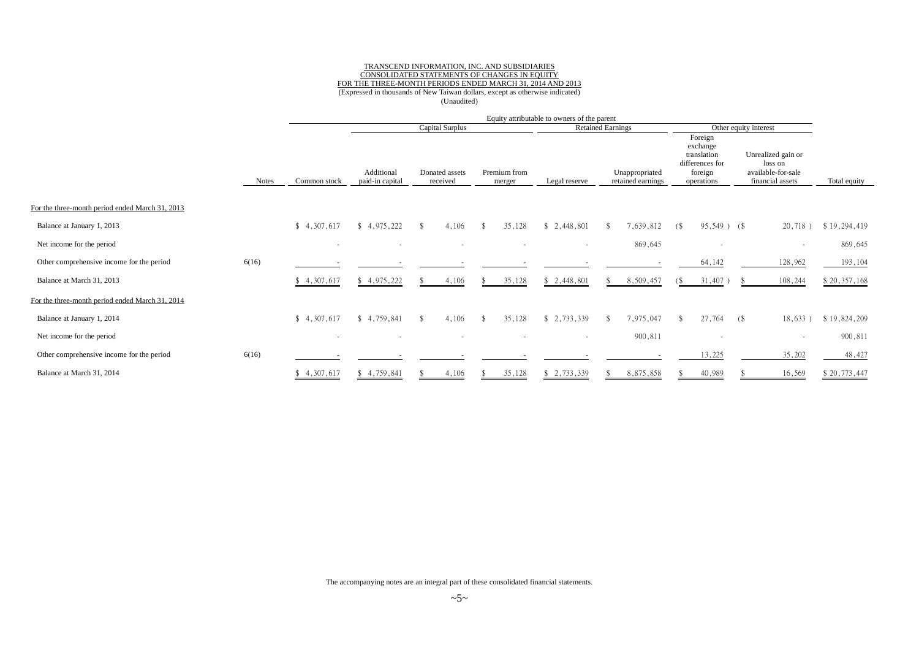#### TRANSCEND INFORMATION, INC. AND SUBSIDIARIES CONSOLIDATED STATEMENTS OF CHANGES IN EQUITY FOR THE THREE-MONTH PERIODS ENDED MARCH 31, 2014 AND 2013 (Expressed in thousands of New Taiwan dollars, except as otherwise indicated) (Unaudited)

|                                                 |              |                          | Equity attributable to owners of the parent |                            |                        |                          |                                     |                                                                                |                                                                         |              |
|-------------------------------------------------|--------------|--------------------------|---------------------------------------------|----------------------------|------------------------|--------------------------|-------------------------------------|--------------------------------------------------------------------------------|-------------------------------------------------------------------------|--------------|
|                                                 |              |                          |                                             | Capital Surplus            |                        |                          | <b>Retained Earnings</b>            |                                                                                | Other equity interest                                                   |              |
|                                                 | <b>Notes</b> | Common stock             | Additional<br>paid-in capital               | Donated assets<br>received | Premium from<br>merger | Legal reserve            | Unappropriated<br>retained earnings | Foreign<br>exchange<br>translation<br>differences for<br>foreign<br>operations | Unrealized gain or<br>loss on<br>available-for-sale<br>financial assets | Total equity |
| For the three-month period ended March 31, 2013 |              |                          |                                             |                            |                        |                          |                                     |                                                                                |                                                                         |              |
| Balance at January 1, 2013                      |              | \$4,307,617              | \$4,975,222                                 | 4,106<br>-S                | 35,128<br>-S           | \$2,448,801              | 7,639,812<br>-\$                    | $95,549$ ) (\$<br>6                                                            | 20,718)                                                                 | \$19,294,419 |
| Net income for the period                       |              | $\sim$                   | $\overline{\phantom{a}}$                    | $\overline{\phantom{a}}$   |                        | $\overline{\phantom{a}}$ | 869,645                             | $\overline{\phantom{a}}$                                                       |                                                                         | 869,645      |
| Other comprehensive income for the period       | 6(16)        |                          |                                             |                            |                        |                          |                                     | 64,142                                                                         | 128,962                                                                 | 193,104      |
| Balance at March 31, 2013                       |              | \$4,307,617              | \$4,975,222                                 | 4,106                      | 35,128                 | \$2,448,801              | 8,509,457                           | $31,407$ )<br>(\$                                                              | 108,244                                                                 | \$20,357,168 |
| For the three-month period ended March 31, 2014 |              |                          |                                             |                            |                        |                          |                                     |                                                                                |                                                                         |              |
| Balance at January 1, 2014                      |              | \$4,307,617              | \$4,759,841                                 | 4,106<br>-S                | 35,128<br>\$           | \$2,733,339              | 7,975,047<br>-\$                    | 27,764                                                                         | 18,633)<br>(\$                                                          | \$19,824,209 |
| Net income for the period                       |              | $\overline{\phantom{a}}$ |                                             |                            |                        | ٠                        | 900,811                             |                                                                                |                                                                         | 900,811      |
| Other comprehensive income for the period       | 6(16)        |                          |                                             |                            |                        |                          |                                     | 13,225                                                                         | 35,202                                                                  | 48,427       |
| Balance at March 31, 2014                       |              | \$4,307,617              | \$4,759,841                                 | 4,106                      | 35,128                 | \$2,733,339              | 8,875,858                           | 40,989                                                                         | 16,569                                                                  | \$20,773,447 |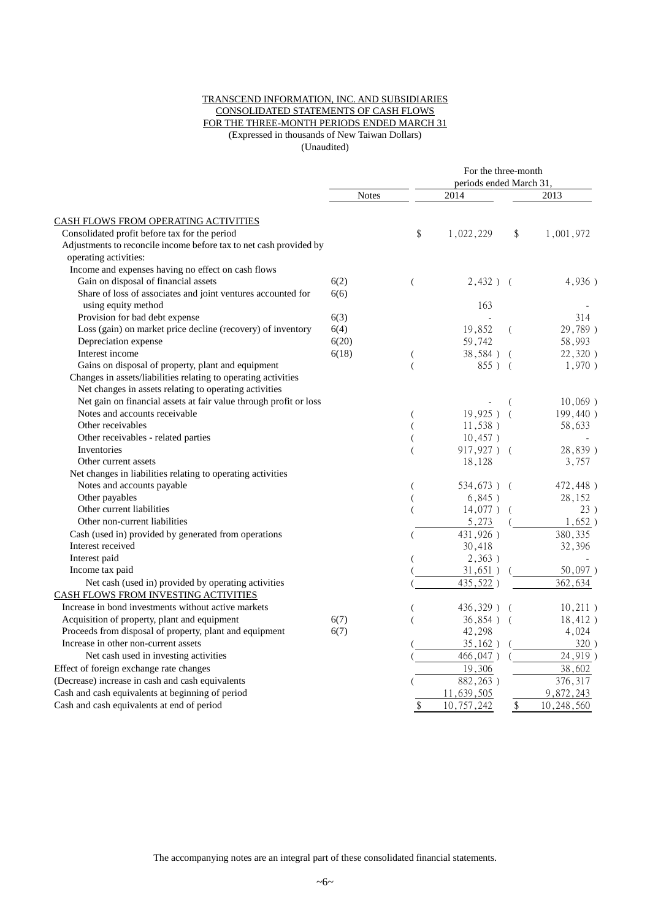#### TRANSCEND INFORMATION, INC. AND SUBSIDIARIES CONSOLIDATED STATEMENTS OF CASH FLOWS FOR THE THREE-MONTH PERIODS ENDED MARCH 31 (Expressed in thousands of New Taiwan Dollars) (Unaudited)

| 2014<br>2013<br><b>Notes</b><br><b>CASH FLOWS FROM OPERATING ACTIVITIES</b><br>\$<br>Consolidated profit before tax for the period<br>1,022,229<br>\$<br>1,001,972<br>Adjustments to reconcile income before tax to net cash provided by<br>operating activities:<br>Income and expenses having no effect on cash flows<br>Gain on disposal of financial assets<br>6(2)<br>4,936)<br>$2,432$ ) (<br>$\overline{(}$<br>6(6)<br>Share of loss of associates and joint ventures accounted for<br>using equity method<br>163<br>Provision for bad debt expense<br>6(3)<br>314<br>Loss (gain) on market price decline (recovery) of inventory<br>6(4)<br>19,852<br>(<br>Depreciation expense<br>6(20)<br>59,742<br>58,993<br>Interest income<br>6(18)<br>38,584)<br>(<br>Gains on disposal of property, plant and equipment<br>855)<br>$\overline{(}$<br>$\left($<br>Changes in assets/liabilities relating to operating activities<br>Net changes in assets relating to operating activities<br>Net gain on financial assets at fair value through profit or loss<br>(<br>Notes and accounts receivable<br>$19.925$ )<br>$\overline{ }$<br>Other receivables<br>11,538)<br>58,633<br>Other receivables - related parties<br>10,457)<br>Inventories<br>917,927) (<br>Other current assets<br>18,128<br>3,757<br>Net changes in liabilities relating to operating activities<br>Notes and accounts payable<br>534,673) (<br>(<br>Other payables<br>6,845)<br>28,152<br>$\overline{(\ }$<br>Other current liabilities<br>$14,077$ )<br>$\overline{ }$<br>Other non-current liabilities<br>5,273<br>431,926)<br>Cash (used in) provided by generated from operations<br>380, 335<br>Interest received<br>30,418<br>32,396<br>Interest paid<br>2,363)<br>Income tax paid<br>31,651)<br>435,522)<br>362,634<br>Net cash (used in) provided by operating activities<br>CASH FLOWS FROM INVESTING ACTIVITIES<br>Increase in bond investments without active markets<br>436,329) (<br>Acquisition of property, plant and equipment<br>6(7)<br>36,854)<br>$\overline{ }$<br>Proceeds from disposal of property, plant and equipment<br>6(7)<br>42,298<br>4,024<br>Increase in other non-current assets<br>35,162)<br>Net cash used in investing activities<br>466,047)<br>Effect of foreign exchange rate changes<br>19,306<br>38,602<br>376,317<br>(Decrease) increase in cash and cash equivalents<br>882,263)<br>Cash and cash equivalents at beginning of period<br>11,639,505<br>9,872,243 |                                            |    | For the three-month<br>periods ended March 31. |                            |            |  |  |  |
|-----------------------------------------------------------------------------------------------------------------------------------------------------------------------------------------------------------------------------------------------------------------------------------------------------------------------------------------------------------------------------------------------------------------------------------------------------------------------------------------------------------------------------------------------------------------------------------------------------------------------------------------------------------------------------------------------------------------------------------------------------------------------------------------------------------------------------------------------------------------------------------------------------------------------------------------------------------------------------------------------------------------------------------------------------------------------------------------------------------------------------------------------------------------------------------------------------------------------------------------------------------------------------------------------------------------------------------------------------------------------------------------------------------------------------------------------------------------------------------------------------------------------------------------------------------------------------------------------------------------------------------------------------------------------------------------------------------------------------------------------------------------------------------------------------------------------------------------------------------------------------------------------------------------------------------------------------------------------------------------------------------------------------------------------------------------------------------------------------------------------------------------------------------------------------------------------------------------------------------------------------------------------------------------------------------------------------------------------------------------------------------------------------------------------------------------------------------------------------------|--------------------------------------------|----|------------------------------------------------|----------------------------|------------|--|--|--|
|                                                                                                                                                                                                                                                                                                                                                                                                                                                                                                                                                                                                                                                                                                                                                                                                                                                                                                                                                                                                                                                                                                                                                                                                                                                                                                                                                                                                                                                                                                                                                                                                                                                                                                                                                                                                                                                                                                                                                                                                                                                                                                                                                                                                                                                                                                                                                                                                                                                                                   |                                            |    |                                                |                            |            |  |  |  |
|                                                                                                                                                                                                                                                                                                                                                                                                                                                                                                                                                                                                                                                                                                                                                                                                                                                                                                                                                                                                                                                                                                                                                                                                                                                                                                                                                                                                                                                                                                                                                                                                                                                                                                                                                                                                                                                                                                                                                                                                                                                                                                                                                                                                                                                                                                                                                                                                                                                                                   |                                            |    |                                                |                            |            |  |  |  |
|                                                                                                                                                                                                                                                                                                                                                                                                                                                                                                                                                                                                                                                                                                                                                                                                                                                                                                                                                                                                                                                                                                                                                                                                                                                                                                                                                                                                                                                                                                                                                                                                                                                                                                                                                                                                                                                                                                                                                                                                                                                                                                                                                                                                                                                                                                                                                                                                                                                                                   |                                            |    |                                                |                            |            |  |  |  |
|                                                                                                                                                                                                                                                                                                                                                                                                                                                                                                                                                                                                                                                                                                                                                                                                                                                                                                                                                                                                                                                                                                                                                                                                                                                                                                                                                                                                                                                                                                                                                                                                                                                                                                                                                                                                                                                                                                                                                                                                                                                                                                                                                                                                                                                                                                                                                                                                                                                                                   |                                            |    |                                                |                            |            |  |  |  |
|                                                                                                                                                                                                                                                                                                                                                                                                                                                                                                                                                                                                                                                                                                                                                                                                                                                                                                                                                                                                                                                                                                                                                                                                                                                                                                                                                                                                                                                                                                                                                                                                                                                                                                                                                                                                                                                                                                                                                                                                                                                                                                                                                                                                                                                                                                                                                                                                                                                                                   |                                            |    |                                                |                            |            |  |  |  |
|                                                                                                                                                                                                                                                                                                                                                                                                                                                                                                                                                                                                                                                                                                                                                                                                                                                                                                                                                                                                                                                                                                                                                                                                                                                                                                                                                                                                                                                                                                                                                                                                                                                                                                                                                                                                                                                                                                                                                                                                                                                                                                                                                                                                                                                                                                                                                                                                                                                                                   |                                            |    |                                                |                            |            |  |  |  |
|                                                                                                                                                                                                                                                                                                                                                                                                                                                                                                                                                                                                                                                                                                                                                                                                                                                                                                                                                                                                                                                                                                                                                                                                                                                                                                                                                                                                                                                                                                                                                                                                                                                                                                                                                                                                                                                                                                                                                                                                                                                                                                                                                                                                                                                                                                                                                                                                                                                                                   |                                            |    |                                                |                            |            |  |  |  |
|                                                                                                                                                                                                                                                                                                                                                                                                                                                                                                                                                                                                                                                                                                                                                                                                                                                                                                                                                                                                                                                                                                                                                                                                                                                                                                                                                                                                                                                                                                                                                                                                                                                                                                                                                                                                                                                                                                                                                                                                                                                                                                                                                                                                                                                                                                                                                                                                                                                                                   |                                            |    |                                                |                            |            |  |  |  |
|                                                                                                                                                                                                                                                                                                                                                                                                                                                                                                                                                                                                                                                                                                                                                                                                                                                                                                                                                                                                                                                                                                                                                                                                                                                                                                                                                                                                                                                                                                                                                                                                                                                                                                                                                                                                                                                                                                                                                                                                                                                                                                                                                                                                                                                                                                                                                                                                                                                                                   |                                            |    |                                                |                            |            |  |  |  |
|                                                                                                                                                                                                                                                                                                                                                                                                                                                                                                                                                                                                                                                                                                                                                                                                                                                                                                                                                                                                                                                                                                                                                                                                                                                                                                                                                                                                                                                                                                                                                                                                                                                                                                                                                                                                                                                                                                                                                                                                                                                                                                                                                                                                                                                                                                                                                                                                                                                                                   |                                            |    |                                                |                            |            |  |  |  |
|                                                                                                                                                                                                                                                                                                                                                                                                                                                                                                                                                                                                                                                                                                                                                                                                                                                                                                                                                                                                                                                                                                                                                                                                                                                                                                                                                                                                                                                                                                                                                                                                                                                                                                                                                                                                                                                                                                                                                                                                                                                                                                                                                                                                                                                                                                                                                                                                                                                                                   |                                            |    |                                                |                            | 29,789)    |  |  |  |
|                                                                                                                                                                                                                                                                                                                                                                                                                                                                                                                                                                                                                                                                                                                                                                                                                                                                                                                                                                                                                                                                                                                                                                                                                                                                                                                                                                                                                                                                                                                                                                                                                                                                                                                                                                                                                                                                                                                                                                                                                                                                                                                                                                                                                                                                                                                                                                                                                                                                                   |                                            |    |                                                |                            |            |  |  |  |
|                                                                                                                                                                                                                                                                                                                                                                                                                                                                                                                                                                                                                                                                                                                                                                                                                                                                                                                                                                                                                                                                                                                                                                                                                                                                                                                                                                                                                                                                                                                                                                                                                                                                                                                                                                                                                                                                                                                                                                                                                                                                                                                                                                                                                                                                                                                                                                                                                                                                                   |                                            |    |                                                |                            | 22,320)    |  |  |  |
|                                                                                                                                                                                                                                                                                                                                                                                                                                                                                                                                                                                                                                                                                                                                                                                                                                                                                                                                                                                                                                                                                                                                                                                                                                                                                                                                                                                                                                                                                                                                                                                                                                                                                                                                                                                                                                                                                                                                                                                                                                                                                                                                                                                                                                                                                                                                                                                                                                                                                   |                                            |    |                                                |                            | 1,970)     |  |  |  |
|                                                                                                                                                                                                                                                                                                                                                                                                                                                                                                                                                                                                                                                                                                                                                                                                                                                                                                                                                                                                                                                                                                                                                                                                                                                                                                                                                                                                                                                                                                                                                                                                                                                                                                                                                                                                                                                                                                                                                                                                                                                                                                                                                                                                                                                                                                                                                                                                                                                                                   |                                            |    |                                                |                            |            |  |  |  |
|                                                                                                                                                                                                                                                                                                                                                                                                                                                                                                                                                                                                                                                                                                                                                                                                                                                                                                                                                                                                                                                                                                                                                                                                                                                                                                                                                                                                                                                                                                                                                                                                                                                                                                                                                                                                                                                                                                                                                                                                                                                                                                                                                                                                                                                                                                                                                                                                                                                                                   |                                            |    |                                                |                            |            |  |  |  |
|                                                                                                                                                                                                                                                                                                                                                                                                                                                                                                                                                                                                                                                                                                                                                                                                                                                                                                                                                                                                                                                                                                                                                                                                                                                                                                                                                                                                                                                                                                                                                                                                                                                                                                                                                                                                                                                                                                                                                                                                                                                                                                                                                                                                                                                                                                                                                                                                                                                                                   |                                            |    |                                                |                            | $10,069$ ) |  |  |  |
|                                                                                                                                                                                                                                                                                                                                                                                                                                                                                                                                                                                                                                                                                                                                                                                                                                                                                                                                                                                                                                                                                                                                                                                                                                                                                                                                                                                                                                                                                                                                                                                                                                                                                                                                                                                                                                                                                                                                                                                                                                                                                                                                                                                                                                                                                                                                                                                                                                                                                   |                                            |    |                                                |                            | 199,440)   |  |  |  |
|                                                                                                                                                                                                                                                                                                                                                                                                                                                                                                                                                                                                                                                                                                                                                                                                                                                                                                                                                                                                                                                                                                                                                                                                                                                                                                                                                                                                                                                                                                                                                                                                                                                                                                                                                                                                                                                                                                                                                                                                                                                                                                                                                                                                                                                                                                                                                                                                                                                                                   |                                            |    |                                                |                            |            |  |  |  |
|                                                                                                                                                                                                                                                                                                                                                                                                                                                                                                                                                                                                                                                                                                                                                                                                                                                                                                                                                                                                                                                                                                                                                                                                                                                                                                                                                                                                                                                                                                                                                                                                                                                                                                                                                                                                                                                                                                                                                                                                                                                                                                                                                                                                                                                                                                                                                                                                                                                                                   |                                            |    |                                                |                            |            |  |  |  |
|                                                                                                                                                                                                                                                                                                                                                                                                                                                                                                                                                                                                                                                                                                                                                                                                                                                                                                                                                                                                                                                                                                                                                                                                                                                                                                                                                                                                                                                                                                                                                                                                                                                                                                                                                                                                                                                                                                                                                                                                                                                                                                                                                                                                                                                                                                                                                                                                                                                                                   |                                            |    |                                                |                            | 28,839)    |  |  |  |
|                                                                                                                                                                                                                                                                                                                                                                                                                                                                                                                                                                                                                                                                                                                                                                                                                                                                                                                                                                                                                                                                                                                                                                                                                                                                                                                                                                                                                                                                                                                                                                                                                                                                                                                                                                                                                                                                                                                                                                                                                                                                                                                                                                                                                                                                                                                                                                                                                                                                                   |                                            |    |                                                |                            |            |  |  |  |
|                                                                                                                                                                                                                                                                                                                                                                                                                                                                                                                                                                                                                                                                                                                                                                                                                                                                                                                                                                                                                                                                                                                                                                                                                                                                                                                                                                                                                                                                                                                                                                                                                                                                                                                                                                                                                                                                                                                                                                                                                                                                                                                                                                                                                                                                                                                                                                                                                                                                                   |                                            |    |                                                |                            |            |  |  |  |
|                                                                                                                                                                                                                                                                                                                                                                                                                                                                                                                                                                                                                                                                                                                                                                                                                                                                                                                                                                                                                                                                                                                                                                                                                                                                                                                                                                                                                                                                                                                                                                                                                                                                                                                                                                                                                                                                                                                                                                                                                                                                                                                                                                                                                                                                                                                                                                                                                                                                                   |                                            |    |                                                |                            | 472,448)   |  |  |  |
|                                                                                                                                                                                                                                                                                                                                                                                                                                                                                                                                                                                                                                                                                                                                                                                                                                                                                                                                                                                                                                                                                                                                                                                                                                                                                                                                                                                                                                                                                                                                                                                                                                                                                                                                                                                                                                                                                                                                                                                                                                                                                                                                                                                                                                                                                                                                                                                                                                                                                   |                                            |    |                                                |                            |            |  |  |  |
|                                                                                                                                                                                                                                                                                                                                                                                                                                                                                                                                                                                                                                                                                                                                                                                                                                                                                                                                                                                                                                                                                                                                                                                                                                                                                                                                                                                                                                                                                                                                                                                                                                                                                                                                                                                                                                                                                                                                                                                                                                                                                                                                                                                                                                                                                                                                                                                                                                                                                   |                                            |    |                                                |                            | 23)        |  |  |  |
|                                                                                                                                                                                                                                                                                                                                                                                                                                                                                                                                                                                                                                                                                                                                                                                                                                                                                                                                                                                                                                                                                                                                                                                                                                                                                                                                                                                                                                                                                                                                                                                                                                                                                                                                                                                                                                                                                                                                                                                                                                                                                                                                                                                                                                                                                                                                                                                                                                                                                   |                                            |    |                                                |                            | $1,652$ )  |  |  |  |
|                                                                                                                                                                                                                                                                                                                                                                                                                                                                                                                                                                                                                                                                                                                                                                                                                                                                                                                                                                                                                                                                                                                                                                                                                                                                                                                                                                                                                                                                                                                                                                                                                                                                                                                                                                                                                                                                                                                                                                                                                                                                                                                                                                                                                                                                                                                                                                                                                                                                                   |                                            |    |                                                |                            |            |  |  |  |
|                                                                                                                                                                                                                                                                                                                                                                                                                                                                                                                                                                                                                                                                                                                                                                                                                                                                                                                                                                                                                                                                                                                                                                                                                                                                                                                                                                                                                                                                                                                                                                                                                                                                                                                                                                                                                                                                                                                                                                                                                                                                                                                                                                                                                                                                                                                                                                                                                                                                                   |                                            |    |                                                |                            |            |  |  |  |
|                                                                                                                                                                                                                                                                                                                                                                                                                                                                                                                                                                                                                                                                                                                                                                                                                                                                                                                                                                                                                                                                                                                                                                                                                                                                                                                                                                                                                                                                                                                                                                                                                                                                                                                                                                                                                                                                                                                                                                                                                                                                                                                                                                                                                                                                                                                                                                                                                                                                                   |                                            |    |                                                |                            |            |  |  |  |
|                                                                                                                                                                                                                                                                                                                                                                                                                                                                                                                                                                                                                                                                                                                                                                                                                                                                                                                                                                                                                                                                                                                                                                                                                                                                                                                                                                                                                                                                                                                                                                                                                                                                                                                                                                                                                                                                                                                                                                                                                                                                                                                                                                                                                                                                                                                                                                                                                                                                                   |                                            |    |                                                |                            | 50,097)    |  |  |  |
|                                                                                                                                                                                                                                                                                                                                                                                                                                                                                                                                                                                                                                                                                                                                                                                                                                                                                                                                                                                                                                                                                                                                                                                                                                                                                                                                                                                                                                                                                                                                                                                                                                                                                                                                                                                                                                                                                                                                                                                                                                                                                                                                                                                                                                                                                                                                                                                                                                                                                   |                                            |    |                                                |                            |            |  |  |  |
|                                                                                                                                                                                                                                                                                                                                                                                                                                                                                                                                                                                                                                                                                                                                                                                                                                                                                                                                                                                                                                                                                                                                                                                                                                                                                                                                                                                                                                                                                                                                                                                                                                                                                                                                                                                                                                                                                                                                                                                                                                                                                                                                                                                                                                                                                                                                                                                                                                                                                   |                                            |    |                                                |                            |            |  |  |  |
|                                                                                                                                                                                                                                                                                                                                                                                                                                                                                                                                                                                                                                                                                                                                                                                                                                                                                                                                                                                                                                                                                                                                                                                                                                                                                                                                                                                                                                                                                                                                                                                                                                                                                                                                                                                                                                                                                                                                                                                                                                                                                                                                                                                                                                                                                                                                                                                                                                                                                   |                                            |    |                                                |                            | 10,211)    |  |  |  |
|                                                                                                                                                                                                                                                                                                                                                                                                                                                                                                                                                                                                                                                                                                                                                                                                                                                                                                                                                                                                                                                                                                                                                                                                                                                                                                                                                                                                                                                                                                                                                                                                                                                                                                                                                                                                                                                                                                                                                                                                                                                                                                                                                                                                                                                                                                                                                                                                                                                                                   |                                            |    |                                                |                            | 18,412)    |  |  |  |
|                                                                                                                                                                                                                                                                                                                                                                                                                                                                                                                                                                                                                                                                                                                                                                                                                                                                                                                                                                                                                                                                                                                                                                                                                                                                                                                                                                                                                                                                                                                                                                                                                                                                                                                                                                                                                                                                                                                                                                                                                                                                                                                                                                                                                                                                                                                                                                                                                                                                                   |                                            |    |                                                |                            |            |  |  |  |
|                                                                                                                                                                                                                                                                                                                                                                                                                                                                                                                                                                                                                                                                                                                                                                                                                                                                                                                                                                                                                                                                                                                                                                                                                                                                                                                                                                                                                                                                                                                                                                                                                                                                                                                                                                                                                                                                                                                                                                                                                                                                                                                                                                                                                                                                                                                                                                                                                                                                                   |                                            |    |                                                |                            | 320)       |  |  |  |
|                                                                                                                                                                                                                                                                                                                                                                                                                                                                                                                                                                                                                                                                                                                                                                                                                                                                                                                                                                                                                                                                                                                                                                                                                                                                                                                                                                                                                                                                                                                                                                                                                                                                                                                                                                                                                                                                                                                                                                                                                                                                                                                                                                                                                                                                                                                                                                                                                                                                                   |                                            |    |                                                |                            | 24,919)    |  |  |  |
|                                                                                                                                                                                                                                                                                                                                                                                                                                                                                                                                                                                                                                                                                                                                                                                                                                                                                                                                                                                                                                                                                                                                                                                                                                                                                                                                                                                                                                                                                                                                                                                                                                                                                                                                                                                                                                                                                                                                                                                                                                                                                                                                                                                                                                                                                                                                                                                                                                                                                   |                                            |    |                                                |                            |            |  |  |  |
|                                                                                                                                                                                                                                                                                                                                                                                                                                                                                                                                                                                                                                                                                                                                                                                                                                                                                                                                                                                                                                                                                                                                                                                                                                                                                                                                                                                                                                                                                                                                                                                                                                                                                                                                                                                                                                                                                                                                                                                                                                                                                                                                                                                                                                                                                                                                                                                                                                                                                   |                                            |    |                                                |                            |            |  |  |  |
|                                                                                                                                                                                                                                                                                                                                                                                                                                                                                                                                                                                                                                                                                                                                                                                                                                                                                                                                                                                                                                                                                                                                                                                                                                                                                                                                                                                                                                                                                                                                                                                                                                                                                                                                                                                                                                                                                                                                                                                                                                                                                                                                                                                                                                                                                                                                                                                                                                                                                   |                                            |    |                                                |                            |            |  |  |  |
|                                                                                                                                                                                                                                                                                                                                                                                                                                                                                                                                                                                                                                                                                                                                                                                                                                                                                                                                                                                                                                                                                                                                                                                                                                                                                                                                                                                                                                                                                                                                                                                                                                                                                                                                                                                                                                                                                                                                                                                                                                                                                                                                                                                                                                                                                                                                                                                                                                                                                   | Cash and cash equivalents at end of period | \$ | 10,757,242                                     | $\boldsymbol{\mathsf{\$}}$ | 10,248,560 |  |  |  |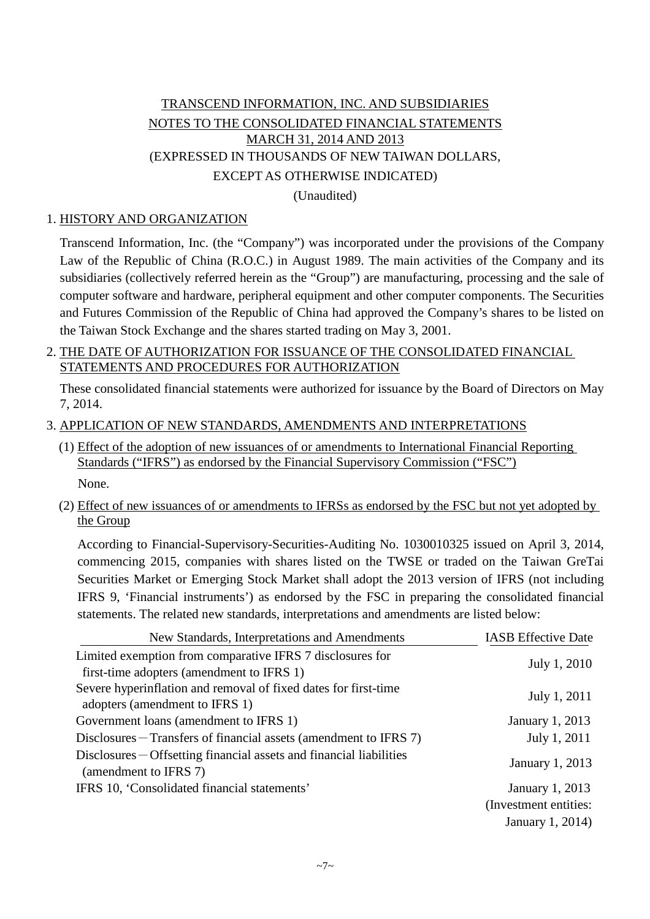# TRANSCEND INFORMATION, INC. AND SUBSIDIARIES NOTES TO THE CONSOLIDATED FINANCIAL STATEMENTS MARCH 31, 2014 AND 2013 (EXPRESSED IN THOUSANDS OF NEW TAIWAN DOLLARS, EXCEPT AS OTHERWISE INDICATED)

(Unaudited)

## 1. HISTORY AND ORGANIZATION

Transcend Information, Inc. (the "Company") was incorporated under the provisions of the Company Law of the Republic of China (R.O.C.) in August 1989. The main activities of the Company and its subsidiaries (collectively referred herein as the "Group") are manufacturing, processing and the sale of computer software and hardware, peripheral equipment and other computer components. The Securities and Futures Commission of the Republic of China had approved the Company's shares to be listed on the Taiwan Stock Exchange and the shares started trading on May 3, 2001.

### 2. THE DATE OF AUTHORIZATION FOR ISSUANCE OF THE CONSOLIDATED FINANCIAL STATEMENTS AND PROCEDURES FOR AUTHORIZATION

These consolidated financial statements were authorized for issuance by the Board of Directors on May 7, 2014.

### 3. APPLICATION OF NEW STANDARDS, AMENDMENTS AND INTERPRETATIONS

- (1) Effect of the adoption of new issuances of or amendments to International Financial Reporting Standards ("IFRS") as endorsed by the Financial Supervisory Commission ("FSC") None.
- (2) Effect of new issuances of or amendments to IFRSs as endorsed by the FSC but not yet adopted by the Group

According to Financial-Supervisory-Securities-Auditing No. 1030010325 issued on April 3, 2014, commencing 2015, companies with shares listed on the TWSE or traded on the Taiwan GreTai Securities Market or Emerging Stock Market shall adopt the 2013 version of IFRS (not including IFRS 9, 'Financial instruments') as endorsed by the FSC in preparing the consolidated financial statements. The related new standards, interpretations and amendments are listed below:

| New Standards, Interpretations and Amendments                                                          | <b>IASB</b> Effective Date |
|--------------------------------------------------------------------------------------------------------|----------------------------|
| Limited exemption from comparative IFRS 7 disclosures for<br>first-time adopters (amendment to IFRS 1) | July 1, 2010               |
| Severe hyperinflation and removal of fixed dates for first-time<br>adopters (amendment to IFRS 1)      | July 1, 2011               |
| Government loans (amendment to IFRS 1)                                                                 | January 1, 2013            |
| $Disclosures - Transfers of financial assets (amendment to IFRS 7)$                                    | July 1, 2011               |
| $Disclosures - Offsetting financial assets and financial liabilities$<br>(amendment to IFRS 7)         | January 1, 2013            |
| IFRS 10, 'Consolidated financial statements'                                                           | <b>January 1, 2013</b>     |
|                                                                                                        | (Investment entities:      |
|                                                                                                        | January 1, 2014)           |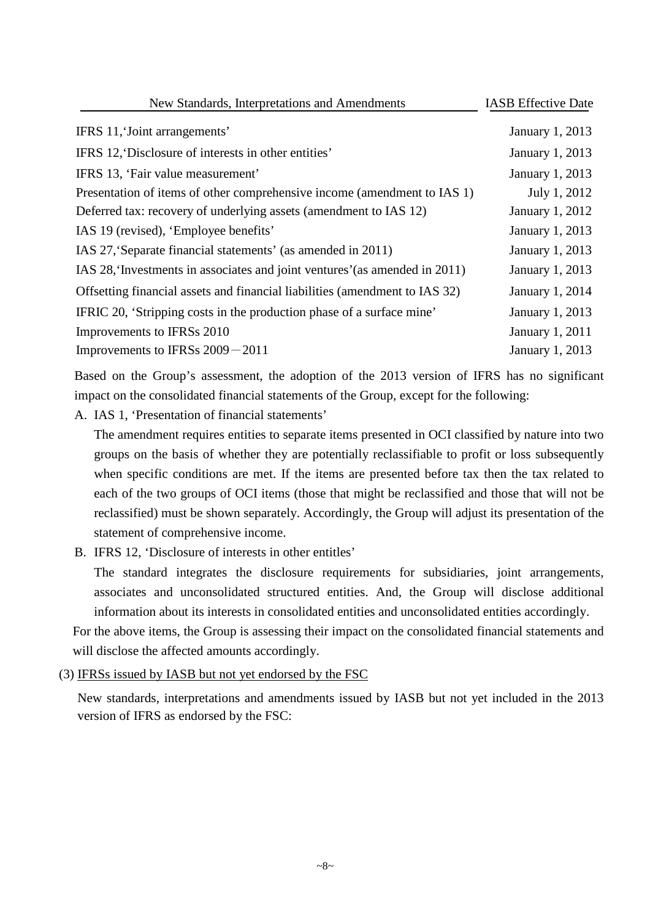| New Standards, Interpretations and Amendments                               | <b>IASB</b> Effective Date |
|-----------------------------------------------------------------------------|----------------------------|
| IFRS 11, Joint arrangements'                                                | <b>January 1, 2013</b>     |
| IFRS 12, Disclosure of interests in other entities'                         | <b>January 1, 2013</b>     |
| IFRS 13, 'Fair value measurement'                                           | January 1, 2013            |
| Presentation of items of other comprehensive income (amendment to IAS 1)    | July 1, 2012               |
| Deferred tax: recovery of underlying assets (amendment to IAS 12)           | January 1, 2012            |
| IAS 19 (revised), 'Employee benefits'                                       | January 1, 2013            |
| IAS 27, 'Separate financial statements' (as amended in 2011)                | January 1, 2013            |
| IAS 28, Investments in associates and joint ventures' (as amended in 2011)  | <b>January 1, 2013</b>     |
| Offsetting financial assets and financial liabilities (amendment to IAS 32) | January 1, 2014            |
| IFRIC 20, 'Stripping costs in the production phase of a surface mine'       | January 1, 2013            |
| Improvements to IFRSs 2010                                                  | January 1, 2011            |
| Improvements to IFRSs $2009 - 2011$                                         | January 1, 2013            |

Based on the Group's assessment, the adoption of the 2013 version of IFRS has no significant impact on the consolidated financial statements of the Group, except for the following:

A. IAS 1, 'Presentation of financial statements'

The amendment requires entities to separate items presented in OCI classified by nature into two groups on the basis of whether they are potentially reclassifiable to profit or loss subsequently when specific conditions are met. If the items are presented before tax then the tax related to each of the two groups of OCI items (those that might be reclassified and those that will not be reclassified) must be shown separately. Accordingly, the Group will adjust its presentation of the statement of comprehensive income.

B. IFRS 12, 'Disclosure of interests in other entitles'

The standard integrates the disclosure requirements for subsidiaries, joint arrangements, associates and unconsolidated structured entities. And, the Group will disclose additional information about its interests in consolidated entities and unconsolidated entities accordingly.

For the above items, the Group is assessing their impact on the consolidated financial statements and will disclose the affected amounts accordingly.

### (3) IFRSs issued by IASB but not yet endorsed by the FSC

New standards, interpretations and amendments issued by IASB but not yet included in the 2013 version of IFRS as endorsed by the FSC: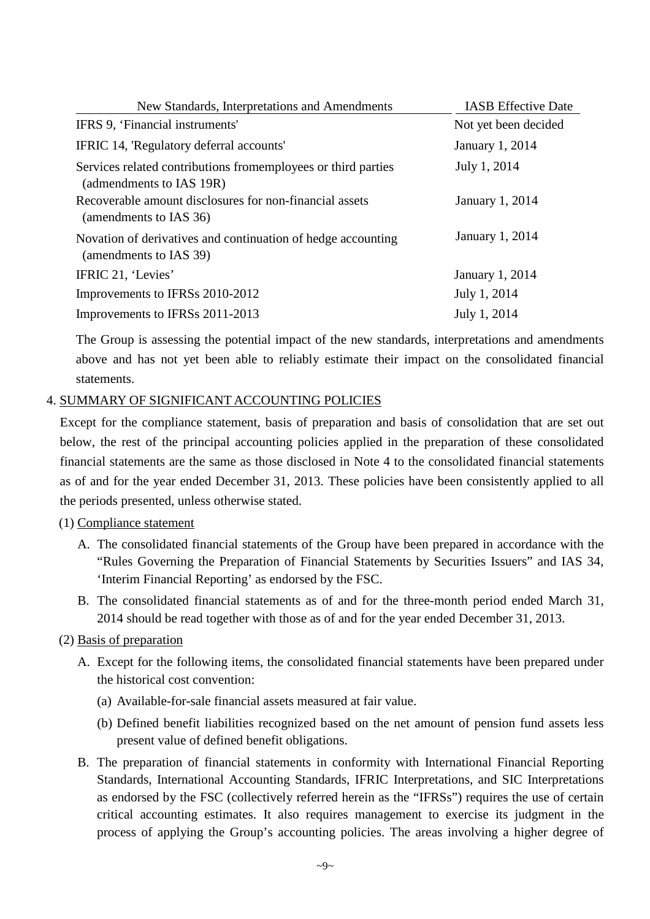| New Standards, Interpretations and Amendments                                              | <b>IASB</b> Effective Date |
|--------------------------------------------------------------------------------------------|----------------------------|
| IFRS 9, 'Financial instruments'                                                            | Not yet been decided       |
| IFRIC 14, 'Regulatory deferral accounts'                                                   | <b>January 1, 2014</b>     |
| Services related contributions from employees or third parties<br>(admendments to IAS 19R) | July 1, 2014               |
| Recoverable amount disclosures for non-financial assets<br>(amendments to IAS 36)          | January 1, 2014            |
| Novation of derivatives and continuation of hedge accounting<br>(amendments to IAS 39)     | January 1, 2014            |
| IFRIC 21, 'Levies'                                                                         | January 1, 2014            |
| Improvements to IFRSs 2010-2012                                                            | July 1, 2014               |
| Improvements to IFRSs 2011-2013                                                            | July 1, 2014               |

The Group is assessing the potential impact of the new standards, interpretations and amendments above and has not yet been able to reliably estimate their impact on the consolidated financial statements.

### 4. SUMMARY OF SIGNIFICANT ACCOUNTING POLICIES

Except for the compliance statement, basis of preparation and basis of consolidation that are set out below, the rest of the principal accounting policies applied in the preparation of these consolidated financial statements are the same as those disclosed in Note 4 to the consolidated financial statements as of and for the year ended December 31, 2013. These policies have been consistently applied to all the periods presented, unless otherwise stated.

### (1) Compliance statement

- A. The consolidated financial statements of the Group have been prepared in accordance with the "Rules Governing the Preparation of Financial Statements by Securities Issuers" and IAS 34, 'Interim Financial Reporting' as endorsed by the FSC.
- B. The consolidated financial statements as of and for the three-month period ended March 31, 2014 should be read together with those as of and for the year ended December 31, 2013.

### (2) Basis of preparation

- A. Except for the following items, the consolidated financial statements have been prepared under the historical cost convention:
	- (a) Available-for-sale financial assets measured at fair value.
	- (b) Defined benefit liabilities recognized based on the net amount of pension fund assets less present value of defined benefit obligations.
- B. The preparation of financial statements in conformity with International Financial Reporting Standards, International Accounting Standards, IFRIC Interpretations, and SIC Interpretations as endorsed by the FSC (collectively referred herein as the "IFRSs") requires the use of certain critical accounting estimates. It also requires management to exercise its judgment in the process of applying the Group's accounting policies. The areas involving a higher degree of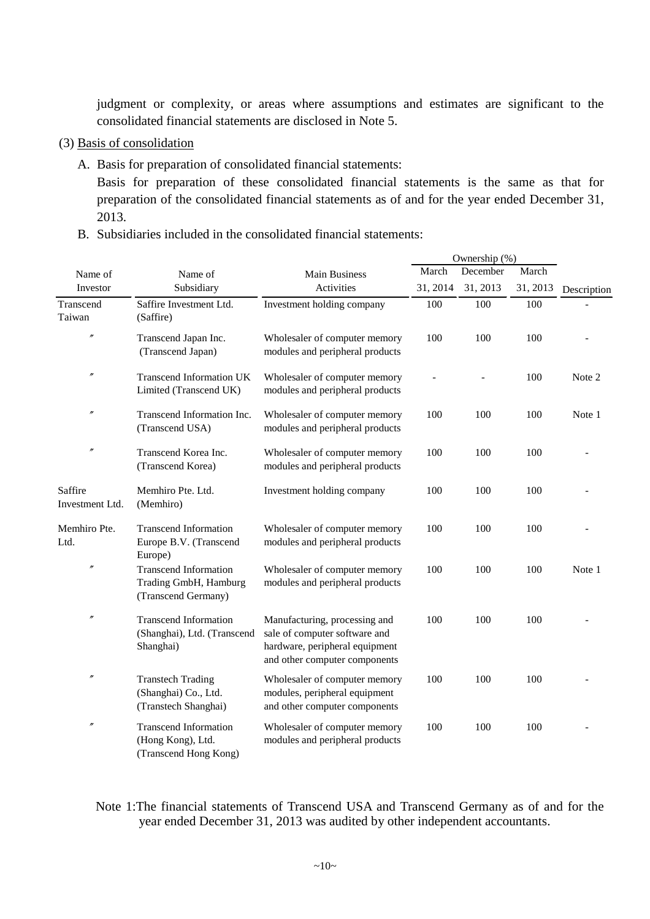judgment or complexity, or areas where assumptions and estimates are significant to the consolidated financial statements are disclosed in Note 5.

- (3) Basis of consolidation
	- A. Basis for preparation of consolidated financial statements:

Basis for preparation of these consolidated financial statements is the same as that for preparation of the consolidated financial statements as of and for the year ended December 31, 2013.

B. Subsidiaries included in the consolidated financial statements:

|                            |                                                                              |                                                                                                                                   |          | Ownership (%) |          |             |
|----------------------------|------------------------------------------------------------------------------|-----------------------------------------------------------------------------------------------------------------------------------|----------|---------------|----------|-------------|
| Name of                    | Name of                                                                      | <b>Main Business</b>                                                                                                              | March    | December      | March    |             |
| Investor                   | Subsidiary                                                                   | Activities                                                                                                                        | 31, 2014 | 31, 2013      | 31, 2013 | Description |
| Transcend<br>Taiwan        | Saffire Investment Ltd.<br>(Saffire)                                         | Investment holding company                                                                                                        | 100      | 100           | 100      |             |
| $\theta$                   | Transcend Japan Inc.<br>(Transcend Japan)                                    | Wholesaler of computer memory<br>modules and peripheral products                                                                  | 100      | 100           | 100      |             |
| $\theta$                   | <b>Transcend Information UK</b><br>Limited (Transcend UK)                    | Wholesaler of computer memory<br>modules and peripheral products                                                                  |          |               | 100      | Note 2      |
| $\theta$                   | Transcend Information Inc.<br>(Transcend USA)                                | Wholesaler of computer memory<br>modules and peripheral products                                                                  | 100      | 100           | 100      | Note 1      |
| $\theta$                   | Transcend Korea Inc.<br>(Transcend Korea)                                    | Wholesaler of computer memory<br>modules and peripheral products                                                                  | 100      | 100           | 100      |             |
| Saffire<br>Investment Ltd. | Memhiro Pte. Ltd.<br>(Memhiro)                                               | Investment holding company                                                                                                        | 100      | 100           | 100      |             |
| Memhiro Pte.<br>Ltd.       | <b>Transcend Information</b><br>Europe B.V. (Transcend<br>Europe)            | Wholesaler of computer memory<br>modules and peripheral products                                                                  | 100      | 100           | 100      |             |
| $\prime$                   | <b>Transcend Information</b><br>Trading GmbH, Hamburg<br>(Transcend Germany) | Wholesaler of computer memory<br>modules and peripheral products                                                                  | 100      | 100           | 100      | Note 1      |
| $\theta$                   | <b>Transcend Information</b><br>(Shanghai), Ltd. (Transcend<br>Shanghai)     | Manufacturing, processing and<br>sale of computer software and<br>hardware, peripheral equipment<br>and other computer components | 100      | 100           | 100      |             |
| n                          | <b>Transtech Trading</b><br>(Shanghai) Co., Ltd.<br>(Transtech Shanghai)     | Wholesaler of computer memory<br>modules, peripheral equipment<br>and other computer components                                   | 100      | 100           | 100      |             |
| $\theta$                   | <b>Transcend Information</b><br>(Hong Kong), Ltd.<br>(Transcend Hong Kong)   | Wholesaler of computer memory<br>modules and peripheral products                                                                  | 100      | 100           | 100      |             |

Note 1:The financial statements of Transcend USA and Transcend Germany as of and for the year ended December 31, 2013 was audited by other independent accountants.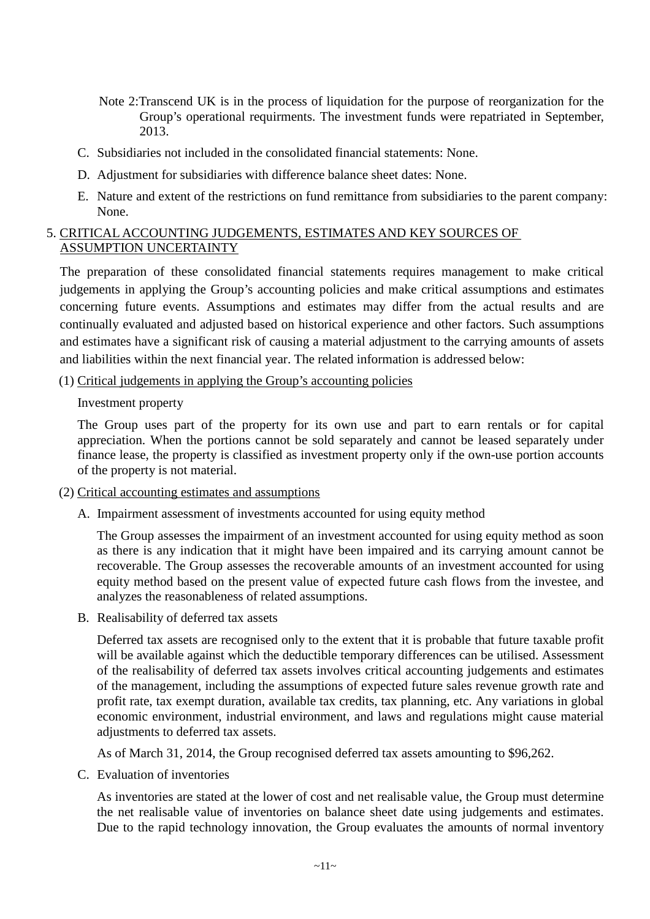- Note 2:Transcend UK is in the process of liquidation for the purpose of reorganization for the Group's operational requirments. The investment funds were repatriated in September, 2013.
- C. Subsidiaries not included in the consolidated financial statements: None.
- D. Adjustment for subsidiaries with difference balance sheet dates: None.
- E. Nature and extent of the restrictions on fund remittance from subsidiaries to the parent company: None.

### 5. CRITICAL ACCOUNTING JUDGEMENTS, ESTIMATES AND KEY SOURCES OF ASSUMPTION UNCERTAINTY

The preparation of these consolidated financial statements requires management to make critical judgements in applying the Group's accounting policies and make critical assumptions and estimates concerning future events. Assumptions and estimates may differ from the actual results and are continually evaluated and adjusted based on historical experience and other factors. Such assumptions and estimates have a significant risk of causing a material adjustment to the carrying amounts of assets and liabilities within the next financial year. The related information is addressed below:

### (1) Critical judgements in applying the Group's accounting policies

### Investment property

The Group uses part of the property for its own use and part to earn rentals or for capital appreciation. When the portions cannot be sold separately and cannot be leased separately under finance lease, the property is classified as investment property only if the own-use portion accounts of the property is not material.

- (2) Critical accounting estimates and assumptions
	- A. Impairment assessment of investments accounted for using equity method

The Group assesses the impairment of an investment accounted for using equity method as soon as there is any indication that it might have been impaired and its carrying amount cannot be recoverable. The Group assesses the recoverable amounts of an investment accounted for using equity method based on the present value of expected future cash flows from the investee, and analyzes the reasonableness of related assumptions.

B. Realisability of deferred tax assets

Deferred tax assets are recognised only to the extent that it is probable that future taxable profit will be available against which the deductible temporary differences can be utilised. Assessment of the realisability of deferred tax assets involves critical accounting judgements and estimates of the management, including the assumptions of expected future sales revenue growth rate and profit rate, tax exempt duration, available tax credits, tax planning, etc. Any variations in global economic environment, industrial environment, and laws and regulations might cause material adjustments to deferred tax assets.

As of March 31, 2014, the Group recognised deferred tax assets amounting to \$96,262.

C. Evaluation of inventories

As inventories are stated at the lower of cost and net realisable value, the Group must determine the net realisable value of inventories on balance sheet date using judgements and estimates. Due to the rapid technology innovation, the Group evaluates the amounts of normal inventory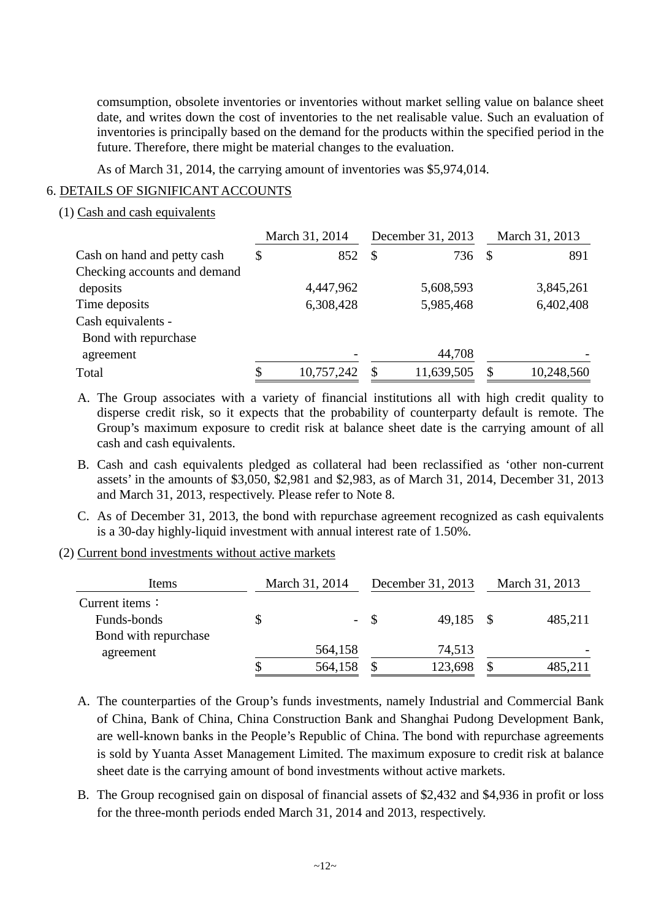comsumption, obsolete inventories or inventories without market selling value on balance sheet date, and writes down the cost of inventories to the net realisable value. Such an evaluation of inventories is principally based on the demand for the products within the specified period in the future. Therefore, there might be material changes to the evaluation.

As of March 31, 2014, the carrying amount of inventories was \$5,974,014.

### 6. DETAILS OF SIGNIFICANT ACCOUNTS

### (1) Cash and cash equivalents

|                              | March 31, 2014 |            | December 31, 2013 |            | March 31, 2013 |            |
|------------------------------|----------------|------------|-------------------|------------|----------------|------------|
| Cash on hand and petty cash  | \$             | 852        | <sup>S</sup>      | 736        | - \$           | 891        |
| Checking accounts and demand |                |            |                   |            |                |            |
| deposits                     |                | 4,447,962  |                   | 5,608,593  |                | 3,845,261  |
| Time deposits                |                | 6,308,428  |                   | 5,985,468  |                | 6,402,408  |
| Cash equivalents -           |                |            |                   |            |                |            |
| Bond with repurchase         |                |            |                   |            |                |            |
| agreement                    |                |            |                   | 44,708     |                |            |
| Total                        |                | 10,757,242 | S                 | 11,639,505 |                | 10,248,560 |

- A. The Group associates with a variety of financial institutions all with high credit quality to disperse credit risk, so it expects that the probability of counterparty default is remote. The Group's maximum exposure to credit risk at balance sheet date is the carrying amount of all cash and cash equivalents.
- B. Cash and cash equivalents pledged as collateral had been reclassified as 'other non-current assets' in the amounts of \$3,050, \$2,981 and \$2,983, as of March 31, 2014, December 31, 2013 and March 31, 2013, respectively. Please refer to Note 8.
- C. As of December 31, 2013, the bond with repurchase agreement recognized as cash equivalents is a 30-day highly-liquid investment with annual interest rate of 1.50%.
- (2) Current bond investments without active markets

| Items                  | March 31, 2014 |         | December 31, 2013 | March 31, 2013 |         |  |
|------------------------|----------------|---------|-------------------|----------------|---------|--|
| Current items $\colon$ |                |         |                   |                |         |  |
| Funds-bonds            | \$             | $- S$   | 49,185 \$         |                | 485,211 |  |
| Bond with repurchase   |                |         |                   |                |         |  |
| agreement              |                | 564,158 | 74,513            |                |         |  |
|                        |                | 564,158 | 123,698           |                |         |  |

- A. The counterparties of the Group's funds investments, namely Industrial and Commercial Bank of China, Bank of China, China Construction Bank and Shanghai Pudong Development Bank, are well-known banks in the People's Republic of China. The bond with repurchase agreements is sold by Yuanta Asset Management Limited. The maximum exposure to credit risk at balance sheet date is the carrying amount of bond investments without active markets.
- B. The Group recognised gain on disposal of financial assets of \$2,432 and \$4,936 in profit or loss for the three-month periods ended March 31, 2014 and 2013, respectively.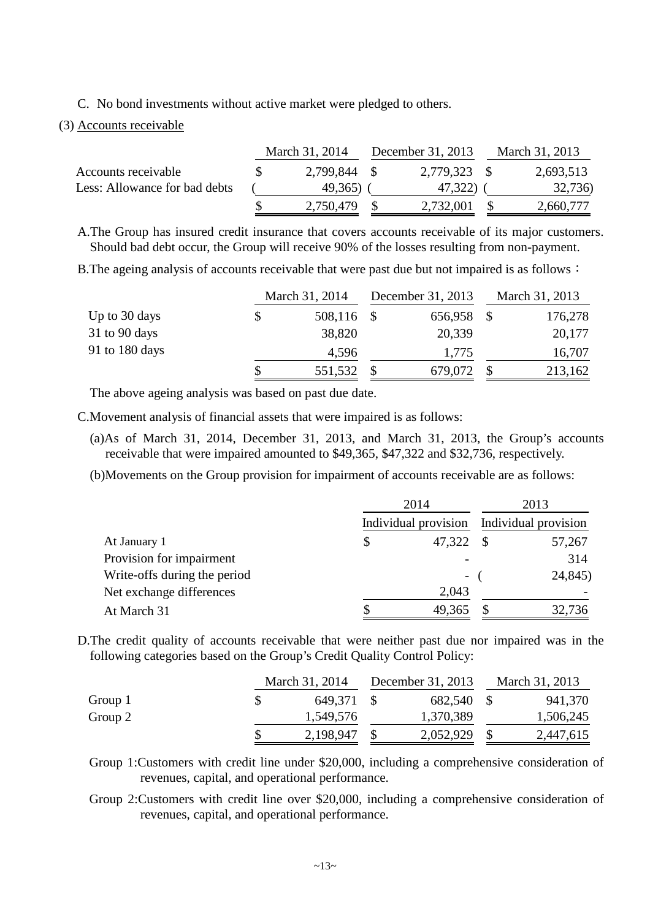C. No bond investments without active market were pledged to others.

#### (3) Accounts receivable

|                               | March 31, 2014 | December 31, 2013 | March 31, 2013 |
|-------------------------------|----------------|-------------------|----------------|
| Accounts receivable           | 2,799,844 \$   | 2,779,323 \$      | 2,693,513      |
| Less: Allowance for bad debts | 49,365)        | 47,322)           | 32,736)        |
|                               | 2,750,479      | 2,732,001         | 2,660,777      |

A.The Group has insured credit insurance that covers accounts receivable of its major customers. Should bad debt occur, the Group will receive 90% of the losses resulting from non-payment.

B. The ageing analysis of accounts receivable that were past due but not impaired is as follows:

|                |   | March 31, 2014 | December 31, 2013 | March 31, 2013 |
|----------------|---|----------------|-------------------|----------------|
| Up to 30 days  |   | 508,116 \$     | 656,958           | 176,278        |
| 31 to 90 days  |   | 38,820         | 20,339            | 20,177         |
| 91 to 180 days |   | 4,596          | 1,775             | 16,707         |
|                | S | 551,532        | 679,072           | 213,162        |

The above ageing analysis was based on past due date.

C.Movement analysis of financial assets that were impaired is as follows:

(a)As of March 31, 2014, December 31, 2013, and March 31, 2013, the Group's accounts receivable that were impaired amounted to \$49,365, \$47,322 and \$32,736, respectively.

(b)Movements on the Group provision for impairment of accounts receivable are as follows:

|                              | 2014   | 2013<br>Individual provision Individual provision |         |  |
|------------------------------|--------|---------------------------------------------------|---------|--|
|                              |        |                                                   |         |  |
| At January 1                 | 47,322 | -S                                                | 57,267  |  |
| Provision for impairment     |        |                                                   | 314     |  |
| Write-offs during the period | $\sim$ |                                                   | 24,845) |  |
| Net exchange differences     | 2,043  |                                                   |         |  |
| At March 31                  | 49,365 |                                                   | 32,736  |  |

D.The credit quality of accounts receivable that were neither past due nor impaired was in the following categories based on the Group's Credit Quality Control Policy:

|         | March 31, 2014 | December 31, 2013 | March 31, 2013 |
|---------|----------------|-------------------|----------------|
| Group 1 | 649,371        | 682,540           | 941,370        |
| Group 2 | 1,549,576      | 1,370,389         | 1,506,245      |
|         | 2,198,947      | 2,052,929         | 2,447,615      |

Group 1:Customers with credit line under \$20,000, including a comprehensive consideration of revenues, capital, and operational performance.

Group 2:Customers with credit line over \$20,000, including a comprehensive consideration of revenues, capital, and operational performance.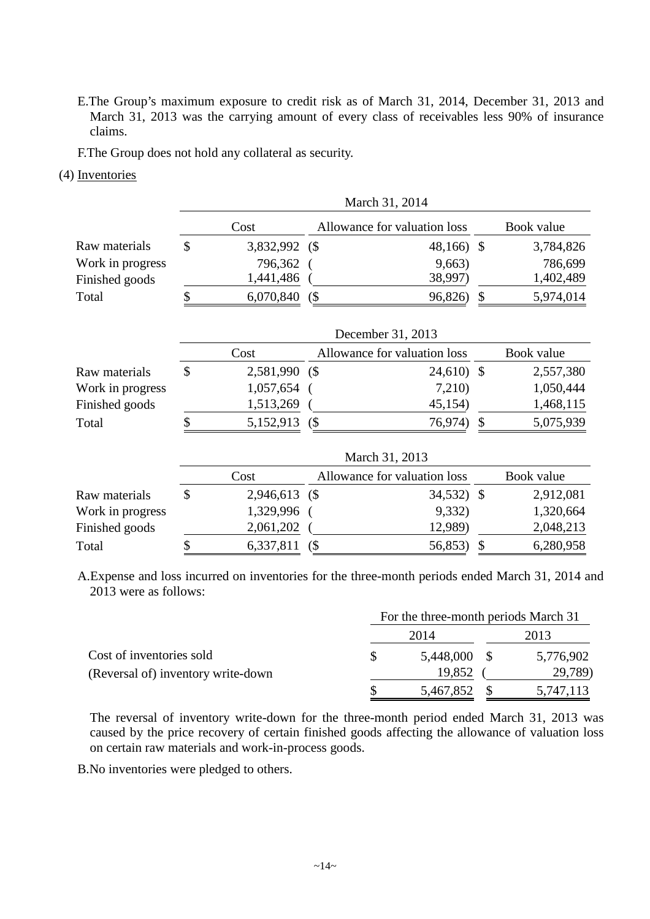E.The Group's maximum exposure to credit risk as of March 31, 2014, December 31, 2013 and March 31, 2013 was the carrying amount of every class of receivables less 90% of insurance claims.

F.The Group does not hold any collateral as security.

#### (4) Inventories

|                  |               |               |   | March 31, 2014               |               |            |
|------------------|---------------|---------------|---|------------------------------|---------------|------------|
|                  |               | Cost          |   | Allowance for valuation loss |               | Book value |
| Raw materials    | \$            | 3,832,992     | ( | 48,166) \$                   |               | 3,784,826  |
| Work in progress |               | 796,362       |   | 9,663)                       |               | 786,699    |
| Finished goods   |               | 1,441,486     |   | 38,997)                      |               | 1,402,489  |
| Total            | \$            | 6,070,840     | ( | 96,826)                      | \$            | 5,974,014  |
|                  |               |               |   | December 31, 2013            |               |            |
|                  |               | Cost          |   | Allowance for valuation loss |               | Book value |
| Raw materials    | \$            | 2,581,990     | ( | $24,610$ \$                  |               | 2,557,380  |
| Work in progress |               | 1,057,654     |   | 7,210)                       |               | 1,050,444  |
| Finished goods   |               | 1,513,269     |   | 45,154)                      |               | 1,468,115  |
| Total            | \$            | 5,152,913     | ( | 76,974)                      | \$            | 5,075,939  |
|                  |               |               |   | March 31, 2013               |               |            |
|                  |               | Cost          |   | Allowance for valuation loss |               | Book value |
| Raw materials    | $\mathcal{S}$ | 2,946,613 (\$ |   | 34,532)                      | $\mathcal{S}$ | 2,912,081  |
| Work in progress |               | 1,329,996     |   | 9,332)                       |               | 1,320,664  |
| Finished goods   |               | 2,061,202     |   | 12,989)                      |               | 2,048,213  |
| Total            | \$            | 6,337,811     | ( | 56,853)                      | $\mathcal{S}$ | 6,280,958  |

A.Expense and loss incurred on inventories for the three-month periods ended March 31, 2014 and 2013 were as follows:

|                                    |    | For the three-month periods March 31 |           |
|------------------------------------|----|--------------------------------------|-----------|
|                                    |    | 2014                                 | 2013      |
| Cost of inventories sold           | S. | 5,448,000 \$                         | 5,776,902 |
| (Reversal of) inventory write-down |    | 19,852                               | 29,789)   |
|                                    |    | 5,467,852 \$                         | 5,747,113 |

The reversal of inventory write-down for the three-month period ended March 31, 2013 was caused by the price recovery of certain finished goods affecting the allowance of valuation loss on certain raw materials and work-in-process goods.

B.No inventories were pledged to others.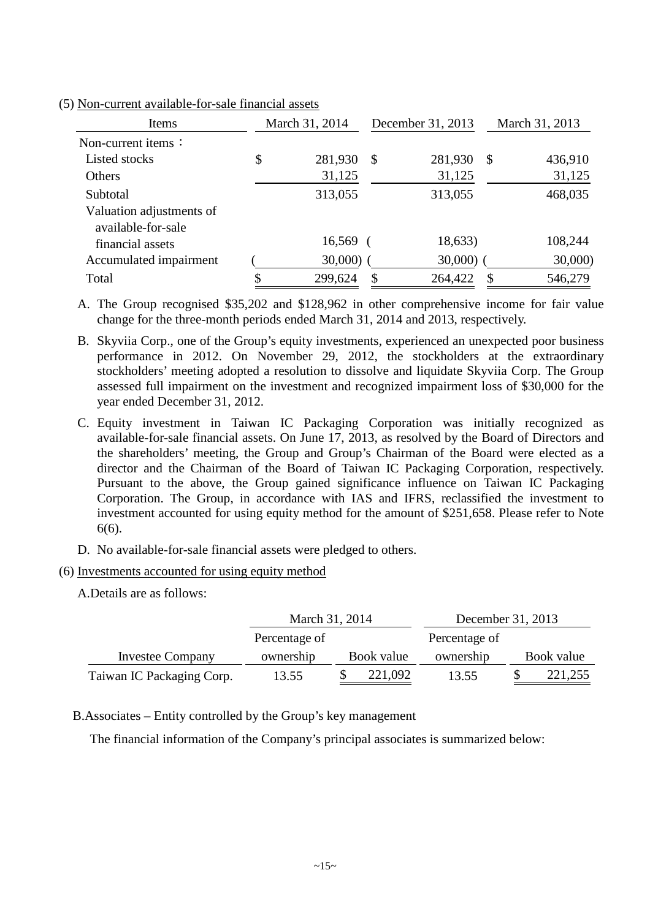| Items                                          | March 31, 2014 | December 31, 2013 | March 31, 2013 |
|------------------------------------------------|----------------|-------------------|----------------|
| Non-current items $\colon$                     |                |                   |                |
| Listed stocks                                  | \$<br>281,930  | \$<br>281,930     | \$<br>436,910  |
| Others                                         | 31,125         | 31,125            | 31,125         |
| Subtotal                                       | 313,055        | 313,055           | 468,035        |
| Valuation adjustments of<br>available-for-sale |                |                   |                |
| financial assets                               | 16,569         | 18,633)           | 108,244        |
| Accumulated impairment                         | 30,000)        | 30,000            | 30,000)        |
| Total                                          | 299,624        | 264,422           | \$<br>546,279  |

(5) Non-current available-for-sale financial assets

A. The Group recognised \$35,202 and \$128,962 in other comprehensive income for fair value change for the three-month periods ended March 31, 2014 and 2013, respectively.

B. Skyviia Corp., one of the Group's equity investments, experienced an unexpected poor business performance in 2012. On November 29, 2012, the stockholders at the extraordinary stockholders' meeting adopted a resolution to dissolve and liquidate Skyviia Corp. The Group assessed full impairment on the investment and recognized impairment loss of \$30,000 for the year ended December 31, 2012.

C. Equity investment in Taiwan IC Packaging Corporation was initially recognized as available-for-sale financial assets. On June 17, 2013, as resolved by the Board of Directors and the shareholders' meeting, the Group and Group's Chairman of the Board were elected as a director and the Chairman of the Board of Taiwan IC Packaging Corporation, respectively. Pursuant to the above, the Group gained significance influence on Taiwan IC Packaging Corporation. The Group, in accordance with IAS and IFRS, reclassified the investment to investment accounted for using equity method for the amount of \$251,658. Please refer to Note 6(6).

- D. No available-for-sale financial assets were pledged to others.
- (6) Investments accounted for using equity method

A.Details are as follows:

|                           | March 31, 2014 |            | December 31, 2013 |  |            |  |
|---------------------------|----------------|------------|-------------------|--|------------|--|
|                           | Percentage of  |            | Percentage of     |  |            |  |
| <b>Investee Company</b>   | ownership      | Book value | ownership         |  | Book value |  |
| Taiwan IC Packaging Corp. | 13.55          | 221,092    | 13.55             |  | 221,255    |  |

B.Associates – Entity controlled by the Group's key management

The financial information of the Company's principal associates is summarized below: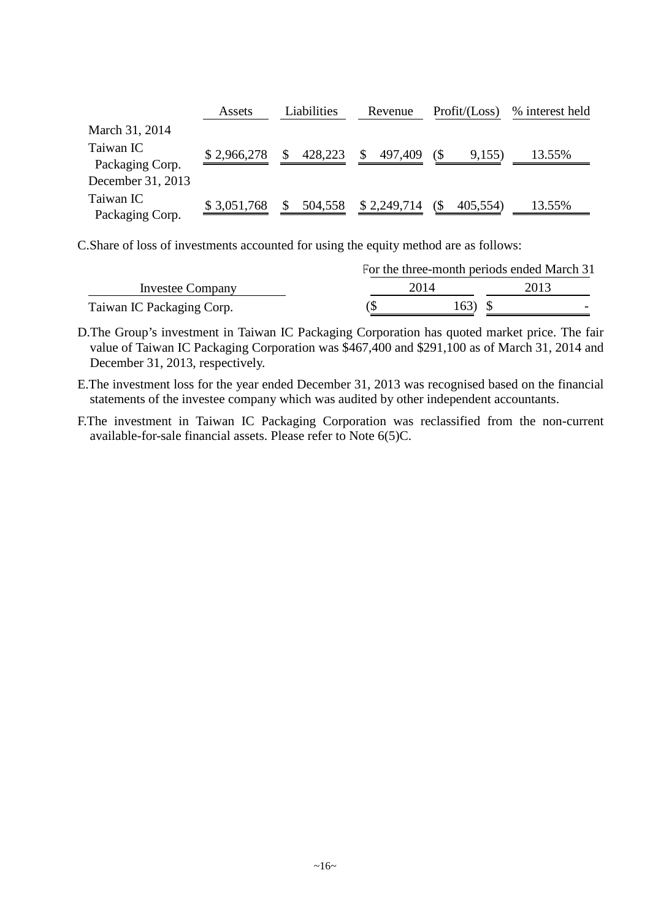|                              | Assets      | Liabilities   | Revenue       | Profit / (Loss) | % interest held |
|------------------------------|-------------|---------------|---------------|-----------------|-----------------|
| March 31, 2014               |             |               |               |                 |                 |
| Taiwan IC<br>Packaging Corp. | \$2,966,278 | 428,223<br>\$ | \$<br>497,409 | (\$<br>9,155)   | 13.55%          |
| December 31, 2013            |             |               |               |                 |                 |
| Taiwan IC<br>Packaging Corp. | \$3,051,768 | 504,558<br>\$ | \$2,249,714   | (S<br>405,554)  | 13.55%          |

C.Share of loss of investments accounted for using the equity method are as follows:

|                           | For the three-month periods ended March 31 |                                  |  |  |  |  |  |
|---------------------------|--------------------------------------------|----------------------------------|--|--|--|--|--|
| <b>Investee Company</b>   | 2014                                       | 2013                             |  |  |  |  |  |
| Taiwan IC Packaging Corp. |                                            | 163)<br>$\overline{\phantom{0}}$ |  |  |  |  |  |

D.The Group's investment in Taiwan IC Packaging Corporation has quoted market price. The fair value of Taiwan IC Packaging Corporation was \$467,400 and \$291,100 as of March 31, 2014 and December 31, 2013, respectively.

E.The investment loss for the year ended December 31, 2013 was recognised based on the financial statements of the investee company which was audited by other independent accountants.

F.The investment in Taiwan IC Packaging Corporation was reclassified from the non-current available-for-sale financial assets. Please refer to Note 6(5)C.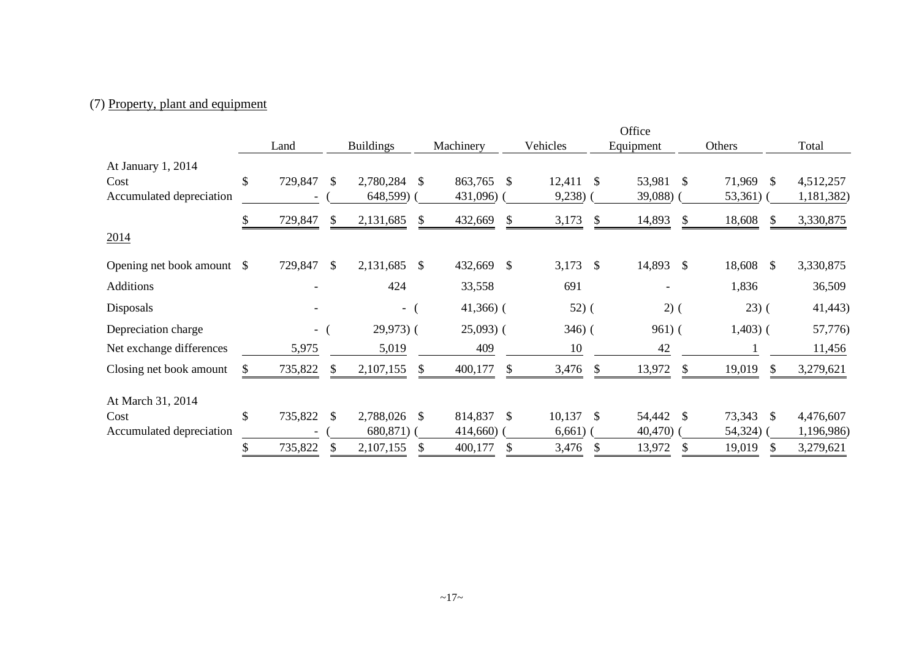## (7) Property, plant and equipment

|                            |                  |               |                  |               |              |               |             | Office       |              |                         |            |
|----------------------------|------------------|---------------|------------------|---------------|--------------|---------------|-------------|--------------|--------------|-------------------------|------------|
|                            | Land             |               | <b>Buildings</b> |               | Machinery    |               | Vehicles    | Equipment    |              | Others                  | Total      |
| At January 1, 2014         |                  |               |                  |               |              |               |             |              |              |                         |            |
| Cost                       | \$<br>729,847    | <sup>\$</sup> | 2,780,284        | <sup>\$</sup> | 863,765 \$   |               | $12,411$ \$ | 53,981       | - \$         | 71,969<br>- \$          | 4,512,257  |
| Accumulated depreciation   |                  |               | 648,599) (       |               | 431,096)     |               | $9,238$ )   | $39,088$ ) ( |              | $53,361$ (              | 1,181,382) |
|                            | \$<br>729,847    | \$            | 2,131,685        | <sup>\$</sup> | 432,669      | \$            | 3,173       | \$<br>14,893 | -S           | 18,608<br><sup>S</sup>  | 3,330,875  |
| 2014                       |                  |               |                  |               |              |               |             |              |              |                         |            |
| Opening net book amount \$ | 729,847          | - \$          | 2,131,685        | - \$          | 432,669 \$   |               | 3,173 \$    | 14,893 \$    |              | 18,608<br><sup>\$</sup> | 3,330,875  |
| <b>Additions</b>           |                  |               | 424              |               | 33,558       |               | 691         | -            |              | 1,836                   | 36,509     |
| Disposals                  |                  |               | $-$ (            |               | $41,366$ ) ( |               | $52)$ (     | $2)$ (       |              | $(23)$ (                | 41,443)    |
| Depreciation charge        | $-$ (            |               | $29,973$ (       |               | $25,093$ (   |               | $346)$ (    | $961)$ (     |              | $1,403$ ) (             | 57,776)    |
| Net exchange differences   | 5,975            |               | 5,019            |               | 409          |               | 10          | 42           |              |                         | 11,456     |
| Closing net book amount    | \$<br>735,822    | \$            | 2,107,155        | \$.           | 400,177      | $\mathcal{S}$ | 3,476       | \$<br>13,972 | <sup>S</sup> | 19,019<br>$\mathbb{S}$  | 3,279,621  |
| At March 31, 2014          |                  |               |                  |               |              |               |             |              |              |                         |            |
| Cost                       | \$<br>735,822 \$ |               | 2,788,026        | -S            | 814,837 \$   |               | $10,137$ \$ | 54,442 \$    |              | 73,343<br><sup>S</sup>  | 4,476,607  |
| Accumulated depreciation   |                  |               | $680,871$ ) (    |               | $414,660$ )  |               | 6,661)      | $40,470$ )   |              | $54,324$ )              | 1,196,986) |
|                            | 735,822          |               | 2,107,155        |               | 400,177      |               | 3,476       | 13,972       |              | 19,019                  | 3,279,621  |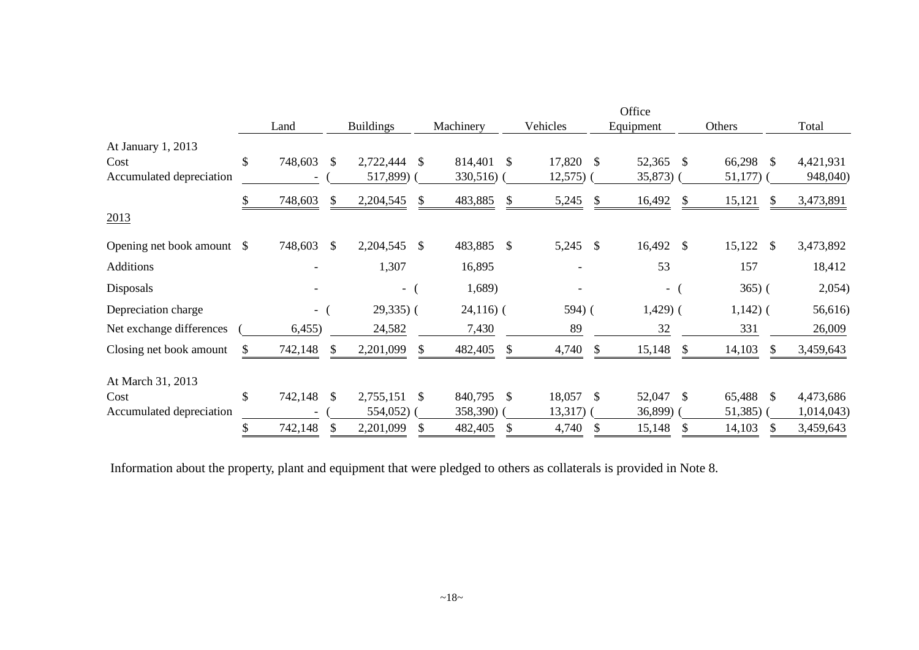|                          |              |            |                            |                  |      |                     |              |    | Office     |              |              |            |
|--------------------------|--------------|------------|----------------------------|------------------|------|---------------------|--------------|----|------------|--------------|--------------|------------|
|                          |              | Land       |                            | <b>Buildings</b> |      | Machinery           | Vehicles     |    | Equipment  |              | Others       | Total      |
| At January 1, 2013       |              |            |                            |                  |      |                     |              |    |            |              |              |            |
| Cost                     | \$           | 748,603    | <sup>\$</sup>              | 2,722,444        | - \$ | 814,401<br>-S       | 17,820       | -S | 52,365 \$  |              | 66,298 \$    | 4,421,931  |
| Accumulated depreciation |              |            |                            | 517,899) (       |      | $330,516$ (         | $12,575$ ) ( |    | $35,873$ ( |              | $51,177$ ) ( | 948,040)   |
|                          | \$           | 748,603    | \$                         | 2,204,545        |      | 483,885<br>\$       | 5,245        | -S | 16,492     | \$           | 15,121<br>\$ | 3,473,891  |
| 2013                     |              |            |                            |                  |      |                     |              |    |            |              |              |            |
| Opening net book amount  | <sup>S</sup> | 748,603    | $\boldsymbol{\mathcal{S}}$ | 2,204,545        | - \$ | 483,885 \$          | 5,245        | \$ | 16,492 \$  |              | $15,122$ \$  | 3,473,892  |
| <b>Additions</b>         |              |            |                            | 1,307            |      | 16,895              |              |    | 53         |              | 157          | 18,412     |
| Disposals                |              |            |                            | $-$              |      | 1,689)              |              |    | - (        |              | $365)$ (     | 2,054)     |
| Depreciation charge      |              | $-$ (      |                            | $29,335$ (       |      | $24,116$ ) (        | 594) (       |    | $1,429$ (  |              | $1,142)$ (   | 56,616)    |
| Net exchange differences |              | 6,455)     |                            | 24,582           |      | 7,430               | 89           |    | 32         |              | 331          | 26,009     |
| Closing net book amount  | \$           | 742,148    | \$                         | 2,201,099        |      | 482,405<br><b>S</b> | 4,740        |    | 15,148     | <sup>S</sup> | 14,103<br>S. | 3,459,643  |
| At March 31, 2013        |              |            |                            |                  |      |                     |              |    |            |              |              |            |
| Cost                     | \$           | 742,148 \$ |                            | 2,755,151        | - \$ | 840,795<br>-S       | 18,057       | \$ | 52,047 \$  |              | 65,488 \$    | 4,473,686  |
| Accumulated depreciation |              |            |                            | 554,052)         |      | 358,390) (          | $13,317)$ (  |    | 36,899)    |              | $51,385$ ) ( | 1,014,043) |
|                          | \$           | 742,148    | S                          | 2,201,099        | \$   | 482,405<br>\$       | 4,740        | \$ | 15,148     | \$           | 14,103<br>\$ | 3,459,643  |

Information about the property, plant and equipment that were pledged to others as collaterals is provided in Note 8.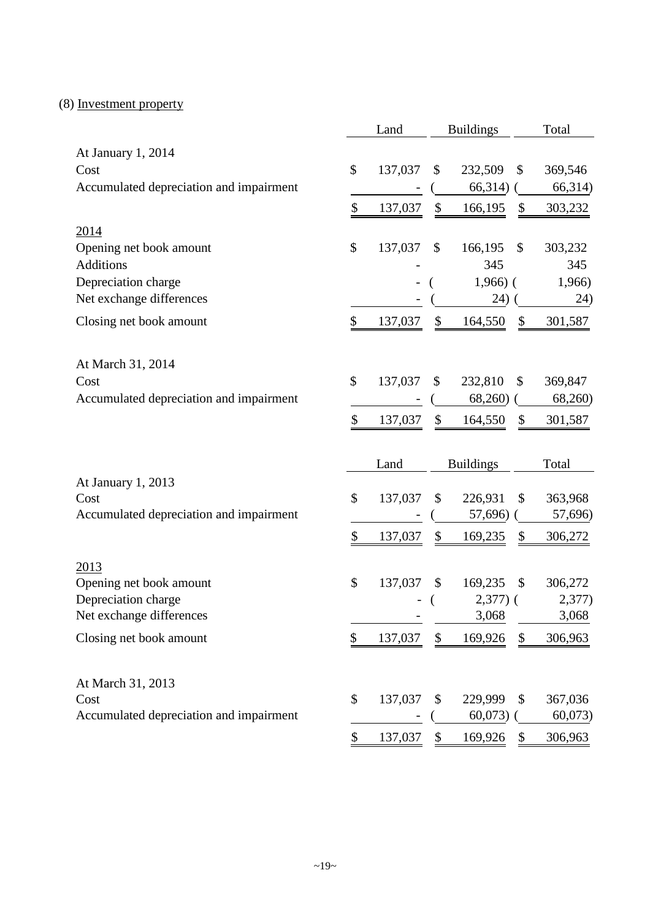## (8) Investment property

|                                         | Land          | <b>Buildings</b> |               | Total   |
|-----------------------------------------|---------------|------------------|---------------|---------|
| At January 1, 2014                      |               |                  |               |         |
| Cost                                    | \$<br>137,037 | \$<br>232,509    | \$            | 369,546 |
| Accumulated depreciation and impairment |               | 66,314)          |               | 66,314) |
|                                         | \$<br>137,037 | \$<br>166,195    | \$            | 303,232 |
| 2014                                    |               |                  |               |         |
| Opening net book amount                 | \$<br>137,037 | \$<br>166,195    | $\mathcal{S}$ | 303,232 |
| <b>Additions</b>                        |               | 345              |               | 345     |
| Depreciation charge                     |               | $1,966$ ) (      |               | 1,966)  |
| Net exchange differences                |               | 24)              |               | 24)     |
| Closing net book amount                 | \$<br>137,037 | \$<br>164,550    | \$            | 301,587 |
|                                         |               |                  |               |         |
| At March 31, 2014                       |               |                  |               |         |
| Cost                                    | \$<br>137,037 | \$<br>232,810    | \$            | 369,847 |
| Accumulated depreciation and impairment |               | 68,260)          |               | 68,260) |
|                                         | \$<br>137,037 | \$<br>164,550    | \$            | 301,587 |
|                                         |               |                  |               |         |
|                                         |               |                  |               |         |
|                                         | Land          | <b>Buildings</b> |               | Total   |
| At January 1, 2013                      |               |                  |               |         |
| Cost                                    | \$<br>137,037 | \$<br>226,931    | \$            | 363,968 |
| Accumulated depreciation and impairment |               | 57,696)          |               | 57,696) |
|                                         | \$<br>137,037 | \$<br>169,235    | \$            | 306,272 |
| 2013                                    |               |                  |               |         |
| Opening net book amount                 | \$<br>137,037 | \$<br>169,235    | $\mathcal{S}$ | 306,272 |
| Depreciation charge                     |               | $2,377$ ) (      |               | 2,377)  |
| Net exchange differences                |               | 3,068            |               | 3,068   |
| Closing net book amount                 | \$<br>137,037 | \$<br>169,926    | \$            | 306,963 |
|                                         |               |                  |               |         |
| At March 31, 2013                       |               |                  |               |         |
| Cost                                    | \$<br>137,037 | \$<br>229,999    | \$            | 367,036 |
| Accumulated depreciation and impairment | \$<br>137,037 | 60,073           |               | 60,073  |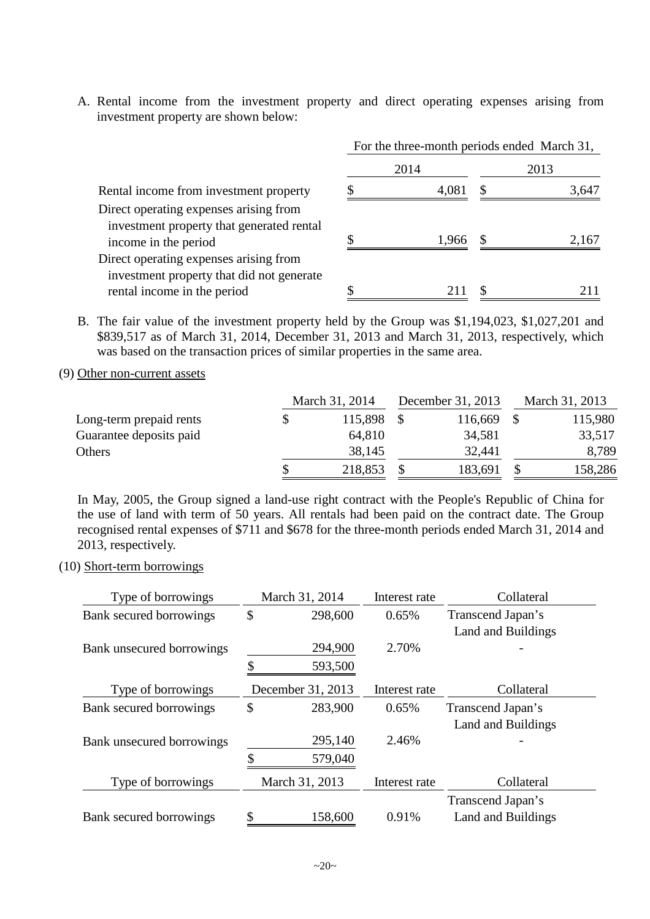A. Rental income from the investment property and direct operating expenses arising from investment property are shown below:

|                                                                                                             | For the three-month periods ended March 31, |       |  |       |  |  |  |
|-------------------------------------------------------------------------------------------------------------|---------------------------------------------|-------|--|-------|--|--|--|
|                                                                                                             |                                             | 2014  |  | 2013  |  |  |  |
| Rental income from investment property                                                                      |                                             | 4.081 |  | 3,647 |  |  |  |
| Direct operating expenses arising from<br>investment property that generated rental<br>income in the period |                                             | 1,966 |  | 2.167 |  |  |  |
| Direct operating expenses arising from<br>investment property that did not generate                         |                                             |       |  |       |  |  |  |
| rental income in the period                                                                                 |                                             |       |  |       |  |  |  |

- B. The fair value of the investment property held by the Group was \$1,194,023, \$1,027,201 and \$839,517 as of March 31, 2014, December 31, 2013 and March 31, 2013, respectively, which was based on the transaction prices of similar properties in the same area.
- (9) Other non-current assets

|                         | March 31, 2014 |  | December 31, 2013 |  | March 31, 2013 |  |
|-------------------------|----------------|--|-------------------|--|----------------|--|
| Long-term prepaid rents | 115,898        |  | 116,669           |  | 115,980        |  |
| Guarantee deposits paid | 64,810         |  | 34,581            |  | 33,517         |  |
| Others                  | 38,145         |  | 32,441            |  | 8,789          |  |
|                         | 218,853        |  | 183,691           |  | 158,286        |  |

In May, 2005, the Group signed a land-use right contract with the People's Republic of China for the use of land with term of 50 years. All rentals had been paid on the contract date. The Group recognised rental expenses of \$711 and \$678 for the three-month periods ended March 31, 2014 and 2013, respectively.

(10) Short-term borrowings

| Type of borrowings        | March 31, 2014    | Interest rate | Collateral         |
|---------------------------|-------------------|---------------|--------------------|
| Bank secured borrowings   | \$<br>298,600     | 0.65%         | Transcend Japan's  |
|                           |                   |               | Land and Buildings |
| Bank unsecured borrowings | 294,900           | 2.70%         |                    |
|                           | 593,500           |               |                    |
| Type of borrowings        | December 31, 2013 | Interest rate | Collateral         |
| Bank secured borrowings   | \$<br>283,900     | 0.65%         | Transcend Japan's  |
|                           |                   |               | Land and Buildings |
| Bank unsecured borrowings | 295,140           | 2.46%         |                    |
|                           | \$<br>579,040     |               |                    |
| Type of borrowings        | March 31, 2013    | Interest rate | Collateral         |
|                           |                   |               | Transcend Japan's  |
| Bank secured borrowings   | 158,600           | 0.91%         | Land and Buildings |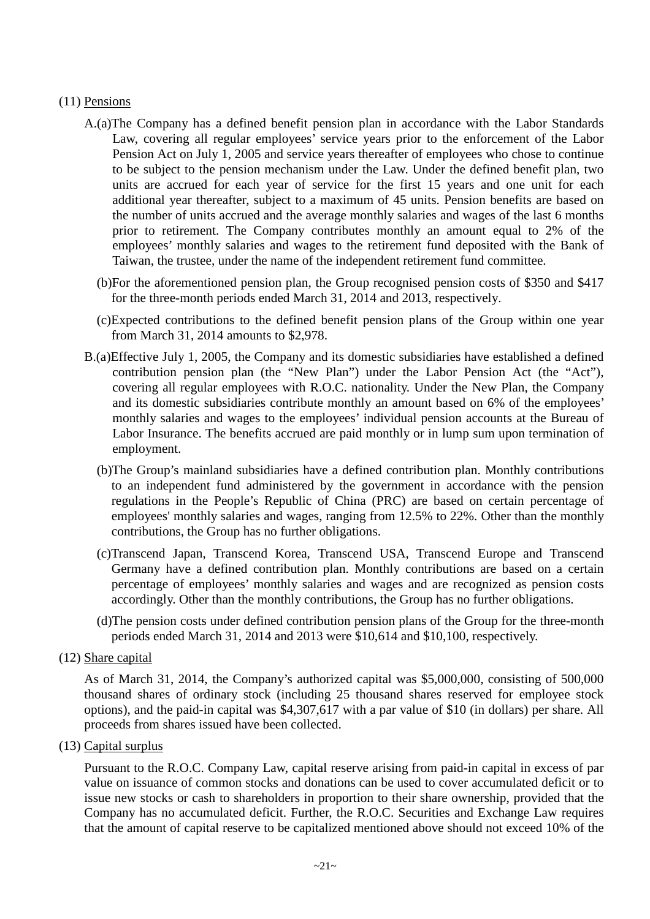### (11) Pensions

- A.(a)The Company has a defined benefit pension plan in accordance with the Labor Standards Law, covering all regular employees' service years prior to the enforcement of the Labor Pension Act on July 1, 2005 and service years thereafter of employees who chose to continue to be subject to the pension mechanism under the Law. Under the defined benefit plan, two units are accrued for each year of service for the first 15 years and one unit for each additional year thereafter, subject to a maximum of 45 units. Pension benefits are based on the number of units accrued and the average monthly salaries and wages of the last 6 months prior to retirement. The Company contributes monthly an amount equal to 2% of the employees' monthly salaries and wages to the retirement fund deposited with the Bank of Taiwan, the trustee, under the name of the independent retirement fund committee.
	- (b)For the aforementioned pension plan, the Group recognised pension costs of \$350 and \$417 for the three-month periods ended March 31, 2014 and 2013, respectively.
	- (c)Expected contributions to the defined benefit pension plans of the Group within one year from March 31, 2014 amounts to \$2,978.
- B.(a)Effective July 1, 2005, the Company and its domestic subsidiaries have established a defined contribution pension plan (the "New Plan") under the Labor Pension Act (the "Act"), covering all regular employees with R.O.C. nationality. Under the New Plan, the Company and its domestic subsidiaries contribute monthly an amount based on 6% of the employees' monthly salaries and wages to the employees' individual pension accounts at the Bureau of Labor Insurance. The benefits accrued are paid monthly or in lump sum upon termination of employment.
	- (b)The Group's mainland subsidiaries have a defined contribution plan. Monthly contributions to an independent fund administered by the government in accordance with the pension regulations in the People's Republic of China (PRC) are based on certain percentage of employees' monthly salaries and wages, ranging from 12.5% to 22%. Other than the monthly contributions, the Group has no further obligations.
	- (c)Transcend Japan, Transcend Korea, Transcend USA, Transcend Europe and Transcend Germany have a defined contribution plan. Monthly contributions are based on a certain percentage of employees' monthly salaries and wages and are recognized as pension costs accordingly. Other than the monthly contributions, the Group has no further obligations.
	- (d)The pension costs under defined contribution pension plans of the Group for the three-month periods ended March 31, 2014 and 2013 were \$10,614 and \$10,100, respectively.

As of March 31, 2014, the Company's authorized capital was \$5,000,000, consisting of 500,000 thousand shares of ordinary stock (including 25 thousand shares reserved for employee stock options), and the paid-in capital was \$4,307,617 with a par value of \$10 (in dollars) per share. All proceeds from shares issued have been collected.

(13) Capital surplus

Pursuant to the R.O.C. Company Law, capital reserve arising from paid-in capital in excess of par value on issuance of common stocks and donations can be used to cover accumulated deficit or to issue new stocks or cash to shareholders in proportion to their share ownership, provided that the Company has no accumulated deficit. Further, the R.O.C. Securities and Exchange Law requires that the amount of capital reserve to be capitalized mentioned above should not exceed 10% of the

<sup>(12)</sup> Share capital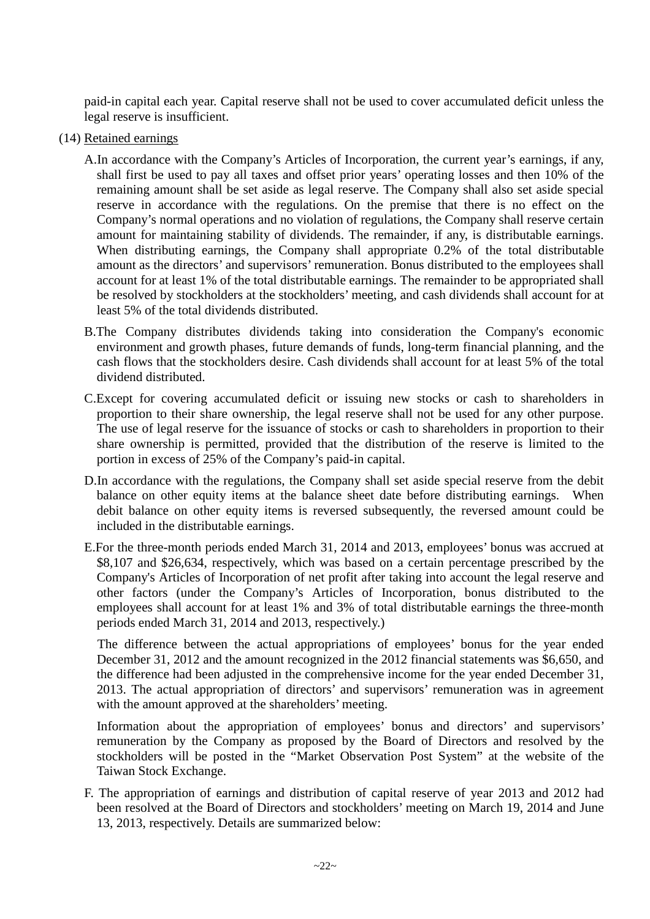paid-in capital each year. Capital reserve shall not be used to cover accumulated deficit unless the legal reserve is insufficient.

- (14) Retained earnings
	- A.In accordance with the Company's Articles of Incorporation, the current year's earnings, if any, shall first be used to pay all taxes and offset prior years' operating losses and then 10% of the remaining amount shall be set aside as legal reserve. The Company shall also set aside special reserve in accordance with the regulations. On the premise that there is no effect on the Company's normal operations and no violation of regulations, the Company shall reserve certain amount for maintaining stability of dividends. The remainder, if any, is distributable earnings. When distributing earnings, the Company shall appropriate 0.2% of the total distributable amount as the directors' and supervisors' remuneration. Bonus distributed to the employees shall account for at least 1% of the total distributable earnings. The remainder to be appropriated shall be resolved by stockholders at the stockholders' meeting, and cash dividends shall account for at least 5% of the total dividends distributed.
	- B.The Company distributes dividends taking into consideration the Company's economic environment and growth phases, future demands of funds, long-term financial planning, and the cash flows that the stockholders desire. Cash dividends shall account for at least 5% of the total dividend distributed.
	- C.Except for covering accumulated deficit or issuing new stocks or cash to shareholders in proportion to their share ownership, the legal reserve shall not be used for any other purpose. The use of legal reserve for the issuance of stocks or cash to shareholders in proportion to their share ownership is permitted, provided that the distribution of the reserve is limited to the portion in excess of 25% of the Company's paid-in capital.
	- D.In accordance with the regulations, the Company shall set aside special reserve from the debit balance on other equity items at the balance sheet date before distributing earnings. When debit balance on other equity items is reversed subsequently, the reversed amount could be included in the distributable earnings.
	- E.For the three-month periods ended March 31, 2014 and 2013, employees' bonus was accrued at \$8,107 and \$26,634, respectively, which was based on a certain percentage prescribed by the Company's Articles of Incorporation of net profit after taking into account the legal reserve and other factors (under the Company's Articles of Incorporation, bonus distributed to the employees shall account for at least 1% and 3% of total distributable earnings the three-month periods ended March 31, 2014 and 2013, respectively.)

The difference between the actual appropriations of employees' bonus for the year ended December 31, 2012 and the amount recognized in the 2012 financial statements was \$6,650, and the difference had been adjusted in the comprehensive income for the year ended December 31, 2013. The actual appropriation of directors' and supervisors' remuneration was in agreement with the amount approved at the shareholders' meeting.

Information about the appropriation of employees' bonus and directors' and supervisors' remuneration by the Company as proposed by the Board of Directors and resolved by the stockholders will be posted in the "Market Observation Post System" at the website of the Taiwan Stock Exchange.

F. The appropriation of earnings and distribution of capital reserve of year 2013 and 2012 had been resolved at the Board of Directors and stockholders' meeting on March 19, 2014 and June 13, 2013, respectively. Details are summarized below: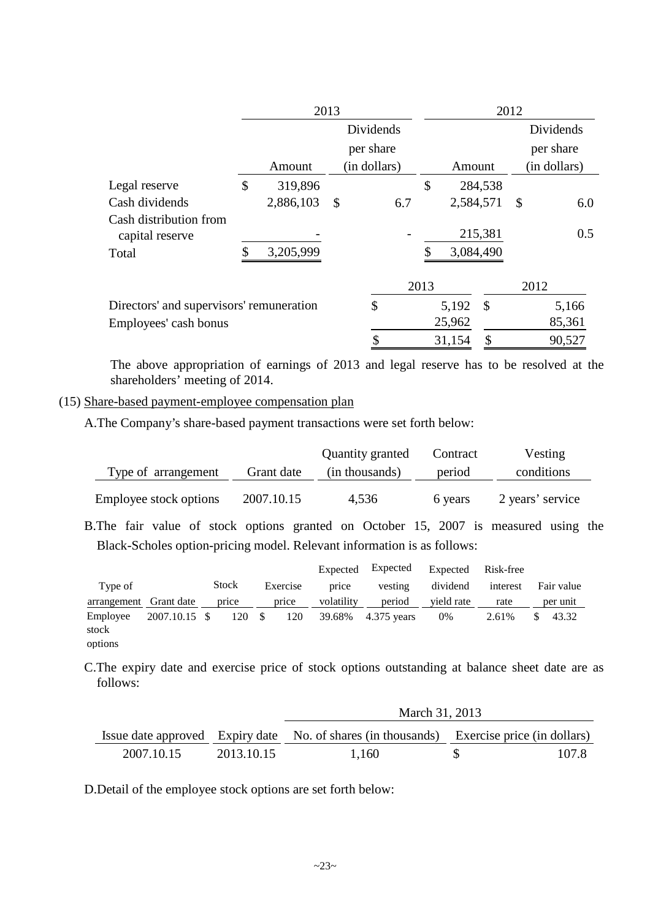|                                           |               | 2013      |    |              |               | 2012      |               |               |              |
|-------------------------------------------|---------------|-----------|----|--------------|---------------|-----------|---------------|---------------|--------------|
|                                           |               |           |    | Dividends    |               |           |               |               | Dividends    |
|                                           |               |           |    | per share    |               |           |               |               | per share    |
|                                           |               | Amount    |    | (in dollars) |               | Amount    |               |               | (in dollars) |
| Legal reserve                             | $\mathcal{S}$ | 319,896   |    |              | $\mathcal{S}$ |           | 284,538       |               |              |
| Cash dividends                            |               | 2,886,103 | \$ | 6.7          |               | 2,584,571 |               | $\mathcal{S}$ | 6.0          |
| Cash distribution from<br>capital reserve |               |           |    |              |               |           | 215,381       |               | 0.5          |
| Total                                     |               | 3,205,999 |    |              |               | 3,084,490 |               |               |              |
|                                           |               |           |    |              | 2013          |           |               | 2012          |              |
| Directors' and supervisors' remuneration  |               |           |    | \$           |               | 5,192     | $\mathcal{S}$ |               | 5,166        |
| Employees' cash bonus                     |               |           |    |              |               | 25,962    |               |               | 85,361       |
|                                           |               |           |    | Φ            |               | 31,154    | \$            |               | 90,527       |

The above appropriation of earnings of 2013 and legal reserve has to be resolved at the shareholders' meeting of 2014.

### (15) Share-based payment-employee compensation plan

A.The Company's share-based payment transactions were set forth below:

|                        |            | Quantity granted | Contract | Vesting          |
|------------------------|------------|------------------|----------|------------------|
| Type of arrangement    | Grant date | (in thousands)   | period   | conditions       |
| Employee stock options | 2007.10.15 | 4,536            | 6 years  | 2 years' service |

B.The fair value of stock options granted on October 15, 2007 is measured using the Black-Scholes option-pricing model. Relevant information is as follows:

|                        |               |       |      |          | Expected   | Expected    | Expected   | Risk-free |            |
|------------------------|---------------|-------|------|----------|------------|-------------|------------|-----------|------------|
| Type of                |               | Stock |      | Exercise | price      | vesting     | dividend   | interest  | Fair value |
| arrangement Grant date |               | price |      | price    | volatility | period      | vield rate | rate      | per unit   |
| Employee               | 2007.10.15 \$ | 120   | - \$ | 120      | 39.68%     | 4.375 years | 0%         | 2.61%     | 43.32      |
| stock                  |               |       |      |          |            |             |            |           |            |
| options                |               |       |      |          |            |             |            |           |            |

C.The expiry date and exercise price of stock options outstanding at balance sheet date are as follows:

|            |            | March 31, 2013                                                                           |     |       |
|------------|------------|------------------------------------------------------------------------------------------|-----|-------|
|            |            | Issue date approved Expiry date No. of shares (in thousands) Exercise price (in dollars) |     |       |
| 2007.10.15 | 2013.10.15 | 1.160                                                                                    | SS. | 107.8 |

D.Detail of the employee stock options are set forth below: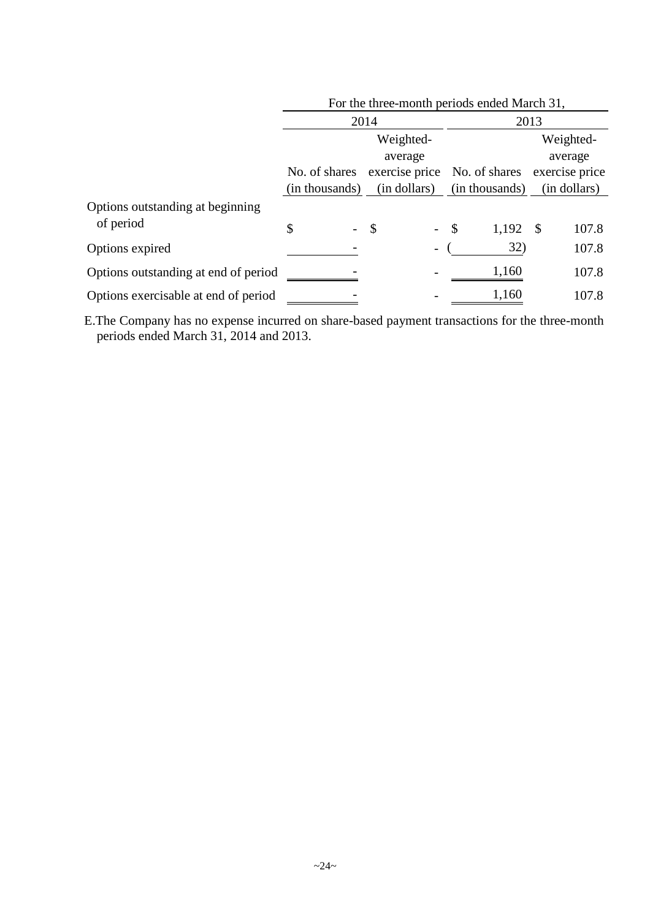|                                      | For the three-month periods ended March 31, |                |                 |                |  |  |  |
|--------------------------------------|---------------------------------------------|----------------|-----------------|----------------|--|--|--|
|                                      |                                             | 2014           | 2013            |                |  |  |  |
|                                      |                                             | Weighted-      |                 | Weighted-      |  |  |  |
|                                      |                                             | average        |                 | average        |  |  |  |
|                                      | No. of shares                               | exercise price | No. of shares   | exercise price |  |  |  |
|                                      | (in thousands)                              | (in dollars)   | (in thousands)  | (in dollars)   |  |  |  |
| Options outstanding at beginning     |                                             |                |                 |                |  |  |  |
| of period                            | \$                                          | \$             | $-$ \$<br>1,192 | - \$<br>107.8  |  |  |  |
| Options expired                      |                                             |                | 32)             | 107.8          |  |  |  |
| Options outstanding at end of period |                                             |                | 1,160           | 107.8          |  |  |  |
| Options exercisable at end of period |                                             |                | 1,160           | 107.8          |  |  |  |

E.The Company has no expense incurred on share-based payment transactions for the three-month periods ended March 31, 2014 and 2013.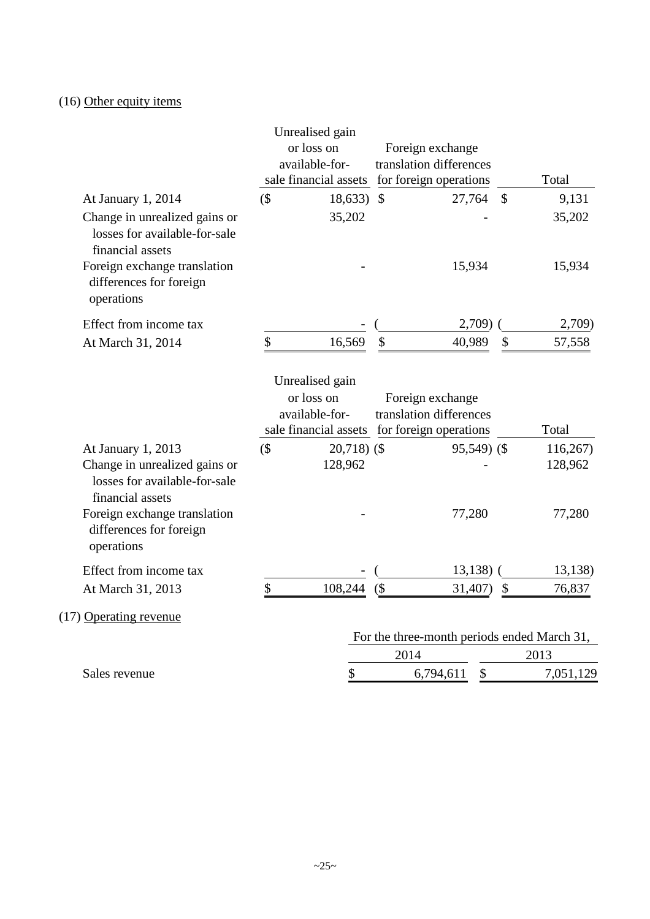## (16) Other equity items

|                                                                                    |        | Unrealised gain                                                |        |                         |               |                                             |
|------------------------------------------------------------------------------------|--------|----------------------------------------------------------------|--------|-------------------------|---------------|---------------------------------------------|
|                                                                                    |        | or loss on                                                     |        | Foreign exchange        |               |                                             |
|                                                                                    |        | available-for-                                                 |        | translation differences |               |                                             |
|                                                                                    |        | sale financial assets for foreign operations                   |        |                         |               | Total                                       |
| At January 1, 2014                                                                 | $($ \$ | $18,633$ \$                                                    |        | 27,764                  | $\mathcal{S}$ | 9,131                                       |
| Change in unrealized gains or<br>losses for available-for-sale<br>financial assets |        | 35,202                                                         |        |                         |               | 35,202                                      |
| Foreign exchange translation<br>differences for foreign<br>operations              |        |                                                                |        | 15,934                  |               | 15,934                                      |
| Effect from income tax                                                             |        |                                                                |        | 2,709)                  |               | 2,709)                                      |
| At March 31, 2014                                                                  | \$     | 16,569                                                         | \$     | 40,989                  | \$            | 57,558                                      |
|                                                                                    |        | available-for-<br>sale financial assets for foreign operations |        | translation differences |               | Total                                       |
|                                                                                    |        |                                                                |        |                         |               |                                             |
| At January 1, 2013                                                                 | $($ \$ | $20,718$ ) (\$                                                 |        | 95,549) (\$             |               | 116,267                                     |
| Change in unrealized gains or<br>losses for available-for-sale<br>financial assets |        | 128,962                                                        |        |                         |               | 128,962                                     |
| Foreign exchange translation<br>differences for foreign<br>operations              |        |                                                                |        | 77,280                  |               | 77,280                                      |
| Effect from income tax                                                             |        |                                                                |        | 13,138)                 |               | 13,138)                                     |
| At March 31, 2013                                                                  | \$     | 108,244                                                        | $($ \$ | 31,407)                 | \$            | 76,837                                      |
| (17) Operating revenue                                                             |        |                                                                |        |                         |               |                                             |
|                                                                                    |        |                                                                |        |                         |               | For the three-month periods ended March 31, |
|                                                                                    |        |                                                                | 2014   |                         |               | 2013                                        |
| Sales revenue                                                                      |        | \$                                                             |        | \$<br>6,794,611         |               | 7,051,129                                   |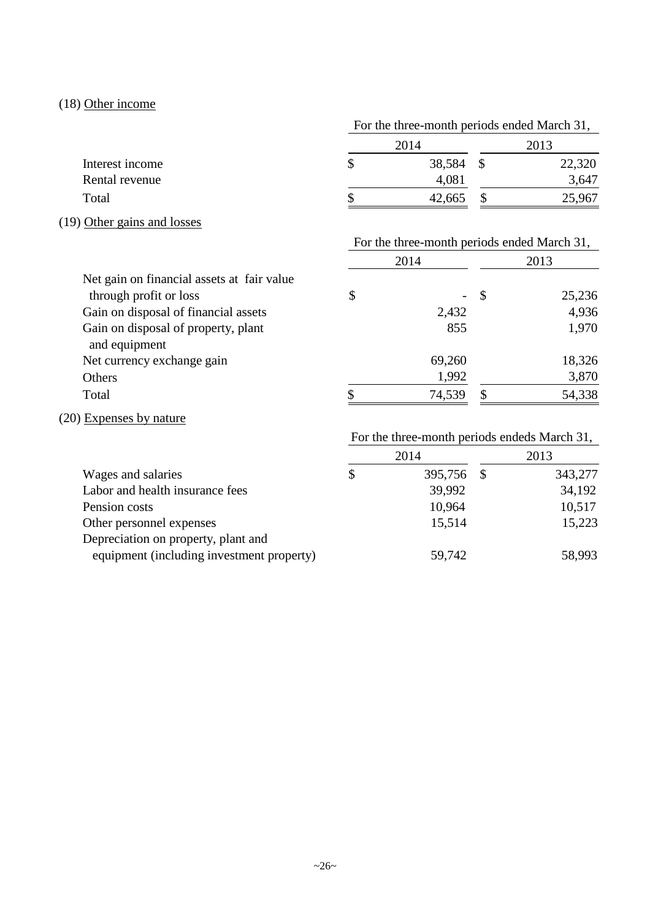## (18) Other income

|                 | For the three-month periods ended March 31, |        |
|-----------------|---------------------------------------------|--------|
|                 | 2014                                        | 2013   |
| Interest income | 38,584                                      | 22,320 |
| Rental revenue  | 4,081                                       | 3,647  |
| Total           | 42,665                                      | 25,967 |

## (19) Other gains and losses

|      | For the three-month periods ended March 31, |
|------|---------------------------------------------|
| 2014 | 2013                                        |

| Net gain on financial assets at fair value           |        |      |        |
|------------------------------------------------------|--------|------|--------|
| through profit or loss                               | \$     | - \$ | 25,236 |
| Gain on disposal of financial assets                 | 2,432  |      | 4,936  |
| Gain on disposal of property, plant<br>and equipment | 855    |      | 1,970  |
| Net currency exchange gain                           | 69,260 |      | 18,326 |
| Others                                               | 1,992  |      | 3,870  |
| Total                                                | 74,539 |      | 54,338 |

## (20) Expenses by nature

## For the three-month periods endeds March 31,

|                                           | 2014 |            |  | 2013    |  |
|-------------------------------------------|------|------------|--|---------|--|
| Wages and salaries                        | S    | 395,756 \$ |  | 343,277 |  |
| Labor and health insurance fees           |      | 39,992     |  | 34,192  |  |
| Pension costs                             |      | 10,964     |  | 10,517  |  |
| Other personnel expenses                  |      | 15,514     |  | 15,223  |  |
| Depreciation on property, plant and       |      |            |  |         |  |
| equipment (including investment property) |      | 59,742     |  | 58,993  |  |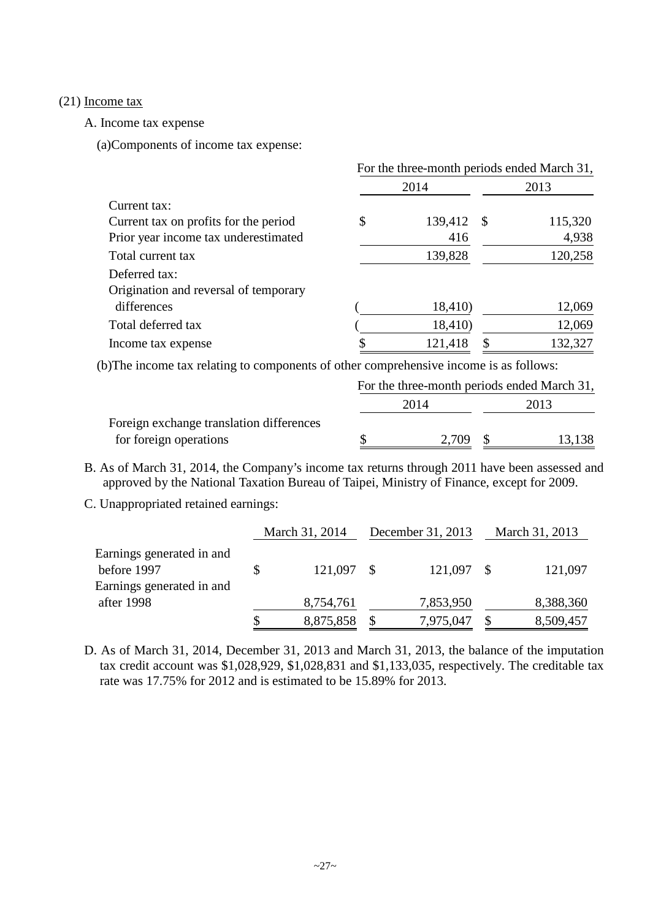#### (21) Income tax

A. Income tax expense

(a)Components of income tax expense:

|                                       | For the three-month periods ended March 31, |         |      |         |  |  |
|---------------------------------------|---------------------------------------------|---------|------|---------|--|--|
|                                       |                                             | 2014    |      | 2013    |  |  |
| Current tax:                          |                                             |         |      |         |  |  |
| Current tax on profits for the period | \$                                          | 139,412 | - \$ | 115,320 |  |  |
| Prior year income tax underestimated  |                                             | 416     |      | 4,938   |  |  |
| Total current tax                     |                                             | 139,828 |      | 120,258 |  |  |
| Deferred tax:                         |                                             |         |      |         |  |  |
| Origination and reversal of temporary |                                             |         |      |         |  |  |
| differences                           |                                             | 18,410) |      | 12,069  |  |  |
| Total deferred tax                    |                                             | 18,410) |      | 12,069  |  |  |
| Income tax expense                    |                                             | 121,418 | \$   | 132,327 |  |  |

(b)The income tax relating to components of other comprehensive income is as follows:

|                                          | For the three-month periods ended March 31, |       |  |        |  |
|------------------------------------------|---------------------------------------------|-------|--|--------|--|
|                                          | 2014                                        |       |  | 2013.  |  |
| Foreign exchange translation differences |                                             |       |  |        |  |
| for foreign operations                   |                                             | 2.709 |  | 13,138 |  |

- B. As of March 31, 2014, the Company's income tax returns through 2011 have been assessed and approved by the National Taxation Bureau of Taipei, Ministry of Finance, except for 2009.
- C. Unappropriated retained earnings:

|                                                                       | March 31, 2014  | December 31, 2013 |     | March 31, 2013 |
|-----------------------------------------------------------------------|-----------------|-------------------|-----|----------------|
| Earnings generated in and<br>before 1997<br>Earnings generated in and | 121,097 \$      | 121,097           | - S | 121,097        |
| after 1998                                                            | 8,754,761       | 7,853,950         |     | 8,388,360      |
|                                                                       | \$<br>8,875,858 | 7,975,047         |     | 8,509,457      |

D. As of March 31, 2014, December 31, 2013 and March 31, 2013, the balance of the imputation tax credit account was \$1,028,929, \$1,028,831 and \$1,133,035, respectively. The creditable tax rate was 17.75% for 2012 and is estimated to be 15.89% for 2013.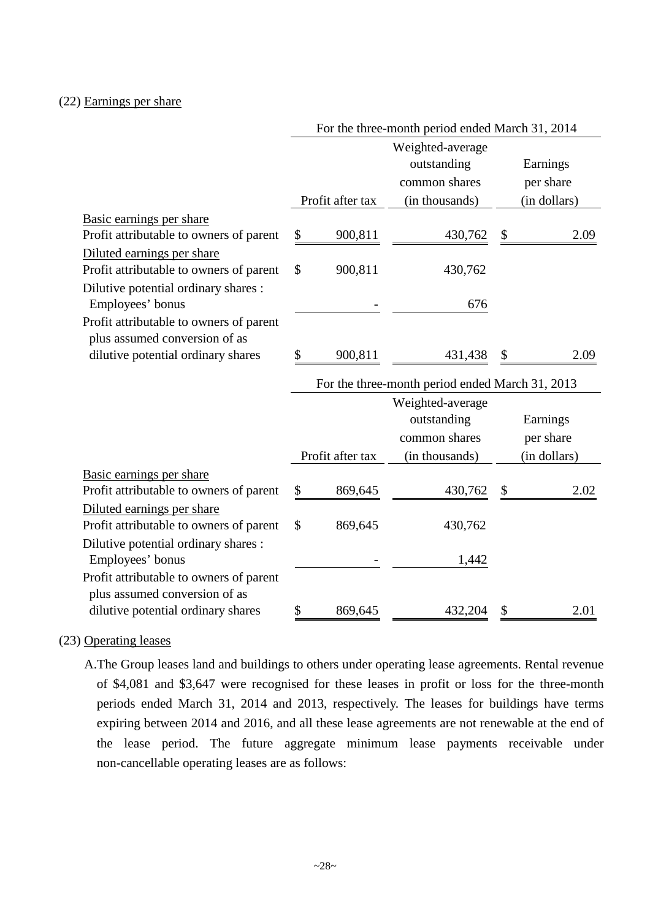### (22) Earnings per share

|                                                                     | For the three-month period ended March 31, 2014 |                  |                                                 |    |              |
|---------------------------------------------------------------------|-------------------------------------------------|------------------|-------------------------------------------------|----|--------------|
|                                                                     |                                                 |                  | Weighted-average                                |    |              |
|                                                                     |                                                 |                  | outstanding                                     |    | Earnings     |
|                                                                     |                                                 |                  | common shares                                   |    | per share    |
|                                                                     |                                                 | Profit after tax | (in thousands)                                  |    | (in dollars) |
| Basic earnings per share                                            |                                                 |                  |                                                 |    |              |
| Profit attributable to owners of parent                             | \$                                              | 900,811          | 430,762                                         | \$ | 2.09         |
| Diluted earnings per share                                          |                                                 |                  |                                                 |    |              |
| Profit attributable to owners of parent                             | \$                                              | 900,811          | 430,762                                         |    |              |
| Dilutive potential ordinary shares :                                |                                                 |                  |                                                 |    |              |
| Employees' bonus                                                    |                                                 |                  | 676                                             |    |              |
| Profit attributable to owners of parent                             |                                                 |                  |                                                 |    |              |
| plus assumed conversion of as                                       |                                                 |                  |                                                 |    |              |
| dilutive potential ordinary shares                                  | \$                                              | 900,811          | 431,438                                         | \$ | 2.09         |
|                                                                     |                                                 |                  | For the three-month period ended March 31, 2013 |    |              |
|                                                                     |                                                 |                  | Weighted-average                                |    |              |
|                                                                     |                                                 |                  | outstanding                                     |    | Earnings     |
|                                                                     |                                                 |                  |                                                 |    |              |
|                                                                     |                                                 |                  | common shares                                   |    | per share    |
|                                                                     |                                                 | Profit after tax | (in thousands)                                  |    | (in dollars) |
| Basic earnings per share                                            |                                                 |                  |                                                 |    |              |
| Profit attributable to owners of parent                             | \$                                              | 869,645          | 430,762                                         |    | 2.02         |
| Diluted earnings per share                                          |                                                 |                  |                                                 |    |              |
| Profit attributable to owners of parent                             | \$                                              | 869,645          | 430,762                                         |    |              |
| Dilutive potential ordinary shares :                                |                                                 |                  |                                                 |    |              |
| Employees' bonus                                                    |                                                 |                  | 1,442                                           |    |              |
| Profit attributable to owners of parent                             |                                                 |                  |                                                 |    |              |
| plus assumed conversion of as<br>dilutive potential ordinary shares | \$                                              | 869,645          | 432,204                                         | \$ | 2.01         |

### (23) Operating leases

A.The Group leases land and buildings to others under operating lease agreements. Rental revenue of \$4,081 and \$3,647 were recognised for these leases in profit or loss for the three-month periods ended March 31, 2014 and 2013, respectively. The leases for buildings have terms expiring between 2014 and 2016, and all these lease agreements are not renewable at the end of the lease period. The future aggregate minimum lease payments receivable under non-cancellable operating leases are as follows: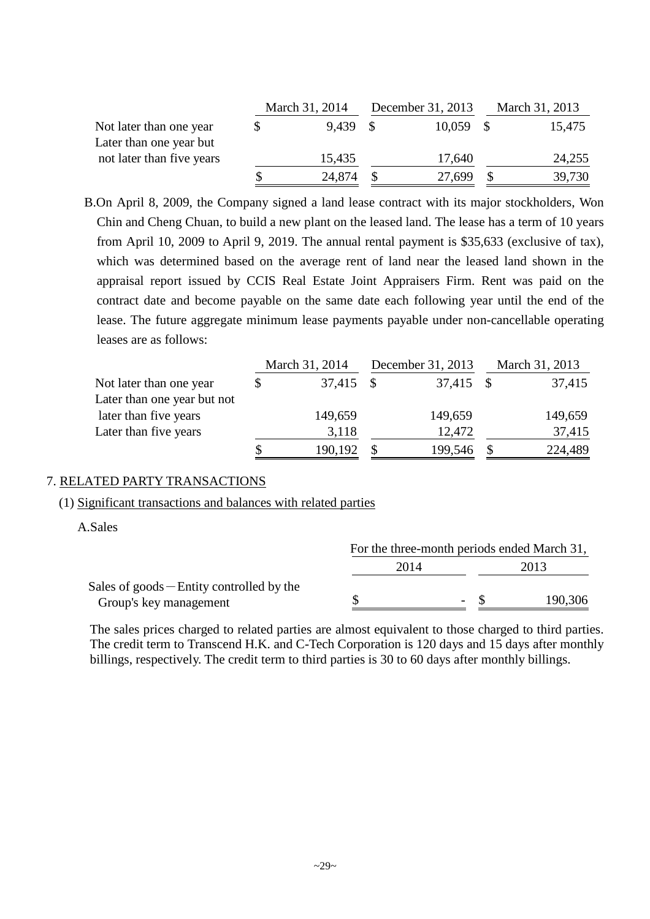|                           |  | March 31, 2014 | December 31, 2013 |        | March 31, 2013 |
|---------------------------|--|----------------|-------------------|--------|----------------|
| Not later than one year   |  | 9.439 \$       |                   | 10,059 | 15,475         |
| Later than one year but   |  |                |                   |        |                |
| not later than five years |  | 15,435         |                   | 17,640 | 24,255         |
|                           |  | 24,874         |                   | 27,699 | 39,730         |

B.On April 8, 2009, the Company signed a land lease contract with its major stockholders, Won Chin and Cheng Chuan, to build a new plant on the leased land. The lease has a term of 10 years from April 10, 2009 to April 9, 2019. The annual rental payment is \$35,633 (exclusive of tax), which was determined based on the average rent of land near the leased land shown in the appraisal report issued by CCIS Real Estate Joint Appraisers Firm. Rent was paid on the contract date and become payable on the same date each following year until the end of the lease. The future aggregate minimum lease payments payable under non-cancellable operating leases are as follows:

|                             | March 31, 2014 |      | December 31, 2013 | March 31, 2013 |
|-----------------------------|----------------|------|-------------------|----------------|
| Not later than one year     | 37,415         | - \$ | 37,415            | 37,415         |
| Later than one year but not |                |      |                   |                |
| later than five years       | 149,659        |      | 149,659           | 149,659        |
| Later than five years       | 3,118          |      | 12,472            | 37,415         |
|                             | 190,192        |      | 199,546           | 224,489        |

### 7. RELATED PARTY TRANSACTIONS

#### (1) Significant transactions and balances with related parties

A.Sales

|                                             | For the three-month periods ended March 31, |                          |         |  |  |
|---------------------------------------------|---------------------------------------------|--------------------------|---------|--|--|
|                                             | 2014                                        |                          | 2013    |  |  |
| Sales of $goods$ – Entity controlled by the |                                             |                          |         |  |  |
| Group's key management                      |                                             | $\overline{\phantom{0}}$ | 190,306 |  |  |

The sales prices charged to related parties are almost equivalent to those charged to third parties. The credit term to Transcend H.K. and C-Tech Corporation is 120 days and 15 days after monthly billings, respectively. The credit term to third parties is 30 to 60 days after monthly billings.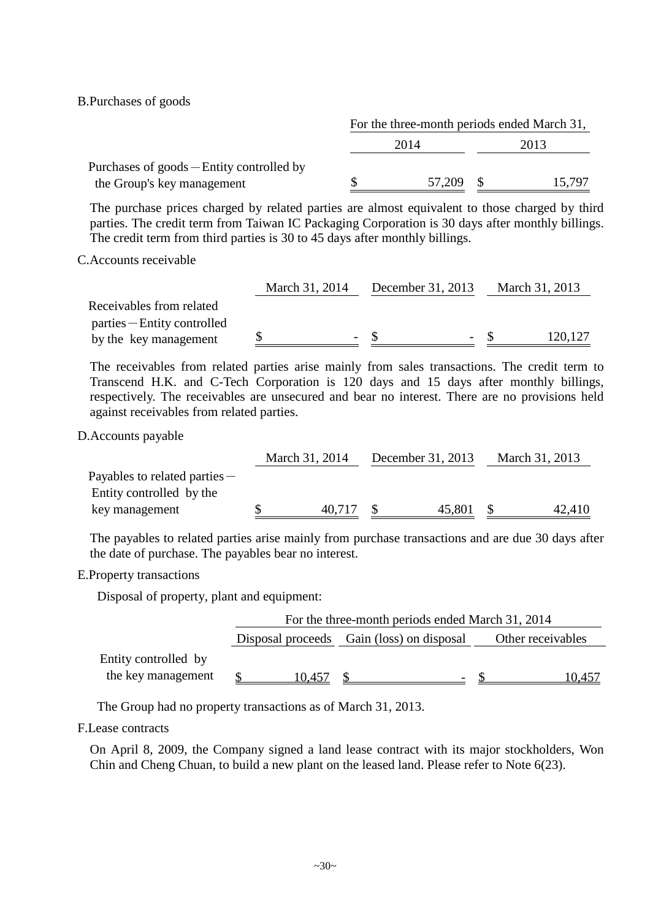B.Purchases of goods

|                                           | For the three-month periods ended March 31, |        |      |        |  |
|-------------------------------------------|---------------------------------------------|--------|------|--------|--|
|                                           | 2014                                        |        | 2013 |        |  |
| Purchases of goods – Entity controlled by |                                             |        |      |        |  |
| the Group's key management                |                                             | 57,209 |      | 15.797 |  |

The purchase prices charged by related parties are almost equivalent to those charged by third parties. The credit term from Taiwan IC Packaging Corporation is 30 days after monthly billings. The credit term from third parties is 30 to 45 days after monthly billings.

C.Accounts receivable

|                             | March 31, 2014 | December 31, 2013 | March 31, 2013 |
|-----------------------------|----------------|-------------------|----------------|
| Receivables from related    |                |                   |                |
| parties – Entity controlled |                |                   |                |
| by the key management       |                |                   | 120,127        |

The receivables from related parties arise mainly from sales transactions. The credit term to Transcend H.K. and C-Tech Corporation is 120 days and 15 days after monthly billings, respectively. The receivables are unsecured and bear no interest. There are no provisions held against receivables from related parties.

D.Accounts payable

|        |                |        |                   | March 31, 2013 |
|--------|----------------|--------|-------------------|----------------|
|        |                |        |                   |                |
|        |                |        |                   |                |
| 40,717 |                | 45,801 |                   | 42,410         |
|        | March 31, 2014 |        | December 31, 2013 |                |

The payables to related parties arise mainly from purchase transactions and are due 30 days after the date of purchase. The payables bear no interest.

E.Property transactions

Disposal of property, plant and equipment:

|                                            | For the three-month periods ended March 31, 2014 |                   |  |  |  |  |  |  |
|--------------------------------------------|--------------------------------------------------|-------------------|--|--|--|--|--|--|
|                                            | Disposal proceeds Gain (loss) on disposal        | Other receivables |  |  |  |  |  |  |
| Entity controlled by<br>the key management | 10.457                                           |                   |  |  |  |  |  |  |

The Group had no property transactions as of March 31, 2013.

F.Lease contracts

On April 8, 2009, the Company signed a land lease contract with its major stockholders, Won Chin and Cheng Chuan, to build a new plant on the leased land. Please refer to Note 6(23).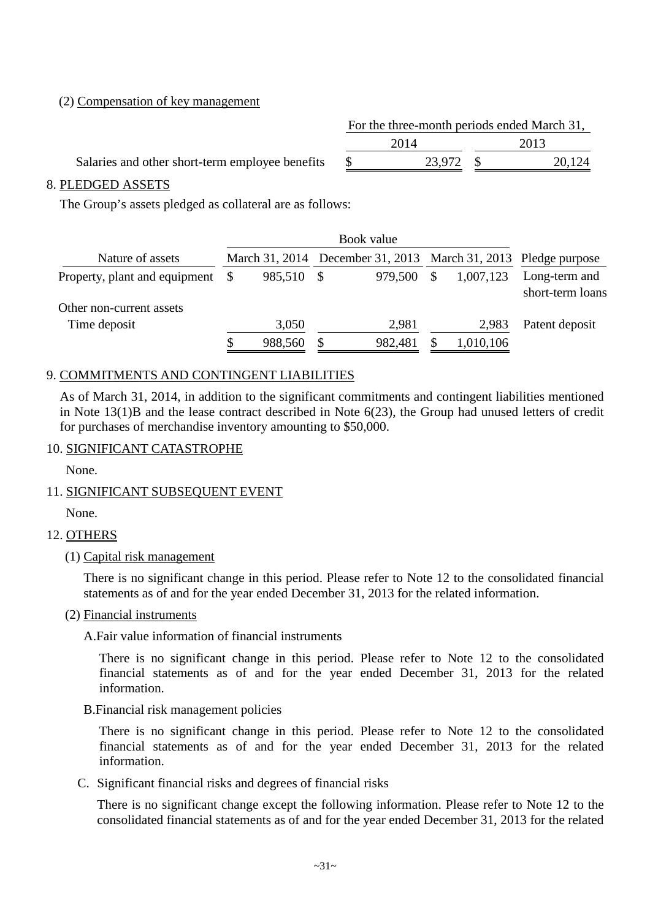### (2) Compensation of key management

|                                                 | For the three-month periods ended March 31, |           |  |        |  |  |  |  |  |
|-------------------------------------------------|---------------------------------------------|-----------|--|--------|--|--|--|--|--|
|                                                 |                                             | 2014      |  | 2013   |  |  |  |  |  |
| Salaries and other short-term employee benefits |                                             | 23.972 \$ |  | 20,124 |  |  |  |  |  |

### 8. PLEDGED ASSETS

The Group's assets pledged as collateral are as follows:

| Nature of assets                                          | March 31, 2014 |         |    |           | December 31, 2013 March 31, 2013 Pledge purpose |
|-----------------------------------------------------------|----------------|---------|----|-----------|-------------------------------------------------|
| Property, plant and equipment<br>Other non-current assets | 985,510        | 979.500 | \$ | 1,007,123 | Long-term and<br>short-term loans               |
| Time deposit                                              | 3,050          | 2,981   |    | 2.983     | Patent deposit                                  |
|                                                           | 988,560        | 982,481 |    | 1,010,106 |                                                 |

### 9. COMMITMENTS AND CONTINGENT LIABILITIES

As of March 31, 2014, in addition to the significant commitments and contingent liabilities mentioned in Note 13(1)B and the lease contract described in Note 6(23), the Group had unused letters of credit for purchases of merchandise inventory amounting to \$50,000.

### 10. SIGNIFICANT CATASTROPHE

None.

### 11. SIGNIFICANT SUBSEQUENT EVENT

None.

### 12. OTHERS

(1) Capital risk management

There is no significant change in this period. Please refer to Note 12 to the consolidated financial statements as of and for the year ended December 31, 2013 for the related information.

(2) Financial instruments

A.Fair value information of financial instruments

There is no significant change in this period. Please refer to Note 12 to the consolidated financial statements as of and for the year ended December 31, 2013 for the related information.

B.Financial risk management policies

There is no significant change in this period. Please refer to Note 12 to the consolidated financial statements as of and for the year ended December 31, 2013 for the related information.

C. Significant financial risks and degrees of financial risks

There is no significant change except the following information. Please refer to Note 12 to the consolidated financial statements as of and for the year ended December 31, 2013 for the related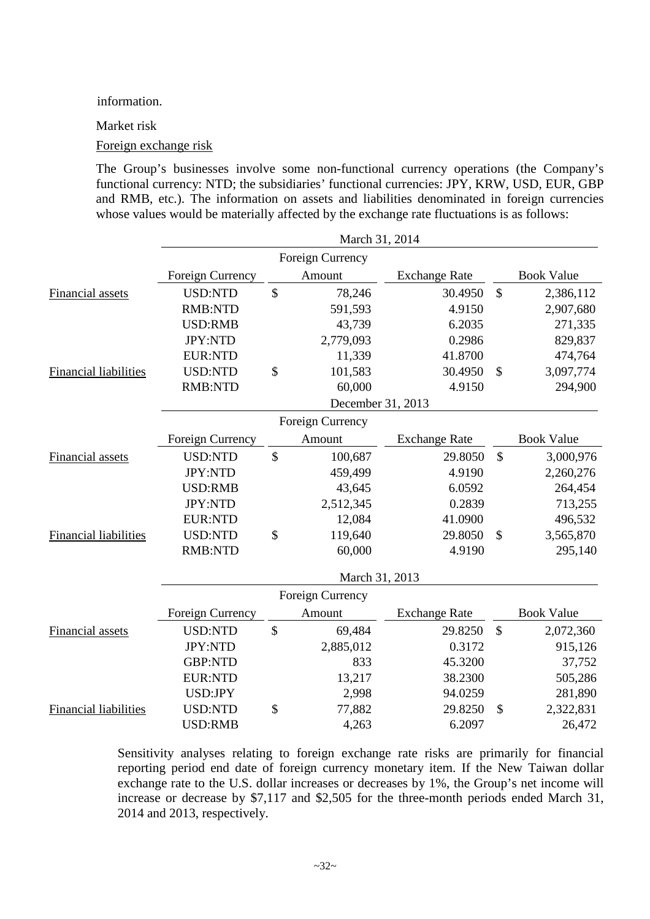#### information.

Market risk

#### Foreign exchange risk

The Group's businesses involve some non-functional currency operations (the Company's functional currency: NTD; the subsidiaries' functional currencies: JPY, KRW, USD, EUR, GBP and RMB, etc.). The information on assets and liabilities denominated in foreign currencies whose values would be materially affected by the exchange rate fluctuations is as follows:

|                              |                  |                           | March 31, 2014    |                      |               |                   |
|------------------------------|------------------|---------------------------|-------------------|----------------------|---------------|-------------------|
|                              |                  |                           | Foreign Currency  |                      |               |                   |
|                              | Foreign Currency |                           | Amount            | <b>Exchange Rate</b> |               | <b>Book Value</b> |
| Financial assets             | <b>USD:NTD</b>   | $\boldsymbol{\mathsf{S}}$ | 78,246            | 30.4950              | $\mathcal{S}$ | 2,386,112         |
|                              | <b>RMB:NTD</b>   |                           | 591,593           | 4.9150               |               | 2,907,680         |
|                              | <b>USD:RMB</b>   |                           | 43,739            | 6.2035               |               | 271,335           |
|                              | JPY:NTD          |                           | 2,779,093         | 0.2986               |               | 829,837           |
|                              | <b>EUR:NTD</b>   |                           | 11,339            | 41.8700              |               | 474,764           |
| Financial liabilities        | <b>USD:NTD</b>   | \$                        | 101,583           | 30.4950              | $\mathcal{S}$ | 3,097,774         |
|                              | <b>RMB:NTD</b>   |                           | 60,000            | 4.9150               |               | 294,900           |
|                              |                  |                           | December 31, 2013 |                      |               |                   |
|                              |                  |                           | Foreign Currency  |                      |               |                   |
|                              | Foreign Currency |                           | Amount            | <b>Exchange Rate</b> |               | <b>Book Value</b> |
| Financial assets             | <b>USD:NTD</b>   | \$                        | 100,687           | 29.8050              | \$            | 3,000,976         |
|                              | <b>JPY:NTD</b>   |                           | 459,499           | 4.9190               |               | 2,260,276         |
|                              | <b>USD:RMB</b>   |                           | 43,645            | 6.0592               |               | 264,454           |
|                              | JPY:NTD          |                           | 2,512,345         | 0.2839               |               | 713,255           |
|                              | <b>EUR:NTD</b>   |                           | 12,084            | 41.0900              |               | 496,532           |
| <b>Financial liabilities</b> | <b>USD:NTD</b>   | \$                        | 119,640           | 29.8050              | $\mathcal{S}$ | 3,565,870         |
|                              | <b>RMB:NTD</b>   |                           | 60,000            | 4.9190               |               | 295,140           |
|                              |                  |                           | March 31, 2013    |                      |               |                   |
|                              |                  |                           | Foreign Currency  |                      |               |                   |
|                              | Foreign Currency |                           | Amount            | <b>Exchange Rate</b> |               | <b>Book Value</b> |
| Financial assets             | <b>USD:NTD</b>   | $\boldsymbol{\mathsf{S}}$ | 69,484            | 29.8250              | $\mathcal{S}$ | 2,072,360         |
|                              | JPY:NTD          |                           | 2,885,012         | 0.3172               |               | 915,126           |
|                              | <b>GBP:NTD</b>   |                           | 833               | 45.3200              |               | 37,752            |
|                              | <b>EUR:NTD</b>   |                           | 13,217            | 38.2300              |               | 505,286           |
|                              | USD:JPY          |                           | 2,998             | 94.0259              |               | 281,890           |
| <b>Financial liabilities</b> | <b>USD:NTD</b>   | \$                        | 77,882            | 29.8250              | \$            | 2,322,831         |
|                              | <b>USD:RMB</b>   |                           | 4,263             | 6.2097               |               | 26,472            |

Sensitivity analyses relating to foreign exchange rate risks are primarily for financial reporting period end date of foreign currency monetary item. If the New Taiwan dollar exchange rate to the U.S. dollar increases or decreases by 1%, the Group's net income will increase or decrease by \$7,117 and \$2,505 for the three-month periods ended March 31, 2014 and 2013, respectively.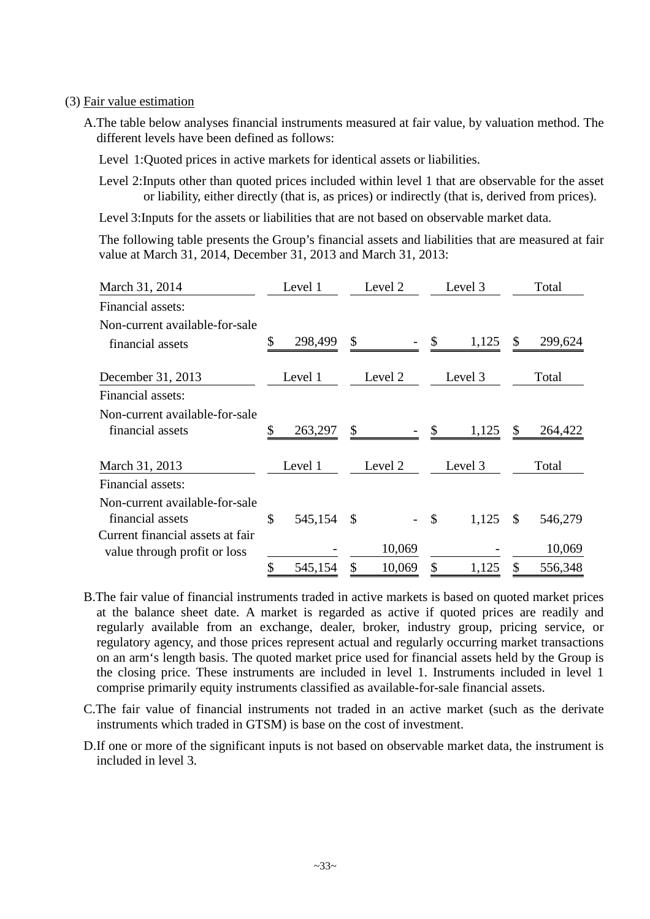#### (3) Fair value estimation

- A.The table below analyses financial instruments measured at fair value, by valuation method. The different levels have been defined as follows:
	- Level 1:Quoted prices in active markets for identical assets or liabilities.
	- Level 2:Inputs other than quoted prices included within level 1 that are observable for the asset or liability, either directly (that is, as prices) or indirectly (that is, derived from prices).

Level 3:Inputs for the assets or liabilities that are not based on observable market data.

The following table presents the Group's financial assets and liabilities that are measured at fair value at March 31, 2014, December 31, 2013 and March 31, 2013:

| March 31, 2014                   | Level 1       | Level 2      |               | Level 3 |               | Total   |
|----------------------------------|---------------|--------------|---------------|---------|---------------|---------|
| Financial assets:                |               |              |               |         |               |         |
| Non-current available-for-sale   |               |              |               |         |               |         |
| financial assets                 | \$<br>298,499 | \$           | \$            | 1,125   | \$            | 299,624 |
| December 31, 2013                | Level 1       | Level 2      |               | Level 3 |               | Total   |
| Financial assets:                |               |              |               |         |               |         |
| Non-current available-for-sale   |               |              |               |         |               |         |
| financial assets                 | \$<br>263,297 | \$           | \$            | 1,125   |               | 264,422 |
| March 31, 2013                   | Level 1       | Level 2      |               | Level 3 |               | Total   |
| Financial assets:                |               |              |               |         |               |         |
| Non-current available-for-sale   |               |              |               |         |               |         |
| financial assets                 | \$<br>545,154 | \$           | $\mathcal{S}$ | 1,125   | $\mathcal{S}$ | 546,279 |
| Current financial assets at fair |               |              |               |         |               |         |
| value through profit or loss     |               | 10,069       |               |         |               | 10,069  |
|                                  | \$<br>545,154 | \$<br>10,069 | $\mathcal{S}$ | 1,125   | $\mathcal{S}$ | 556,348 |

- B.The fair value of financial instruments traded in active markets is based on quoted market prices at the balance sheet date. A market is regarded as active if quoted prices are readily and regularly available from an exchange, dealer, broker, industry group, pricing service, or regulatory agency, and those prices represent actual and regularly occurring market transactions on an arm's length basis. The quoted market price used for financial assets held by the Group is the closing price. These instruments are included in level 1. Instruments included in level 1 comprise primarily equity instruments classified as available-for-sale financial assets.
- C.The fair value of financial instruments not traded in an active market (such as the derivate instruments which traded in GTSM) is base on the cost of investment.
- D.If one or more of the significant inputs is not based on observable market data, the instrument is included in level 3.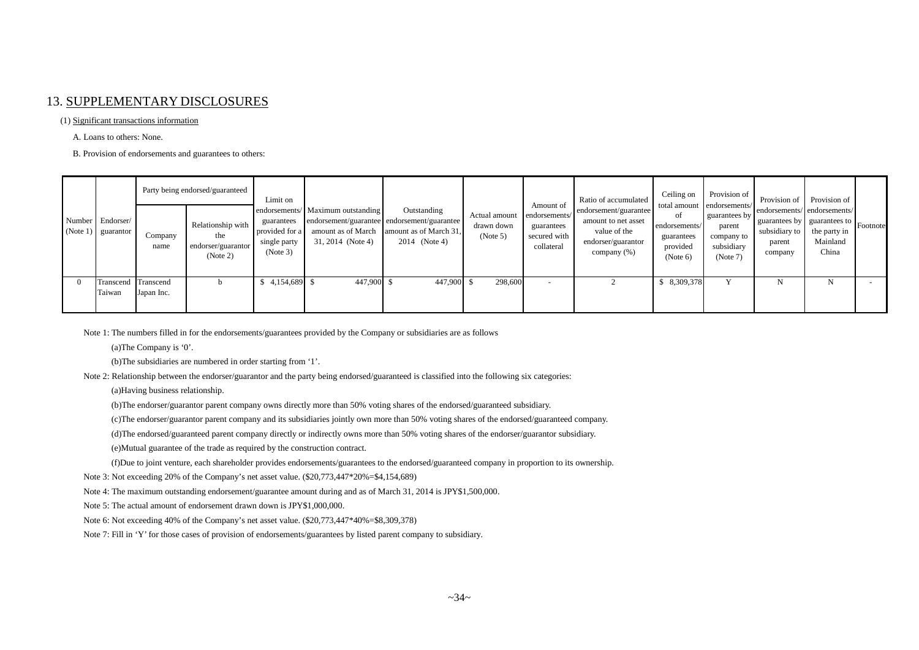#### 13. SUPPLEMENTARY DISCLOSURES

#### (1) Significant transactions information

A. Loans to others: None.

B. Provision of endorsements and guarantees to others:

|                                          |                 | Party being endorsed/guaranteed                            | Limit on                                                 |                                                                                                                             |                                                        |                                         |                                                                        | Ratio of accumulated                                                                              | Ceiling on                                                | Provision of                                                                                  |                                                                                                                | Provision of Provision of         |  |
|------------------------------------------|-----------------|------------------------------------------------------------|----------------------------------------------------------|-----------------------------------------------------------------------------------------------------------------------------|--------------------------------------------------------|-----------------------------------------|------------------------------------------------------------------------|---------------------------------------------------------------------------------------------------|-----------------------------------------------------------|-----------------------------------------------------------------------------------------------|----------------------------------------------------------------------------------------------------------------|-----------------------------------|--|
| Number Endorser/<br>$(Note 1)$ guarantor | Company<br>name | Relationship with<br>the<br>endorser/guarantor<br>(Note 2) | guarantees<br>provided for a<br>single party<br>(Note 3) | endorsements/ Maximum outstanding<br>endorsement/guarantee endorsement/guarantee<br>amount as of March<br>31, 2014 (Note 4) | Outstanding<br>amount as of March 31,<br>2014 (Note 4) | Actual amount<br>drawn down<br>(Note 5) | Amount of<br>endorsements/<br>guarantees<br>secured with<br>collateral | endorsement/guarantee<br>amount to net asset<br>value of the<br>endorser/guarantor<br>company (%) | of<br>endorsements/<br>guarantees<br>provided<br>(Note 6) | total amount endorsements/<br>guarantees by<br>parent<br>company to<br>subsidiary<br>(Note 7) | endorsements/endorsements/<br>  guarantees by   guarantees to   Footnote<br>subsidiary to<br>parent<br>company | the party in<br>Mainland<br>China |  |
| Transcend Transcend<br>Taiwan            | Japan Inc.      |                                                            | 4,154,689 \$                                             | 447,900 \$                                                                                                                  | 447,900 \$                                             | 298,600                                 | $\overline{\phantom{a}}$                                               |                                                                                                   | \$ 8,309,378                                              |                                                                                               |                                                                                                                | N                                 |  |

Note 1: The numbers filled in for the endorsements/guarantees provided by the Company or subsidiaries are as follows

(a)The Company is '0'.

(b)The subsidiaries are numbered in order starting from '1'.

Note 2: Relationship between the endorser/guarantor and the party being endorsed/guaranteed is classified into the following six categories:

(a)Having business relationship.

(b)The endorser/guarantor parent company owns directly more than 50% voting shares of the endorsed/guaranteed subsidiary.

(c)The endorser/guarantor parent company and its subsidiaries jointly own more than 50% voting shares of the endorsed/guaranteed company.

(d)The endorsed/guaranteed parent company directly or indirectly owns more than 50% voting shares of the endorser/guarantor subsidiary.

(e)Mutual guarantee of the trade as required by the construction contract.

(f)Due to joint venture, each shareholder provides endorsements/guarantees to the endorsed/guaranteed company in proportion to its ownership.

Note 3: Not exceeding 20% of the Company's net asset value. (\$20,773,447\*20%=\$4,154,689)

Note 4: The maximum outstanding endorsement/guarantee amount during and as of March 31, 2014 is JPY\$1,500,000.

Note 5: The actual amount of endorsement drawn down is JPY\$1,000,000.

Note 6: Not exceeding 40% of the Company's net asset value. (\$20,773,447\*40%=\$8,309,378)

Note 7: Fill in 'Y' for those cases of provision of endorsements/guarantees by listed parent company to subsidiary.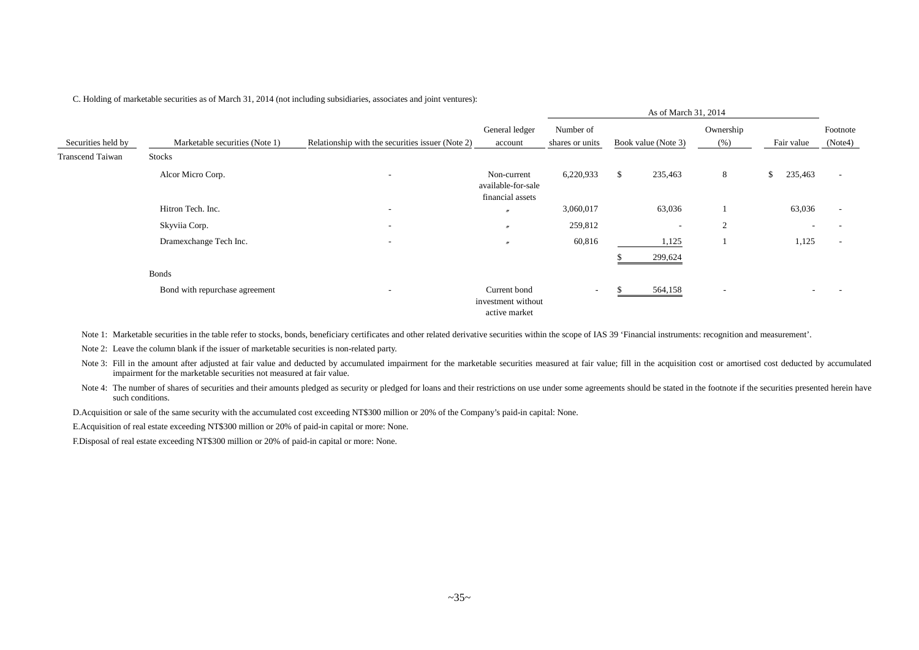C. Holding of marketable securities as of March 31, 2014 (not including subsidiaries, associates and joint ventures):

|                    |                                |                                                  |                                                       |                              | As of March 31, 2014     |                          |                          |                     |
|--------------------|--------------------------------|--------------------------------------------------|-------------------------------------------------------|------------------------------|--------------------------|--------------------------|--------------------------|---------------------|
| Securities held by | Marketable securities (Note 1) | Relationship with the securities issuer (Note 2) | General ledger<br>account                             | Number of<br>shares or units | Book value (Note 3)      | Ownership<br>(% )        | Fair value               | Footnote<br>(Note4) |
| Transcend Taiwan   | Stocks                         |                                                  |                                                       |                              |                          |                          |                          |                     |
|                    | Alcor Micro Corp.              | $\overline{\phantom{a}}$                         | Non-current<br>available-for-sale<br>financial assets | 6,220,933                    | \$<br>235,463            | 8                        | \$<br>235,463            |                     |
|                    | Hitron Tech. Inc.              | $\overline{\phantom{a}}$                         | $\prime\prime$                                        | 3,060,017                    | 63,036                   |                          | 63,036                   |                     |
|                    | Skyviia Corp.                  | $\overline{\phantom{a}}$                         | $\boldsymbol{\prime}$                                 | 259,812                      | $\overline{\phantom{a}}$ | $\overline{2}$           |                          |                     |
|                    | Dramexchange Tech Inc.         | $\overline{\phantom{a}}$                         | $\boldsymbol{''}$                                     | 60,816                       | 1,125<br>299,624         |                          | 1,125                    |                     |
|                    | <b>Bonds</b>                   |                                                  |                                                       |                              |                          |                          |                          |                     |
|                    | Bond with repurchase agreement | $\overline{\phantom{a}}$                         | Current bond<br>investment without<br>active market   | $\sim$                       | 564,158                  | $\overline{\phantom{a}}$ | $\overline{\phantom{0}}$ |                     |

Note 1: Marketable securities in the table refer to stocks, bonds, beneficiary certificates and other related derivative securities within the scope of IAS 39 'Financial instruments: recognition and measurement'.

Note 2: Leave the column blank if the issuer of marketable securities is non-related party.

Note 3: Fill in the amount after adjusted at fair value and deducted by accumulated impairment for the marketable securities measured at fair value; fill in the acquisition cost or amortised cost deducted by accumulated impairment for the marketable securities not measured at fair value.

Note 4: The number of shares of securities and their amounts pledged as security or pledged for loans and their restrictions on use under some agreements should be stated in the footnote if the securities presented herein such conditions.

D.Acquisition or sale of the same security with the accumulated cost exceeding NT\$300 million or 20% of the Company's paid-in capital: None.

E.Acquisition of real estate exceeding NT\$300 million or 20% of paid-in capital or more: None.

F.Disposal of real estate exceeding NT\$300 million or 20% of paid-in capital or more: None.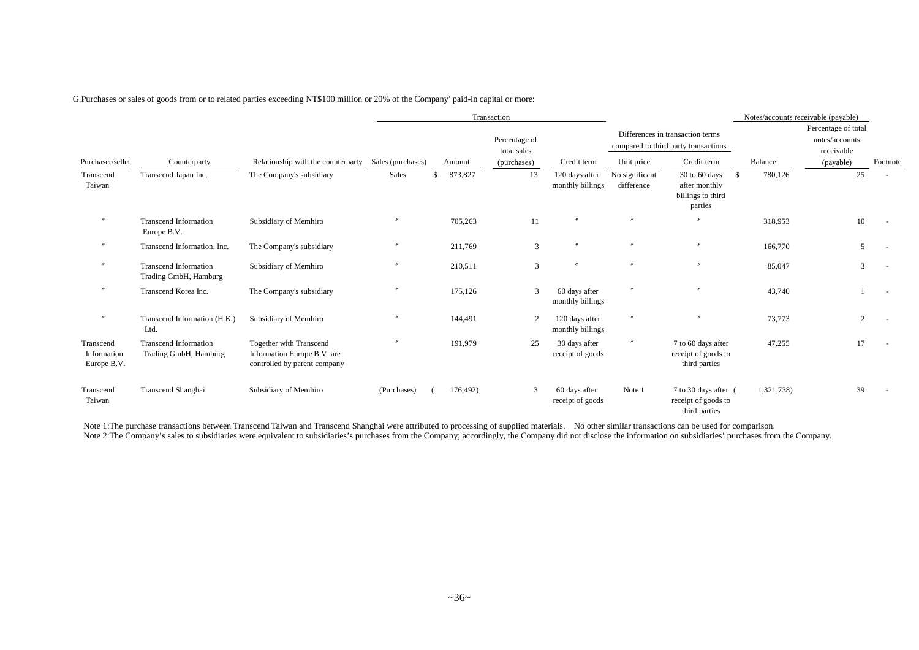G.Purchases or sales of goods from or to related parties exceeding NT\$100 million or 20% of the Company' paid-in capital or more:

|                                         |                                                       |                                                                                        |                   |               | Transaction                  |                                    |                              |                                                                          |               | Notes/accounts receivable (payable)                 |          |
|-----------------------------------------|-------------------------------------------------------|----------------------------------------------------------------------------------------|-------------------|---------------|------------------------------|------------------------------------|------------------------------|--------------------------------------------------------------------------|---------------|-----------------------------------------------------|----------|
|                                         |                                                       |                                                                                        |                   |               | Percentage of<br>total sales |                                    |                              | Differences in transaction terms<br>compared to third party transactions |               | Percentage of total<br>notes/accounts<br>receivable |          |
| Purchaser/seller                        | Counterparty                                          | Relationship with the counterparty                                                     | Sales (purchases) | Amount        | (purchases)                  | Credit term                        | Unit price                   | Credit term                                                              | Balance       | (payable)                                           | Footnote |
| Transcend<br>Taiwan                     | Transcend Japan Inc.                                  | The Company's subsidiary                                                               | Sales             | 873,827<br>\$ | 13                           | 120 days after<br>monthly billings | No significant<br>difference | 30 to 60 days<br>after monthly<br>billings to third<br>parties           | 780,126<br>-S | 25                                                  |          |
| $^{\prime\prime}$                       | <b>Transcend Information</b><br>Europe B.V.           | Subsidiary of Memhiro                                                                  | $^{\prime\prime}$ | 705,263       | 11                           |                                    | $\prime\prime$               |                                                                          | 318,953       | 10                                                  |          |
| $^{\prime\prime}$                       | Transcend Information, Inc.                           | The Company's subsidiary                                                               |                   | 211,769       | 3                            | $^{\prime\prime}$                  | $\prime\prime$               | $\mathbf{m}$                                                             | 166,770       | 5                                                   |          |
| $^{\prime\prime}$                       | <b>Transcend Information</b><br>Trading GmbH, Hamburg | Subsidiary of Memhiro                                                                  |                   | 210,511       | 3                            |                                    | $\prime\prime$               | $\mathbf{m}$                                                             | 85,047        | 3                                                   |          |
| $^{\prime\prime}$                       | Transcend Korea Inc.                                  | The Company's subsidiary                                                               |                   | 175,126       | 3                            | 60 days after<br>monthly billings  |                              |                                                                          | 43,740        |                                                     |          |
| $^{\prime\prime}$                       | Transcend Information (H.K.)<br>Ltd.                  | Subsidiary of Memhiro                                                                  |                   | 144,491       | 2                            | 120 days after<br>monthly billings |                              |                                                                          | 73,773        | 2                                                   |          |
| Transcend<br>Information<br>Europe B.V. | <b>Transcend Information</b><br>Trading GmbH, Hamburg | Together with Transcend<br>Information Europe B.V. are<br>controlled by parent company | $\prime$          | 191,979       | 25                           | 30 days after<br>receipt of goods  | $^{\prime\prime}$            | 7 to 60 days after<br>receipt of goods to<br>third parties               | 47,255        | 17                                                  |          |
| Transcend<br>Taiwan                     | Transcend Shanghai                                    | Subsidiary of Memhiro                                                                  | (Purchases)       | 176,492)      | 3                            | 60 days after<br>receipt of goods  | Note 1                       | 7 to 30 days after (<br>receipt of goods to<br>third parties             | 1,321,738)    | 39                                                  |          |

Note 1:The purchase transactions between Transcend Taiwan and Transcend Shanghai were attributed to processing of supplied materials. No other similar transactions can be used for comparison. Note 2:The Company's sales to subsidiaries were equivalent to subsidiaries's purchases from the Company; accordingly, the Company did not disclose the information on subsidiaries' purchases from the Company.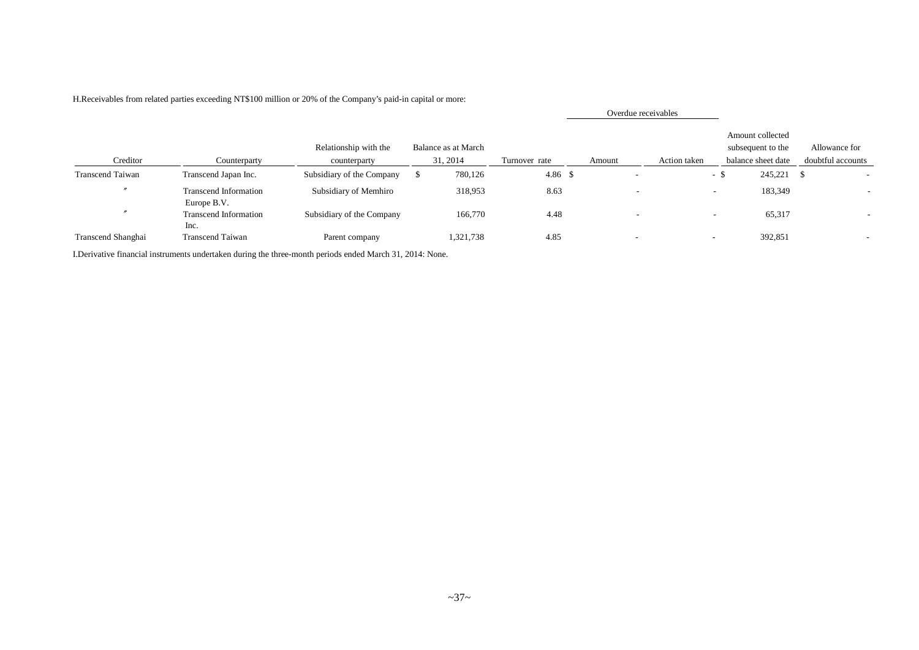|                          |                                             |                                       |                                 |                |        |                          | Overdue receivables      |     |                                                             |                                    |
|--------------------------|---------------------------------------------|---------------------------------------|---------------------------------|----------------|--------|--------------------------|--------------------------|-----|-------------------------------------------------------------|------------------------------------|
| Creditor                 | Counterparty                                | Relationship with the<br>counterparty | Balance as at March<br>31, 2014 | Turnover rate  | Amount |                          | Action taken             |     | Amount collected<br>subsequent to the<br>balance sheet date | Allowance for<br>doubtful accounts |
| <b>Transcend Taiwan</b>  | Transcend Japan Inc.                        | Subsidiary of the Company             | 780,126                         | $4.86\quad$ \$ |        |                          |                          | - 5 | 245,221 \$                                                  |                                    |
|                          | <b>Transcend Information</b><br>Europe B.V. | Subsidiary of Memhiro                 | 318,953                         | 8.63           |        | -                        |                          | -   | 183,349                                                     |                                    |
| $\overline{\phantom{a}}$ | <b>Transcend Information</b><br>Inc.        | Subsidiary of the Company             | 166,770                         | 4.48           |        | $\overline{\phantom{a}}$ |                          |     | 65,317                                                      |                                    |
| Transcend Shanghai       | <b>Transcend Taiwan</b>                     | Parent company                        | 1,321,738                       | 4.85           |        | $\sim$                   | $\overline{\phantom{a}}$ |     | 392,851                                                     |                                    |

H.Receivables from related parties exceeding NT\$100 million or 20% of the Company's paid-in capital or more:

I.Derivative financial instruments undertaken during the three-month periods ended March 31, 2014: None.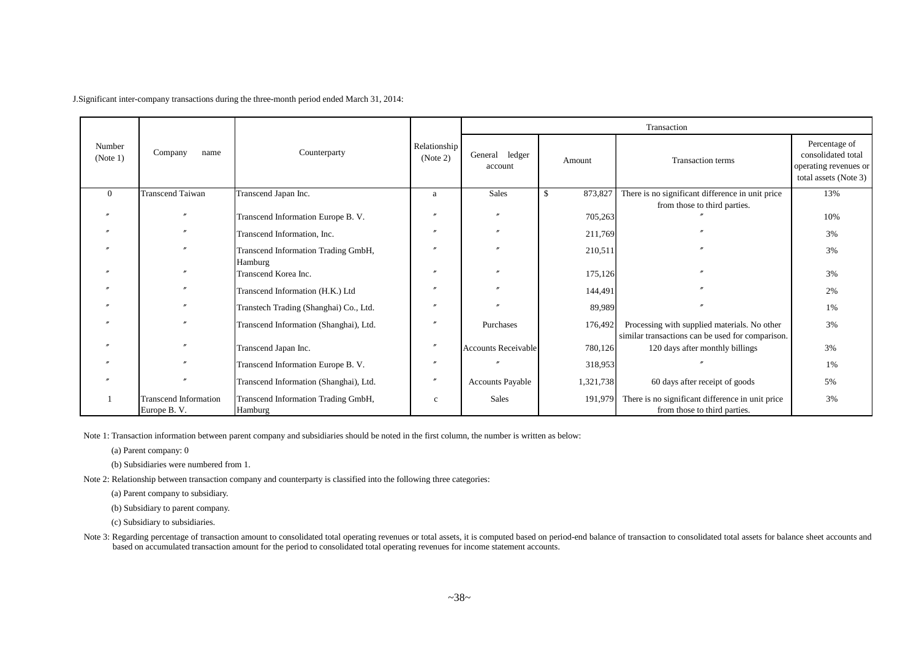J.Significant inter-company transactions during the three-month period ended March 31, 2014:

|                    |                                             |                                                | Relationship   |                            |                          | Transaction                                                                                      |                                                                                       |
|--------------------|---------------------------------------------|------------------------------------------------|----------------|----------------------------|--------------------------|--------------------------------------------------------------------------------------------------|---------------------------------------------------------------------------------------|
| Number<br>(Note 1) | Company<br>name                             | Counterparty                                   | (Note 2)       | General ledger<br>account  | Amount                   | <b>Transaction</b> terms                                                                         | Percentage of<br>consolidated total<br>operating revenues or<br>total assets (Note 3) |
| $\Omega$           | <b>Transcend Taiwan</b>                     | Transcend Japan Inc.                           | a              | <b>Sales</b>               | 873,827<br>$\mathcal{S}$ | There is no significant difference in unit price                                                 | 13%                                                                                   |
|                    |                                             |                                                |                |                            |                          | from those to third parties.                                                                     |                                                                                       |
|                    |                                             | Transcend Information Europe B. V.             |                |                            | 705,263                  |                                                                                                  | 10%                                                                                   |
|                    |                                             | Transcend Information, Inc.                    |                |                            | 211,769                  |                                                                                                  | 3%                                                                                    |
|                    |                                             | Transcend Information Trading GmbH,<br>Hamburg | $\prime\prime$ |                            | 210,511                  |                                                                                                  | 3%                                                                                    |
|                    |                                             | Transcend Korea Inc.                           |                |                            | 175,126                  |                                                                                                  | 3%                                                                                    |
|                    |                                             | Transcend Information (H.K.) Ltd               | $\prime\prime$ |                            | 144,491                  |                                                                                                  | 2%                                                                                    |
|                    |                                             | Transtech Trading (Shanghai) Co., Ltd.         |                |                            | 89,989                   |                                                                                                  | 1%                                                                                    |
|                    |                                             | Transcend Information (Shanghai), Ltd.         |                | Purchases                  | 176,492                  | Processing with supplied materials. No other<br>similar transactions can be used for comparison. | 3%                                                                                    |
|                    |                                             | Transcend Japan Inc.                           | $\prime\prime$ | <b>Accounts Receivable</b> | 780,126                  | 120 days after monthly billings                                                                  | 3%                                                                                    |
|                    |                                             | Transcend Information Europe B. V.             |                |                            | 318,953                  |                                                                                                  | 1%                                                                                    |
|                    |                                             | Transcend Information (Shanghai), Ltd.         | $\prime\prime$ | <b>Accounts Payable</b>    | 1,321,738                | 60 days after receipt of goods                                                                   | 5%                                                                                    |
|                    | <b>Transcend Information</b><br>Europe B.V. | Transcend Information Trading GmbH,<br>Hamburg | $\mathbf c$    | Sales                      | 191,979                  | There is no significant difference in unit price<br>from those to third parties.                 | 3%                                                                                    |

Note 1: Transaction information between parent company and subsidiaries should be noted in the first column, the number is written as below:

(a) Parent company: 0

(b) Subsidiaries were numbered from 1.

Note 2: Relationship between transaction company and counterparty is classified into the following three categories:

(a) Parent company to subsidiary.

(b) Subsidiary to parent company.

(c) Subsidiary to subsidiaries.

Note 3: Regarding percentage of transaction amount to consolidated total operating revenues or total assets, it is computed based on period-end balance of transaction to consolidated total assets for balance sheet accounts based on accumulated transaction amount for the period to consolidated total operating revenues for income statement accounts.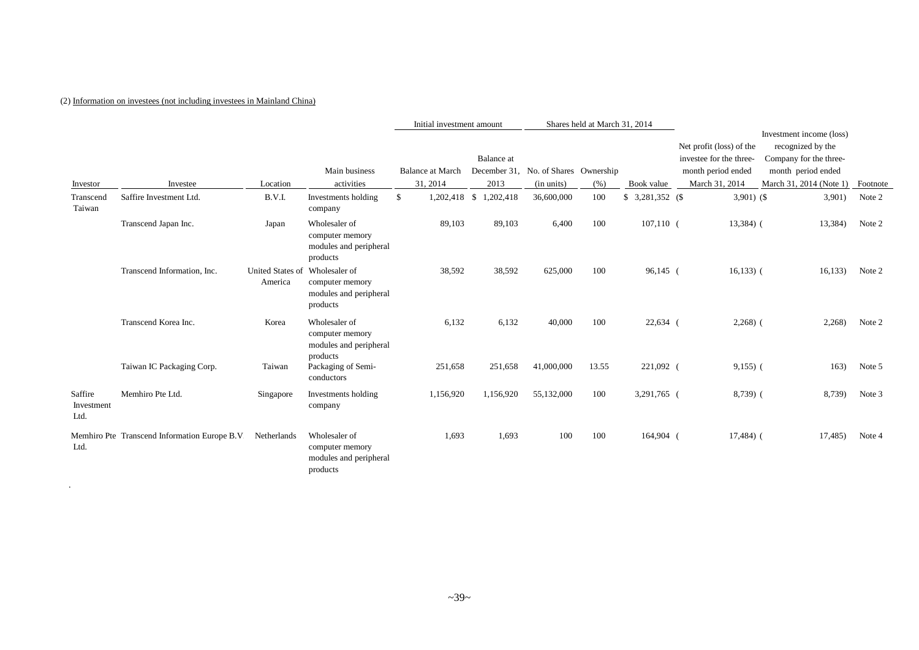#### (2) Information on investees (not including investees in Mainland China)

.

|                               |                                               |                                    |                                                                        | Initial investment amount |                                      |            | Shares held at March 31, 2014 |                  |                          |                                               |          |
|-------------------------------|-----------------------------------------------|------------------------------------|------------------------------------------------------------------------|---------------------------|--------------------------------------|------------|-------------------------------|------------------|--------------------------|-----------------------------------------------|----------|
|                               |                                               |                                    |                                                                        |                           |                                      |            |                               |                  | Net profit (loss) of the | Investment income (loss)<br>recognized by the |          |
|                               |                                               |                                    |                                                                        |                           | Balance at                           |            |                               |                  | investee for the three-  | Company for the three-                        |          |
|                               |                                               |                                    | Main business                                                          | <b>Balance at March</b>   | December 31, No. of Shares Ownership |            |                               |                  | month period ended       | month period ended                            |          |
| Investor                      | Investee                                      | Location                           | activities                                                             | 31, 2014                  | 2013                                 | (in units) | (%)                           | Book value       | March 31, 2014           | March 31, 2014 (Note 1)                       | Footnote |
| Transcend<br>Taiwan           | Saffire Investment Ltd.                       | B.V.I.                             | Investments holding<br>company                                         | \$                        | 1,202,418 \$ 1,202,418               | 36,600,000 | 100                           | $$3,281,352$ (\$ | $3,901)$ (\$             | 3,901)                                        | Note 2   |
|                               | Transcend Japan Inc.                          | Japan                              | Wholesaler of<br>computer memory<br>modules and peripheral<br>products | 89,103                    | 89,103                               | 6,400      | 100                           | $107,110$ (      | $13,384$ ) (             | 13,384)                                       | Note 2   |
|                               | Transcend Information, Inc.                   | <b>United States of</b><br>America | Wholesaler of<br>computer memory<br>modules and peripheral<br>products | 38,592                    | 38,592                               | 625,000    | 100                           | $96,145$ (       | $16,133)$ (              | 16,133)                                       | Note 2   |
|                               | Transcend Korea Inc.                          | Korea                              | Wholesaler of<br>computer memory<br>modules and peripheral<br>products | 6,132                     | 6,132                                | 40,000     | 100                           | $22,634$ (       | $2,268$ ) (              | 2,268)                                        | Note 2   |
|                               | Taiwan IC Packaging Corp.                     | Taiwan                             | Packaging of Semi-<br>conductors                                       | 251,658                   | 251,658                              | 41,000,000 | 13.55                         | 221,092 (        | $9,155$ ) (              | 163)                                          | Note 5   |
| Saffire<br>Investment<br>Ltd. | Memhiro Pte Ltd.                              | Singapore                          | Investments holding<br>company                                         | 1,156,920                 | 1,156,920                            | 55,132,000 | 100                           | 3,291,765 (      | $8,739$ (                | 8,739)                                        | Note 3   |
| Ltd.                          | Memhiro Pte Transcend Information Europe B.V. | Netherlands                        | Wholesaler of<br>computer memory<br>modules and peripheral<br>products | 1,693                     | 1,693                                | 100        | 100                           | 164,904 (        | $17,484$ ) (             | 17,485)                                       | Note 4   |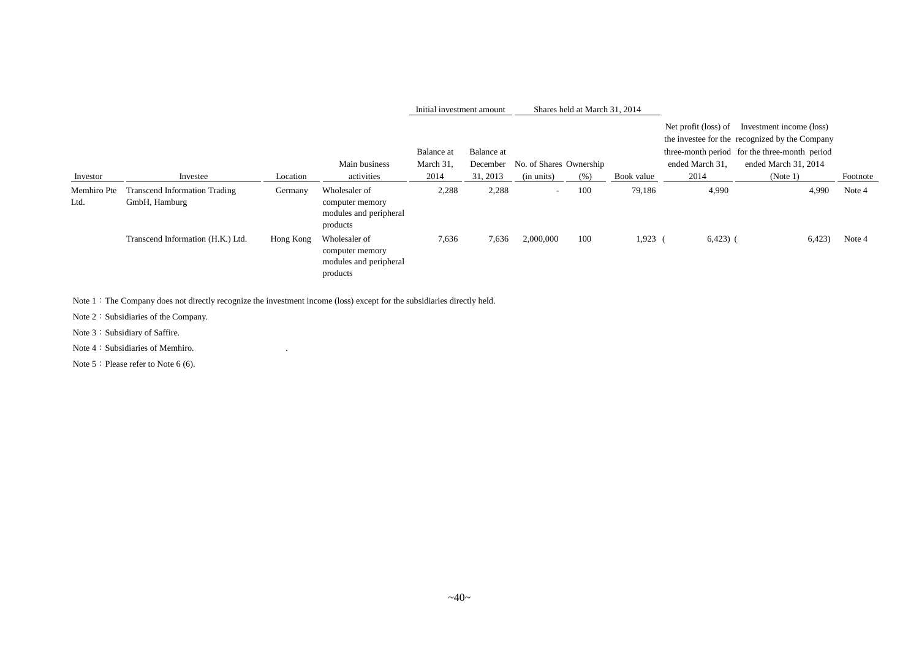|                     |                                                       |           |                                                                        | Initial investment amount |                        |                         | Shares held at March 31, 2014 |            |                                         |                                                                                                                                                     |          |
|---------------------|-------------------------------------------------------|-----------|------------------------------------------------------------------------|---------------------------|------------------------|-------------------------|-------------------------------|------------|-----------------------------------------|-----------------------------------------------------------------------------------------------------------------------------------------------------|----------|
|                     |                                                       |           | Main business                                                          | Balance at<br>March 31,   | Balance at<br>December | No. of Shares Ownership |                               |            | Net profit (loss) of<br>ended March 31, | Investment income (loss)<br>the investee for the recognized by the Company<br>three-month period for the three-month period<br>ended March 31, 2014 |          |
| Investor            | Investee                                              | Location  | activities                                                             | 2014                      | 31, 2013               | (in units)              | (% )                          | Book value | 2014                                    | (Note 1)                                                                                                                                            | Footnote |
| Memhiro Pte<br>Ltd. | <b>Transcend Information Trading</b><br>GmbH, Hamburg | Germany   | Wholesaler of<br>computer memory<br>modules and peripheral<br>products | 2,288                     | 2,288                  | $\sim$                  | 100                           | 79,186     | 4,990                                   | 4,990                                                                                                                                               | Note 4   |
|                     | Transcend Information (H.K.) Ltd.                     | Hong Kong | Wholesaler of<br>computer memory<br>modules and peripheral<br>products | 7,636                     | 7,636                  | 2,000,000               | 100                           | 1,923      | $6,423)$ (                              | 6,423                                                                                                                                               | Note 4   |

Note 1: The Company does not directly recognize the investment income (loss) except for the subsidiaries directly held.

Note 2: Subsidiaries of the Company.

Note 3: Subsidiary of Saffire.

Note 4: Subsidiaries of Memhiro.

Note 5: Please refer to Note 6 (6).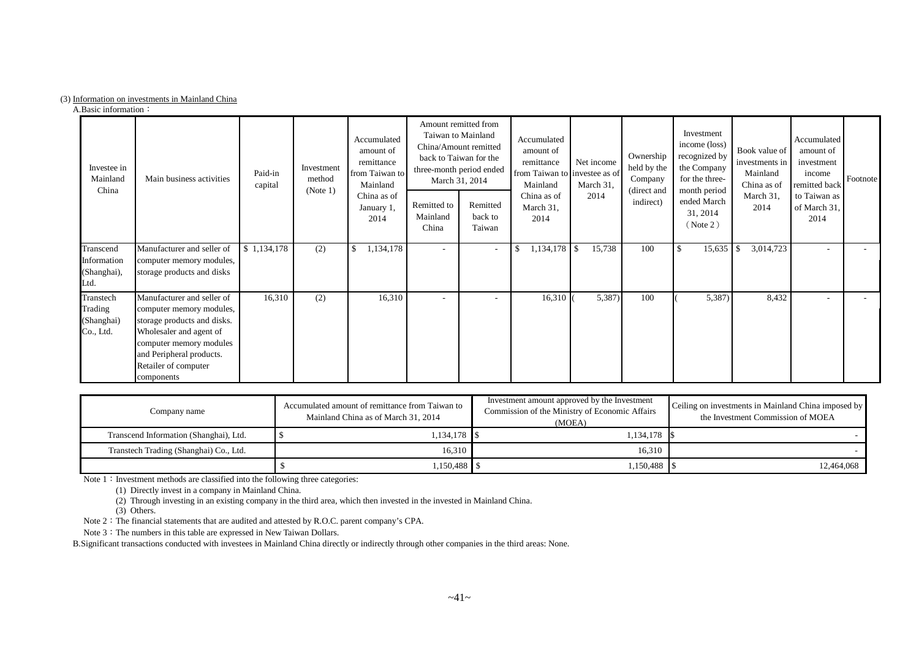#### (3) Information on investments in Mainland China

A.Basic information:

| Investee in<br>Mainland<br>China                | Main business activities                                                                                                                                                                                      | Paid-in<br>capital | Investment<br>method<br>(Note 1) | Accumulated<br>amount of<br>remittance<br>from Taiwan to<br>Mainland<br>China as of<br>January 1,<br>2014 | Taiwan to Mainland<br>Remitted to<br>Mainland<br>China | Amount remitted from<br>China/Amount remitted<br>back to Taiwan for the<br>three-month period ended<br>March 31, 2014<br>Remitted<br>back to<br>Taiwan | Accumulated<br>amount of<br>remittance<br>from Taiwan to investee as of<br>Mainland<br>China as of<br>March 31,<br>2014 | Net income<br>March 31,<br>2014 | Ownership<br>held by the<br>Company<br>(direct and<br>indirect) | Investment<br>income (loss)<br>recognized by<br>the Company<br>for the three-<br>month period<br>ended March<br>31, 2014<br>( Note 2) | Book value of<br>investments in<br>Mainland<br>China as of<br>March 31,<br>2014 | Accumulated<br>amount of<br>investment<br>income<br>remitted back<br>to Taiwan as<br>of March 31,<br>2014 | Footnote |
|-------------------------------------------------|---------------------------------------------------------------------------------------------------------------------------------------------------------------------------------------------------------------|--------------------|----------------------------------|-----------------------------------------------------------------------------------------------------------|--------------------------------------------------------|--------------------------------------------------------------------------------------------------------------------------------------------------------|-------------------------------------------------------------------------------------------------------------------------|---------------------------------|-----------------------------------------------------------------|---------------------------------------------------------------------------------------------------------------------------------------|---------------------------------------------------------------------------------|-----------------------------------------------------------------------------------------------------------|----------|
| Transcend<br>Information<br>(Shanghai),<br>Ltd. | Manufacturer and seller of<br>computer memory modules,<br>storage products and disks                                                                                                                          | \$1,134,178        | (2)                              | 1,134,178<br><sup>\$</sup>                                                                                | $\sim$                                                 | $\sim$                                                                                                                                                 | $1,134,178$ \$                                                                                                          | 15,738                          | 100                                                             | 15,635<br>-\$                                                                                                                         | 3,014,723<br>\$                                                                 | $\overline{\phantom{a}}$                                                                                  |          |
| Transtech<br>Trading<br>(Shanghai)<br>Co., Ltd. | Manufacturer and seller of<br>computer memory modules,<br>storage products and disks.<br>Wholesaler and agent of<br>computer memory modules<br>and Peripheral products.<br>Retailer of computer<br>components | 16,310             | (2)                              | 16,310                                                                                                    |                                                        |                                                                                                                                                        | $16,310$ (                                                                                                              | 5,387)                          | 100                                                             | 5,387                                                                                                                                 | 8,432                                                                           |                                                                                                           |          |

| Company name                           | Accumulated amount of remittance from Taiwan to<br>Mainland China as of March 31, 2014 | Investment amount approved by the Investment<br>Commission of the Ministry of Economic Affairs<br>(MOEA) | Ceiling on investments in Mainland China imposed by<br>the Investment Commission of MOEA |
|----------------------------------------|----------------------------------------------------------------------------------------|----------------------------------------------------------------------------------------------------------|------------------------------------------------------------------------------------------|
| Transcend Information (Shanghai), Ltd. | 1,134,178   \$                                                                         | $.134.178$ S                                                                                             |                                                                                          |
| Transtech Trading (Shanghai) Co., Ltd. | 16.310                                                                                 | 16,310                                                                                                   |                                                                                          |
|                                        | $1,150,488$ S                                                                          | 1,150,488                                                                                                | 12,464,068                                                                               |

Note 1: Investment methods are classified into the following three categories:

(1) Directly invest in a company in Mainland China.

(2) Through investing in an existing company in the third area, which then invested in the invested in Mainland China.

(3) Others.

Note  $2:$  The financial statements that are audited and attested by R.O.C. parent company's CPA.

Note 3: The numbers in this table are expressed in New Taiwan Dollars.

B.Significant transactions conducted with investees in Mainland China directly or indirectly through other companies in the third areas: None.